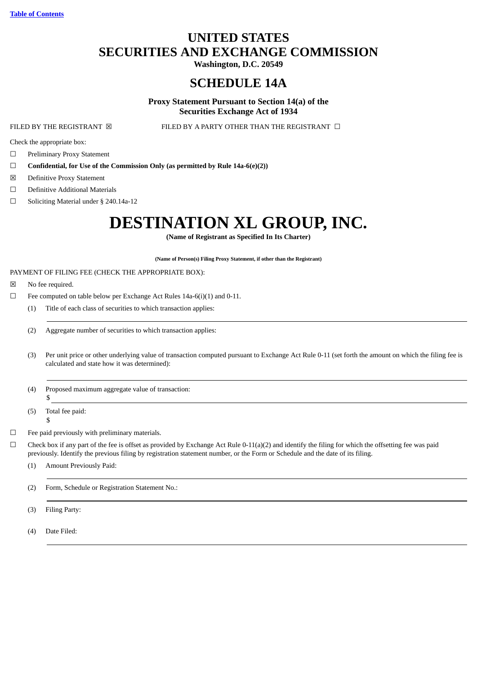# **UNITED STATES SECURITIES AND EXCHANGE COMMISSION**

**Washington, D.C. 20549**

# **SCHEDULE 14A**

# **Proxy Statement Pursuant to Section 14(a) of the Securities Exchange Act of 1934**

FILED BY THE REGISTRANT  $\boxtimes$  FILED BY A PARTY OTHER THAN THE REGISTRANT  $\Box$ 

Check the appropriate box:

- ☐ Preliminary Proxy Statement
- ☐ **Confidential, for Use of the Commission Only (as permitted by Rule 14a-6(e)(2))**
- ☒ Definitive Proxy Statement
- ☐ Definitive Additional Materials
- ☐ Soliciting Material under § 240.14a-12

# **DESTINATION XL GROUP, INC.**

**(Name of Registrant as Specified In Its Charter)**

**(Name of Person(s) Filing Proxy Statement, if other than the Registrant)**

# PAYMENT OF FILING FEE (CHECK THE APPROPRIATE BOX):

- ☒ No fee required.
- $\Box$  Fee computed on table below per Exchange Act Rules 14a-6(i)(1) and 0-11.
	- (1) Title of each class of securities to which transaction applies:
	- (2) Aggregate number of securities to which transaction applies:
	- (3) Per unit price or other underlying value of transaction computed pursuant to Exchange Act Rule 0-11 (set forth the amount on which the filing fee is calculated and state how it was determined):
	- (4) Proposed maximum aggregate value of transaction: \$
	- (5) Total fee paid: \$
- ☐ Fee paid previously with preliminary materials.

 $\Box$  Check box if any part of the fee is offset as provided by Exchange Act Rule 0-11(a)(2) and identify the filing for which the offsetting fee was paid previously. Identify the previous filing by registration statement number, or the Form or Schedule and the date of its filing.

- (1) Amount Previously Paid:
- (2) Form, Schedule or Registration Statement No.:
- (3) Filing Party:
- (4) Date Filed: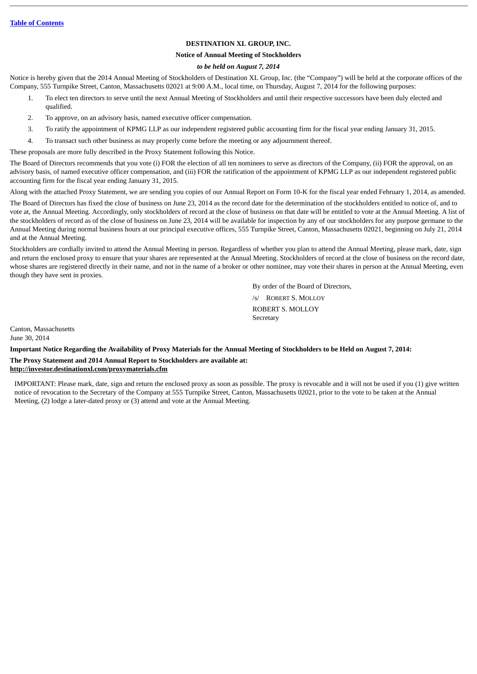# **DESTINATION XL GROUP, INC.**

#### **Notice of Annual Meeting of Stockholders**

# *to be held on August 7, 2014*

Notice is hereby given that the 2014 Annual Meeting of Stockholders of Destination XL Group, Inc. (the "Company") will be held at the corporate offices of the Company, 555 Turnpike Street, Canton, Massachusetts 02021 at 9:00 A.M., local time, on Thursday, August 7, 2014 for the following purposes:

- 1. To elect ten directors to serve until the next Annual Meeting of Stockholders and until their respective successors have been duly elected and qualified.
- 2. To approve, on an advisory basis, named executive officer compensation.
- 3. To ratify the appointment of KPMG LLP as our independent registered public accounting firm for the fiscal year ending January 31, 2015.
- 4. To transact such other business as may properly come before the meeting or any adjournment thereof.
- These proposals are more fully described in the Proxy Statement following this Notice.

The Board of Directors recommends that you vote (i) FOR the election of all ten nominees to serve as directors of the Company, (ii) FOR the approval, on an advisory basis, of named executive officer compensation, and (iii) FOR the ratification of the appointment of KPMG LLP as our independent registered public accounting firm for the fiscal year ending January 31, 2015.

Along with the attached Proxy Statement, we are sending you copies of our Annual Report on Form 10-K for the fiscal year ended February 1, 2014, as amended.

The Board of Directors has fixed the close of business on June 23, 2014 as the record date for the determination of the stockholders entitled to notice of, and to vote at, the Annual Meeting. Accordingly, only stockholders of record at the close of business on that date will be entitled to vote at the Annual Meeting. A list of the stockholders of record as of the close of business on June 23, 2014 will be available for inspection by any of our stockholders for any purpose germane to the Annual Meeting during normal business hours at our principal executive offices, 555 Turnpike Street, Canton, Massachusetts 02021, beginning on July 21, 2014 and at the Annual Meeting.

Stockholders are cordially invited to attend the Annual Meeting in person. Regardless of whether you plan to attend the Annual Meeting, please mark, date, sign and return the enclosed proxy to ensure that your shares are represented at the Annual Meeting. Stockholders of record at the close of business on the record date, whose shares are registered directly in their name, and not in the name of a broker or other nominee, may vote their shares in person at the Annual Meeting, even though they have sent in proxies.

> By order of the Board of Directors, /s/ ROBERT S. MOLLOY ROBERT S. MOLLOY **Secretary**

Canton, Massachusetts June 30, 2014

**Important Notice Regarding the Availability of Proxy Materials for the Annual Meeting of Stockholders to be Held on August 7, 2014: The Proxy Statement and 2014 Annual Report to Stockholders are available at: http://investor.destinationxl.com/proxymaterials.cfm**

IMPORTANT: Please mark, date, sign and return the enclosed proxy as soon as possible. The proxy is revocable and it will not be used if you (1) give written notice of revocation to the Secretary of the Company at 555 Turnpike Street, Canton, Massachusetts 02021, prior to the vote to be taken at the Annual Meeting, (2) lodge a later-dated proxy or (3) attend and vote at the Annual Meeting.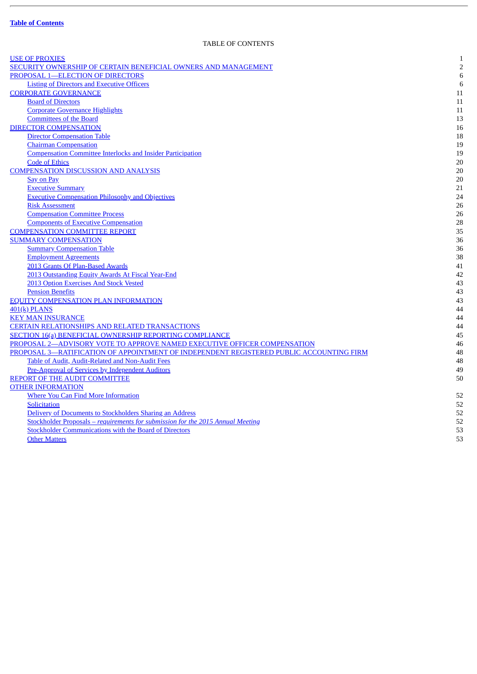J.

# TABLE OF CONTENTS

<span id="page-2-0"></span>

| <b>USE OF PROXIES</b>                                                                   | $\mathbf{1}$   |
|-----------------------------------------------------------------------------------------|----------------|
| SECURITY OWNERSHIP OF CERTAIN BENEFICIAL OWNERS AND MANAGEMENT                          | $\overline{2}$ |
| PROPOSAL 1-ELECTION OF DIRECTORS                                                        | $\,6$          |
| <b>Listing of Directors and Executive Officers</b>                                      | 6              |
| <b>CORPORATE GOVERNANCE</b>                                                             | 11             |
| <b>Board of Directors</b>                                                               | 11             |
| <b>Corporate Governance Highlights</b>                                                  | 11             |
| <b>Committees of the Board</b>                                                          | 13             |
| <b>DIRECTOR COMPENSATION</b>                                                            | 16             |
| <b>Director Compensation Table</b>                                                      | 18             |
| <b>Chairman Compensation</b>                                                            | 19             |
| <b>Compensation Committee Interlocks and Insider Participation</b>                      | 19             |
| <b>Code of Ethics</b>                                                                   | 20             |
| <b>COMPENSATION DISCUSSION AND ANALYSIS</b>                                             | 20             |
| <b>Say on Pay</b>                                                                       | 20             |
| <b>Executive Summary</b>                                                                | 21             |
| <b>Executive Compensation Philosophy and Objectives</b>                                 | 24             |
| <b>Risk Assessment</b>                                                                  | 26             |
| <b>Compensation Committee Process</b>                                                   | 26             |
| <b>Components of Executive Compensation</b>                                             | 28             |
| <b>COMPENSATION COMMITTEE REPORT</b>                                                    | 35             |
| <b>SUMMARY COMPENSATION</b>                                                             | 36             |
| <b>Summary Compensation Table</b>                                                       | 36             |
| <b>Employment Agreements</b>                                                            | 38             |
| 2013 Grants Of Plan-Based Awards                                                        | 41             |
| 2013 Outstanding Equity Awards At Fiscal Year-End                                       | 42             |
| 2013 Option Exercises And Stock Vested                                                  | 43             |
| <b>Pension Benefits</b>                                                                 | 43             |
| <b>EQUITY COMPENSATION PLAN INFORMATION</b>                                             | 43             |
| $401(k)$ PLANS                                                                          | 44             |
| <b>KEY MAN INSURANCE</b>                                                                | 44             |
| <b>CERTAIN RELATIONSHIPS AND RELATED TRANSACTIONS</b>                                   | 44             |
| <b>SECTION 16(a) BENEFICIAL OWNERSHIP REPORTING COMPLIANCE</b>                          | 45             |
| PROPOSAL 2-ADVISORY VOTE TO APPROVE NAMED EXECUTIVE OFFICER COMPENSATION                | 46             |
| PROPOSAL 3-RATIFICATION OF APPOINTMENT OF INDEPENDENT REGISTERED PUBLIC ACCOUNTING FIRM | 48             |
| Table of Audit, Audit-Related and Non-Audit Fees                                        | 48             |
| Pre-Approval of Services by Independent Auditors                                        | 49             |
| REPORT OF THE AUDIT COMMITTEE                                                           | 50             |
| <b>OTHER INFORMATION</b>                                                                |                |
| <b>Where You Can Find More Information</b>                                              | 52             |
| <b>Solicitation</b>                                                                     | 52             |
| Delivery of Documents to Stockholders Sharing an Address                                | 52             |
| Stockholder Proposals - requirements for submission for the 2015 Annual Meeting         | 52             |
| <b>Stockholder Communications with the Board of Directors</b>                           | 53             |
| <b>Other Matters</b>                                                                    | 53             |
|                                                                                         |                |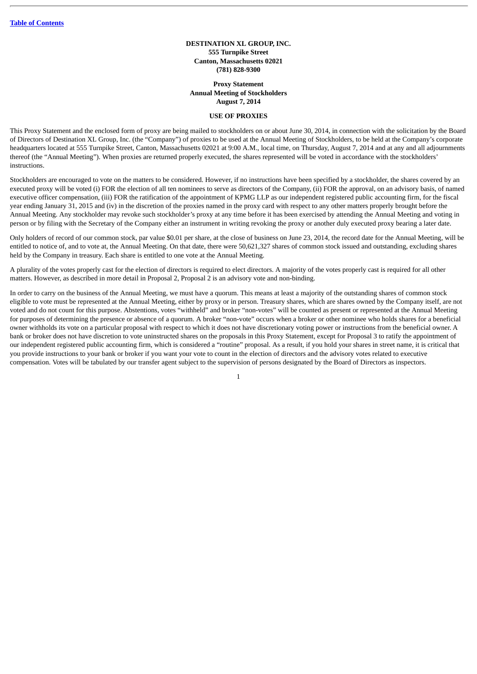#### **DESTINATION XL GROUP, INC. 555 Turnpike Street Canton, Massachusetts 02021 (781) 828-9300**

#### **Proxy Statement Annual Meeting of Stockholders August 7, 2014**

#### **USE OF PROXIES**

<span id="page-3-0"></span>This Proxy Statement and the enclosed form of proxy are being mailed to stockholders on or about June 30, 2014, in connection with the solicitation by the Board of Directors of Destination XL Group, Inc. (the "Company") of proxies to be used at the Annual Meeting of Stockholders, to be held at the Company's corporate headquarters located at 555 Turnpike Street, Canton, Massachusetts 02021 at 9:00 A.M., local time, on Thursday, August 7, 2014 and at any and all adjournments thereof (the "Annual Meeting"). When proxies are returned properly executed, the shares represented will be voted in accordance with the stockholders' instructions.

Stockholders are encouraged to vote on the matters to be considered. However, if no instructions have been specified by a stockholder, the shares covered by an executed proxy will be voted (i) FOR the election of all ten nominees to serve as directors of the Company, (ii) FOR the approval, on an advisory basis, of named executive officer compensation, (iii) FOR the ratification of the appointment of KPMG LLP as our independent registered public accounting firm, for the fiscal year ending January 31, 2015 and (iv) in the discretion of the proxies named in the proxy card with respect to any other matters properly brought before the Annual Meeting. Any stockholder may revoke such stockholder's proxy at any time before it has been exercised by attending the Annual Meeting and voting in person or by filing with the Secretary of the Company either an instrument in writing revoking the proxy or another duly executed proxy bearing a later date.

Only holders of record of our common stock, par value \$0.01 per share, at the close of business on June 23, 2014, the record date for the Annual Meeting, will be entitled to notice of, and to vote at, the Annual Meeting. On that date, there were 50,621,327 shares of common stock issued and outstanding, excluding shares held by the Company in treasury. Each share is entitled to one vote at the Annual Meeting.

A plurality of the votes properly cast for the election of directors is required to elect directors. A majority of the votes properly cast is required for all other matters. However, as described in more detail in Proposal 2, Proposal 2 is an advisory vote and non-binding.

In order to carry on the business of the Annual Meeting, we must have a quorum. This means at least a majority of the outstanding shares of common stock eligible to vote must be represented at the Annual Meeting, either by proxy or in person. Treasury shares, which are shares owned by the Company itself, are not voted and do not count for this purpose. Abstentions, votes "withheld" and broker "non-votes" will be counted as present or represented at the Annual Meeting for purposes of determining the presence or absence of a quorum. A broker "non-vote" occurs when a broker or other nominee who holds shares for a beneficial owner withholds its vote on a particular proposal with respect to which it does not have discretionary voting power or instructions from the beneficial owner. A bank or broker does not have discretion to vote uninstructed shares on the proposals in this Proxy Statement, except for Proposal 3 to ratify the appointment of our independent registered public accounting firm, which is considered a "routine" proposal. As a result, if you hold your shares in street name, it is critical that you provide instructions to your bank or broker if you want your vote to count in the election of directors and the advisory votes related to executive compensation. Votes will be tabulated by our transfer agent subject to the supervision of persons designated by the Board of Directors as inspectors.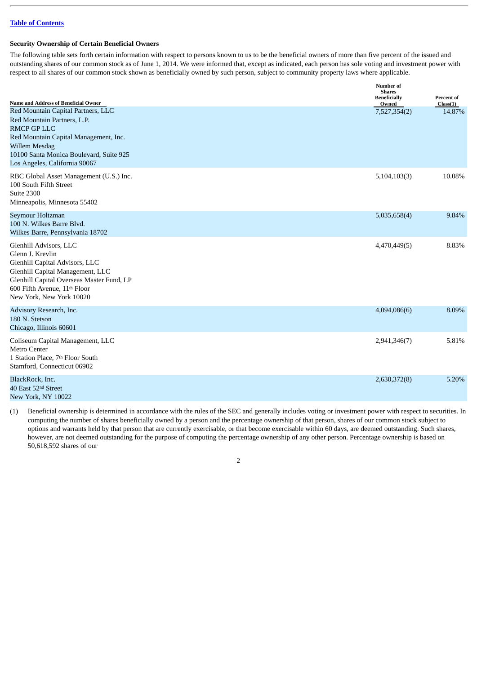# <span id="page-4-0"></span>**Security Ownership of Certain Beneficial Owners**

The following table sets forth certain information with respect to persons known to us to be the beneficial owners of more than five percent of the issued and outstanding shares of our common stock as of June 1, 2014. We were informed that, except as indicated, each person has sole voting and investment power with respect to all shares of our common stock shown as beneficially owned by such person, subject to community property laws where applicable.

| Name and Address of Beneficial Owner                                                                                                                                                                                                  | Number of<br><b>Shares</b><br><b>Beneficially</b> | Percent of         |
|---------------------------------------------------------------------------------------------------------------------------------------------------------------------------------------------------------------------------------------|---------------------------------------------------|--------------------|
| Red Mountain Capital Partners, LLC<br>Red Mountain Partners, L.P.<br><b>RMCP GP LLC</b><br>Red Mountain Capital Management, Inc.<br>Willem Mesdag<br>10100 Santa Monica Boulevard, Suite 925<br>Los Angeles, California 90067         | Owned<br>7,527,354(2)                             | Class(1)<br>14.87% |
| RBC Global Asset Management (U.S.) Inc.<br>100 South Fifth Street<br>Suite 2300<br>Minneapolis, Minnesota 55402                                                                                                                       | 5,104,103(3)                                      | 10.08%             |
| Seymour Holtzman<br>100 N. Wilkes Barre Blvd.<br>Wilkes Barre, Pennsylvania 18702                                                                                                                                                     | 5,035,658(4)                                      | 9.84%              |
| Glenhill Advisors, LLC<br>Glenn J. Krevlin<br>Glenhill Capital Advisors, LLC<br>Glenhill Capital Management, LLC<br>Glenhill Capital Overseas Master Fund, LP<br>600 Fifth Avenue, 11 <sup>th</sup> Floor<br>New York, New York 10020 | 4,470,449(5)                                      | 8.83%              |
| Advisory Research, Inc.<br>180 N. Stetson<br>Chicago, Illinois 60601                                                                                                                                                                  | 4,094,086(6)                                      | 8.09%              |
| Coliseum Capital Management, LLC<br><b>Metro Center</b><br>1 Station Place, 7th Floor South<br>Stamford, Connecticut 06902                                                                                                            | 2,941,346(7)                                      | 5.81%              |
| BlackRock, Inc.<br>40 East 52 <sup>nd</sup> Street<br>New York, NY 10022                                                                                                                                                              | 2,630,372(8)                                      | 5.20%              |

(1) Beneficial ownership is determined in accordance with the rules of the SEC and generally includes voting or investment power with respect to securities. In computing the number of shares beneficially owned by a person and the percentage ownership of that person, shares of our common stock subject to options and warrants held by that person that are currently exercisable, or that become exercisable within 60 days, are deemed outstanding. Such shares, however, are not deemed outstanding for the purpose of computing the percentage ownership of any other person. Percentage ownership is based on 50,618,592 shares of our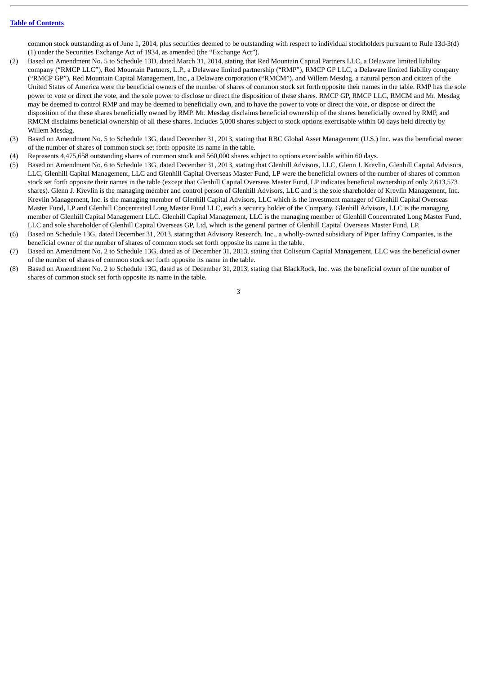common stock outstanding as of June 1, 2014, plus securities deemed to be outstanding with respect to individual stockholders pursuant to Rule 13d-3(d) (1) under the Securities Exchange Act of 1934, as amended (the "Exchange Act").

- (2) Based on Amendment No. 5 to Schedule 13D, dated March 31, 2014, stating that Red Mountain Capital Partners LLC, a Delaware limited liability company ("RMCP LLC"), Red Mountain Partners, L.P., a Delaware limited partnership ("RMP"), RMCP GP LLC, a Delaware limited liability company ("RMCP GP"), Red Mountain Capital Management, Inc., a Delaware corporation ("RMCM"), and Willem Mesdag, a natural person and citizen of the United States of America were the beneficial owners of the number of shares of common stock set forth opposite their names in the table. RMP has the sole power to vote or direct the vote, and the sole power to disclose or direct the disposition of these shares. RMCP GP, RMCP LLC, RMCM and Mr. Mesdag may be deemed to control RMP and may be deemed to beneficially own, and to have the power to vote or direct the vote, or dispose or direct the disposition of the these shares beneficially owned by RMP. Mr. Mesdag disclaims beneficial ownership of the shares beneficially owned by RMP, and RMCM disclaims beneficial ownership of all these shares. Includes 5,000 shares subject to stock options exercisable within 60 days held directly by Willem Mesdag.
- (3) Based on Amendment No. 5 to Schedule 13G, dated December 31, 2013, stating that RBC Global Asset Management (U.S.) Inc. was the beneficial owner of the number of shares of common stock set forth opposite its name in the table.
- (4) Represents 4,475,658 outstanding shares of common stock and 560,000 shares subject to options exercisable within 60 days.
- (5) Based on Amendment No. 6 to Schedule 13G, dated December 31, 2013, stating that Glenhill Advisors, LLC, Glenn J. Krevlin, Glenhill Capital Advisors, LLC, Glenhill Capital Management, LLC and Glenhill Capital Overseas Master Fund, LP were the beneficial owners of the number of shares of common stock set forth opposite their names in the table (except that Glenhill Capital Overseas Master Fund, LP indicates beneficial ownership of only 2,613,573 shares). Glenn J. Krevlin is the managing member and control person of Glenhill Advisors, LLC and is the sole shareholder of Krevlin Management, Inc. Krevlin Management, Inc. is the managing member of Glenhill Capital Advisors, LLC which is the investment manager of Glenhill Capital Overseas Master Fund, LP and Glenhill Concentrated Long Master Fund LLC, each a security holder of the Company. Glenhill Advisors, LLC is the managing member of Glenhill Capital Management LLC. Glenhill Capital Management, LLC is the managing member of Glenhill Concentrated Long Master Fund, LLC and sole shareholder of Glenhill Capital Overseas GP, Ltd, which is the general partner of Glenhill Capital Overseas Master Fund, LP.
- (6) Based on Schedule 13G, dated December 31, 2013, stating that Advisory Research, Inc., a wholly-owned subsidiary of Piper Jaffray Companies, is the beneficial owner of the number of shares of common stock set forth opposite its name in the table.
- (7) Based on Amendment No. 2 to Schedule 13G, dated as of December 31, 2013, stating that Coliseum Capital Management, LLC was the beneficial owner of the number of shares of common stock set forth opposite its name in the table.
- (8) Based on Amendment No. 2 to Schedule 13G, dated as of December 31, 2013, stating that BlackRock, Inc. was the beneficial owner of the number of shares of common stock set forth opposite its name in the table.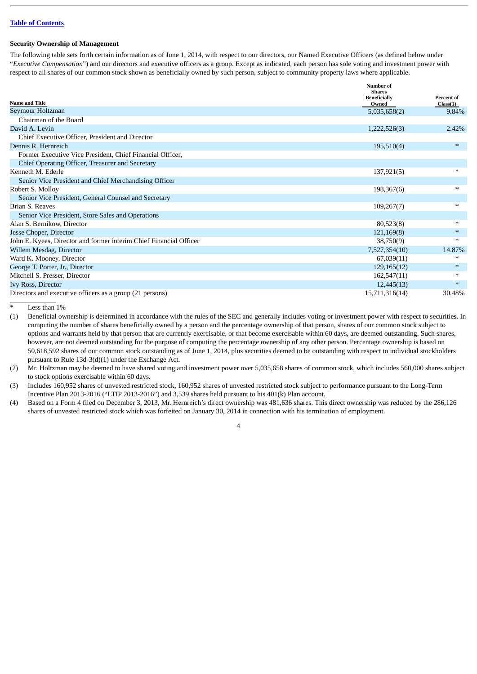#### **Security Ownership of Management**

The following table sets forth certain information as of June 1, 2014, with respect to our directors, our Named Executive Officers (as defined below under "*Executive Compensation*") and our directors and executive officers as a group. Except as indicated, each person has sole voting and investment power with respect to all shares of our common stock shown as beneficially owned by such person, subject to community property laws where applicable.

|                                                                    | Number of<br><b>Shares</b>   |                        |
|--------------------------------------------------------------------|------------------------------|------------------------|
| <b>Name and Title</b>                                              | <b>Beneficially</b><br>Owned | Percent of<br>Class(1) |
| Seymour Holtzman                                                   | 5,035,658(2)                 | 9.84%                  |
| Chairman of the Board                                              |                              |                        |
| David A. Levin                                                     | 1,222,526(3)                 | 2.42%                  |
| Chief Executive Officer, President and Director                    |                              |                        |
| Dennis R. Hernreich                                                | 195,510(4)                   | $\ast$                 |
| Former Executive Vice President, Chief Financial Officer,          |                              |                        |
| Chief Operating Officer, Treasurer and Secretary                   |                              |                        |
| Kenneth M. Ederle                                                  | 137,921(5)                   | $*$                    |
| Senior Vice President and Chief Merchandising Officer              |                              |                        |
| Robert S. Molloy                                                   | 198,367(6)                   | $\ast$                 |
| Senior Vice President, General Counsel and Secretary               |                              |                        |
| <b>Brian S. Reaves</b>                                             | 109,267(7)                   | $\ast$                 |
| Senior Vice President, Store Sales and Operations                  |                              |                        |
| Alan S. Bernikow, Director                                         | 80,523(8)                    | $*$                    |
| Jesse Choper, Director                                             | 121,169(8)                   | $\ast$                 |
| John E. Kyees, Director and former interim Chief Financial Officer | 38,750(9)                    | $\ast$                 |
| Willem Mesdag, Director                                            | 7,527,354(10)                | 14.87%                 |
| Ward K. Mooney, Director                                           | 67,039(11)                   | $\ast$                 |
| George T. Porter, Jr., Director                                    | 129,165(12)                  | $*$                    |
| Mitchell S. Presser, Director                                      | 162,547(11)                  | ∗                      |
| Ivy Ross, Director                                                 | 12,445(13)                   | $*$                    |
| Directors and executive officers as a group (21 persons)           | 15,711,316(14)               | 30.48%                 |

Less than  $1%$ 

(1) Beneficial ownership is determined in accordance with the rules of the SEC and generally includes voting or investment power with respect to securities. In computing the number of shares beneficially owned by a person and the percentage ownership of that person, shares of our common stock subject to options and warrants held by that person that are currently exercisable, or that become exercisable within 60 days, are deemed outstanding. Such shares, however, are not deemed outstanding for the purpose of computing the percentage ownership of any other person. Percentage ownership is based on 50,618,592 shares of our common stock outstanding as of June 1, 2014, plus securities deemed to be outstanding with respect to individual stockholders pursuant to Rule 13d-3(d)(1) under the Exchange Act.

(2) Mr. Holtzman may be deemed to have shared voting and investment power over 5,035,658 shares of common stock, which includes 560,000 shares subject to stock options exercisable within 60 days.

(3) Includes 160,952 shares of unvested restricted stock, 160,952 shares of unvested restricted stock subject to performance pursuant to the Long-Term Incentive Plan 2013-2016 ("LTIP 2013-2016") and 3,539 shares held pursuant to his 401(k) Plan account.

(4) Based on a Form 4 filed on December 3, 2013, Mr. Hernreich's direct ownership was 481,636 shares. This direct ownership was reduced by the 286,126 shares of unvested restricted stock which was forfeited on January 30, 2014 in connection with his termination of employment.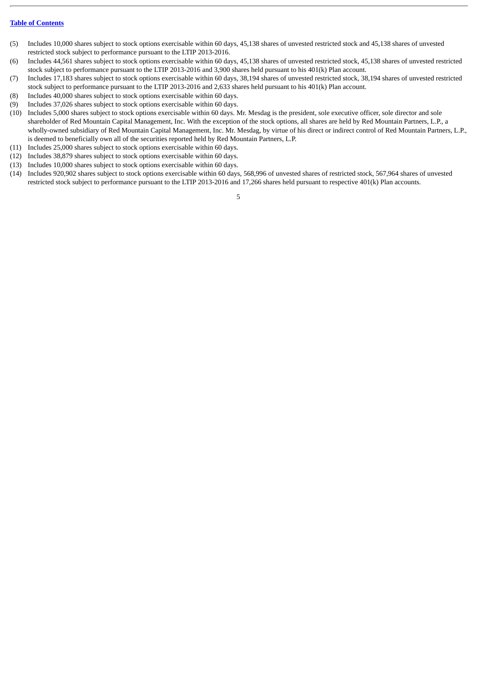- (5) Includes 10,000 shares subject to stock options exercisable within 60 days, 45,138 shares of unvested restricted stock and 45,138 shares of unvested restricted stock subject to performance pursuant to the LTIP 2013-2016.
- (6) Includes 44,561 shares subject to stock options exercisable within 60 days, 45,138 shares of unvested restricted stock, 45,138 shares of unvested restricted stock subject to performance pursuant to the LTIP 2013-2016 and 3,900 shares held pursuant to his 401(k) Plan account.
- (7) Includes 17,183 shares subject to stock options exercisable within 60 days, 38,194 shares of unvested restricted stock, 38,194 shares of unvested restricted stock subject to performance pursuant to the LTIP 2013-2016 and 2,633 shares held pursuant to his 401(k) Plan account.
- (8) Includes 40,000 shares subject to stock options exercisable within 60 days.
- (9) Includes 37,026 shares subject to stock options exercisable within 60 days.
- (10) Includes 5,000 shares subject to stock options exercisable within 60 days. Mr. Mesdag is the president, sole executive officer, sole director and sole shareholder of Red Mountain Capital Management, Inc. With the exception of the stock options, all shares are held by Red Mountain Partners, L.P., a wholly-owned subsidiary of Red Mountain Capital Management, Inc. Mr. Mesdag, by virtue of his direct or indirect control of Red Mountain Partners, L.P., is deemed to beneficially own all of the securities reported held by Red Mountain Partners, L.P.
- (11) Includes 25,000 shares subject to stock options exercisable within 60 days.
- (12) Includes 38,879 shares subject to stock options exercisable within 60 days.
- (13) Includes 10,000 shares subject to stock options exercisable within 60 days.
- (14) Includes 920,902 shares subject to stock options exercisable within 60 days, 568,996 of unvested shares of restricted stock, 567,964 shares of unvested restricted stock subject to performance pursuant to the LTIP 2013-2016 and 17,266 shares held pursuant to respective 401(k) Plan accounts.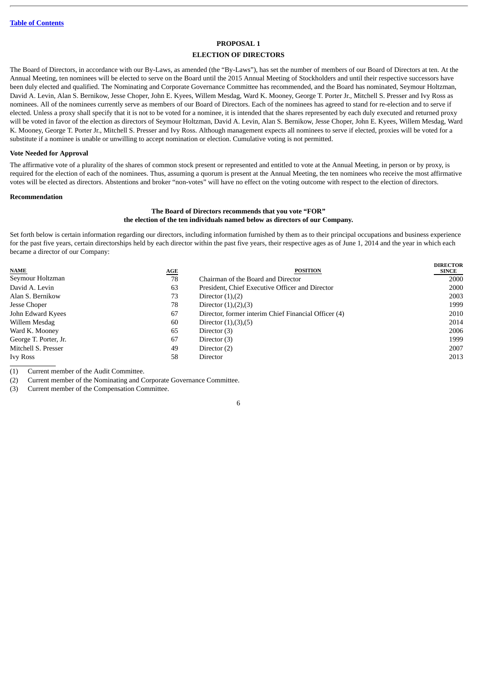# **PROPOSAL 1**

#### **ELECTION OF DIRECTORS**

<span id="page-8-0"></span>The Board of Directors, in accordance with our By-Laws, as amended (the "By-Laws"), has set the number of members of our Board of Directors at ten. At the Annual Meeting, ten nominees will be elected to serve on the Board until the 2015 Annual Meeting of Stockholders and until their respective successors have been duly elected and qualified. The Nominating and Corporate Governance Committee has recommended, and the Board has nominated, Seymour Holtzman, David A. Levin, Alan S. Bernikow, Jesse Choper, John E. Kyees, Willem Mesdag, Ward K. Mooney, George T. Porter Jr., Mitchell S. Presser and Ivy Ross as nominees. All of the nominees currently serve as members of our Board of Directors. Each of the nominees has agreed to stand for re-election and to serve if elected. Unless a proxy shall specify that it is not to be voted for a nominee, it is intended that the shares represented by each duly executed and returned proxy will be voted in favor of the election as directors of Seymour Holtzman, David A. Levin, Alan S. Bernikow, Jesse Choper, John E. Kyees, Willem Mesdag, Ward K. Mooney, George T. Porter Jr., Mitchell S. Presser and Ivy Ross. Although management expects all nominees to serve if elected, proxies will be voted for a substitute if a nominee is unable or unwilling to accept nomination or election. Cumulative voting is not permitted.

#### **Vote Needed for Approval**

The affirmative vote of a plurality of the shares of common stock present or represented and entitled to vote at the Annual Meeting, in person or by proxy, is required for the election of each of the nominees. Thus, assuming a quorum is present at the Annual Meeting, the ten nominees who receive the most affirmative votes will be elected as directors. Abstentions and broker "non-votes" will have no effect on the voting outcome with respect to the election of directors.

#### <span id="page-8-1"></span>**Recommendation**

#### **The Board of Directors recommends that you vote "FOR" the election of the ten individuals named below as directors of our Company.**

Set forth below is certain information regarding our directors, including information furnished by them as to their principal occupations and business experience for the past five years, certain directorships held by each director within the past five years, their respective ages as of June 1, 2014 and the year in which each became a director of our Company:

**DIRECTOR**

| <b>NAME</b>           | <u>AGE</u> | <b>POSITION</b>                                      | DIRECTOR<br><b>SINCE</b> |
|-----------------------|------------|------------------------------------------------------|--------------------------|
| Seymour Holtzman      | 78         | Chairman of the Board and Director                   | 2000                     |
| David A. Levin        | 63         | President, Chief Executive Officer and Director      | 2000                     |
| Alan S. Bernikow      | 73         | Director $(1),(2)$                                   | 2003                     |
| Jesse Choper          | 78         | Director $(1), (2), (3)$                             | 1999                     |
| John Edward Kyees     | 67         | Director, former interim Chief Financial Officer (4) | 2010                     |
| Willem Mesdag         | 60         | Director $(1), (3), (5)$                             | 2014                     |
| Ward K. Mooney        | 65         | Director (3)                                         | 2006                     |
| George T. Porter, Jr. | 67         | Director (3)                                         | 1999                     |
| Mitchell S. Presser   | 49         | Director (2)                                         | 2007                     |
| <b>Ivy Ross</b>       | 58         | Director                                             | 2013                     |

(1) Current member of the Audit Committee.

(2) Current member of the Nominating and Corporate Governance Committee.

(3) Current member of the Compensation Committee.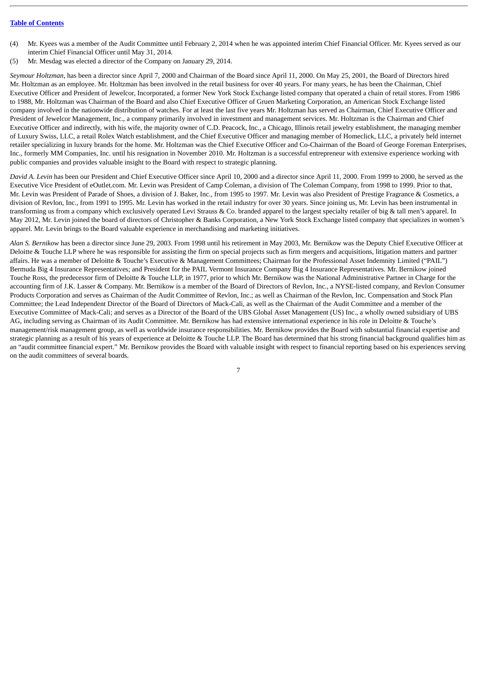- (4) Mr. Kyees was a member of the Audit Committee until February 2, 2014 when he was appointed interim Chief Financial Officer. Mr. Kyees served as our interim Chief Financial Officer until May 31, 2014.
- (5) Mr. Mesdag was elected a director of the Company on January 29, 2014.

*Seymour Holtzman*, has been a director since April 7, 2000 and Chairman of the Board since April 11, 2000. On May 25, 2001, the Board of Directors hired Mr. Holtzman as an employee. Mr. Holtzman has been involved in the retail business for over 40 years. For many years, he has been the Chairman, Chief Executive Officer and President of Jewelcor, Incorporated, a former New York Stock Exchange listed company that operated a chain of retail stores. From 1986 to 1988, Mr. Holtzman was Chairman of the Board and also Chief Executive Officer of Gruen Marketing Corporation, an American Stock Exchange listed company involved in the nationwide distribution of watches. For at least the last five years Mr. Holtzman has served as Chairman, Chief Executive Officer and President of Jewelcor Management, Inc., a company primarily involved in investment and management services. Mr. Holtzman is the Chairman and Chief Executive Officer and indirectly, with his wife, the majority owner of C.D. Peacock, Inc., a Chicago, Illinois retail jewelry establishment, the managing member of Luxury Swiss, LLC, a retail Rolex Watch establishment, and the Chief Executive Officer and managing member of Homeclick, LLC, a privately held internet retailer specializing in luxury brands for the home. Mr. Holtzman was the Chief Executive Officer and Co-Chairman of the Board of George Foreman Enterprises, Inc., formerly MM Companies, Inc. until his resignation in November 2010. Mr. Holtzman is a successful entrepreneur with extensive experience working with public companies and provides valuable insight to the Board with respect to strategic planning.

*David A. Levin* has been our President and Chief Executive Officer since April 10, 2000 and a director since April 11, 2000. From 1999 to 2000, he served as the Executive Vice President of eOutlet.com. Mr. Levin was President of Camp Coleman, a division of The Coleman Company, from 1998 to 1999. Prior to that, Mr. Levin was President of Parade of Shoes, a division of J. Baker, Inc., from 1995 to 1997. Mr. Levin was also President of Prestige Fragrance & Cosmetics, a division of Revlon, Inc., from 1991 to 1995. Mr. Levin has worked in the retail industry for over 30 years. Since joining us, Mr. Levin has been instrumental in transforming us from a company which exclusively operated Levi Strauss & Co. branded apparel to the largest specialty retailer of big & tall men's apparel. In May 2012, Mr. Levin joined the board of directors of Christopher & Banks Corporation, a New York Stock Exchange listed company that specializes in women's apparel. Mr. Levin brings to the Board valuable experience in merchandising and marketing initiatives.

*Alan S. Bernikow* has been a director since June 29, 2003. From 1998 until his retirement in May 2003, Mr. Bernikow was the Deputy Chief Executive Officer at Deloitte & Touche LLP where he was responsible for assisting the firm on special projects such as firm mergers and acquisitions, litigation matters and partner affairs. He was a member of Deloitte & Touche's Executive & Management Committees; Chairman for the Professional Asset Indemnity Limited ("PAIL") Bermuda Big 4 Insurance Representatives; and President for the PAIL Vermont Insurance Company Big 4 Insurance Representatives. Mr. Bernikow joined Touche Ross, the predecessor firm of Deloitte & Touche LLP, in 1977, prior to which Mr. Bernikow was the National Administrative Partner in Charge for the accounting firm of J.K. Lasser & Company. Mr. Bernikow is a member of the Board of Directors of Revlon, Inc., a NYSE-listed company, and Revlon Consumer Products Corporation and serves as Chairman of the Audit Committee of Revlon, Inc.; as well as Chairman of the Revlon, Inc. Compensation and Stock Plan Committee; the Lead Independent Director of the Board of Directors of Mack-Cali, as well as the Chairman of the Audit Committee and a member of the Executive Committee of Mack-Cali; and serves as a Director of the Board of the UBS Global Asset Management (US) Inc., a wholly owned subsidiary of UBS AG, including serving as Chairman of its Audit Committee. Mr. Bernikow has had extensive international experience in his role in Deloitte & Touche's management/risk management group, as well as worldwide insurance responsibilities. Mr. Bernikow provides the Board with substantial financial expertise and strategic planning as a result of his years of experience at Deloitte & Touche LLP. The Board has determined that his strong financial background qualifies him as an "audit committee financial expert." Mr. Bernikow provides the Board with valuable insight with respect to financial reporting based on his experiences serving on the audit committees of several boards.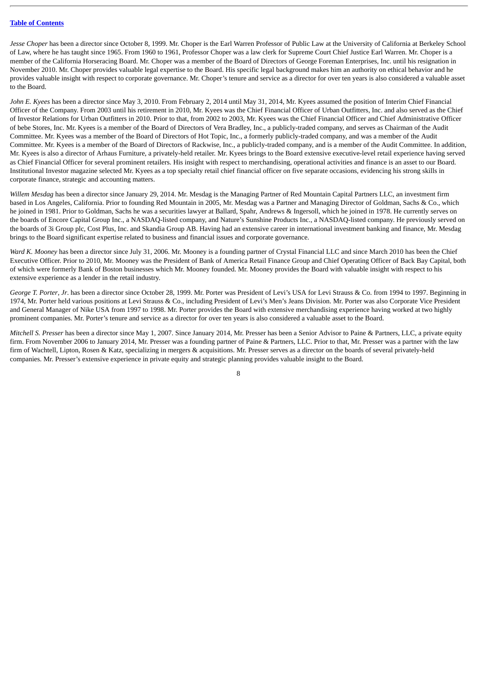*Jesse Choper* has been a director since October 8, 1999. Mr. Choper is the Earl Warren Professor of Public Law at the University of California at Berkeley School of Law, where he has taught since 1965. From 1960 to 1961, Professor Choper was a law clerk for Supreme Court Chief Justice Earl Warren. Mr. Choper is a member of the California Horseracing Board. Mr. Choper was a member of the Board of Directors of George Foreman Enterprises, Inc. until his resignation in November 2010. Mr. Choper provides valuable legal expertise to the Board. His specific legal background makes him an authority on ethical behavior and he provides valuable insight with respect to corporate governance. Mr. Choper's tenure and service as a director for over ten years is also considered a valuable asset to the Board.

*John E. Kyees* has been a director since May 3, 2010. From February 2, 2014 until May 31, 2014, Mr. Kyees assumed the position of Interim Chief Financial Officer of the Company. From 2003 until his retirement in 2010, Mr. Kyees was the Chief Financial Officer of Urban Outfitters, Inc. and also served as the Chief of Investor Relations for Urban Outfitters in 2010. Prior to that, from 2002 to 2003, Mr. Kyees was the Chief Financial Officer and Chief Administrative Officer of bebe Stores, Inc. Mr. Kyees is a member of the Board of Directors of Vera Bradley, Inc., a publicly-traded company, and serves as Chairman of the Audit Committee. Mr. Kyees was a member of the Board of Directors of Hot Topic, Inc., a formerly publicly-traded company, and was a member of the Audit Committee. Mr. Kyees is a member of the Board of Directors of Rackwise, Inc., a publicly-traded company, and is a member of the Audit Committee. In addition, Mr. Kyees is also a director of Arhaus Furniture, a privately-held retailer. Mr. Kyees brings to the Board extensive executive-level retail experience having served as Chief Financial Officer for several prominent retailers. His insight with respect to merchandising, operational activities and finance is an asset to our Board. Institutional Investor magazine selected Mr. Kyees as a top specialty retail chief financial officer on five separate occasions, evidencing his strong skills in corporate finance, strategic and accounting matters.

*Willem Mesdag* has been a director since January 29, 2014. Mr. Mesdag is the Managing Partner of Red Mountain Capital Partners LLC, an investment firm based in Los Angeles, California. Prior to founding Red Mountain in 2005, Mr. Mesdag was a Partner and Managing Director of Goldman, Sachs & Co., which he joined in 1981. Prior to Goldman, Sachs he was a securities lawyer at Ballard, Spahr, Andrews & Ingersoll, which he joined in 1978. He currently serves on the boards of Encore Capital Group Inc., a NASDAQ-listed company, and Nature's Sunshine Products Inc., a NASDAQ-listed company. He previously served on the boards of 3i Group plc, Cost Plus, Inc. and Skandia Group AB. Having had an extensive career in international investment banking and finance, Mr. Mesdag brings to the Board significant expertise related to business and financial issues and corporate governance.

*Ward K. Mooney* has been a director since July 31, 2006. Mr. Mooney is a founding partner of Crystal Financial LLC and since March 2010 has been the Chief Executive Officer. Prior to 2010, Mr. Mooney was the President of Bank of America Retail Finance Group and Chief Operating Officer of Back Bay Capital, both of which were formerly Bank of Boston businesses which Mr. Mooney founded. Mr. Mooney provides the Board with valuable insight with respect to his extensive experience as a lender in the retail industry.

*George T. Porter*, *Jr*. has been a director since October 28, 1999. Mr. Porter was President of Levi's USA for Levi Strauss & Co. from 1994 to 1997. Beginning in 1974, Mr. Porter held various positions at Levi Strauss & Co., including President of Levi's Men's Jeans Division. Mr. Porter was also Corporate Vice President and General Manager of Nike USA from 1997 to 1998. Mr. Porter provides the Board with extensive merchandising experience having worked at two highly prominent companies. Mr. Porter's tenure and service as a director for over ten years is also considered a valuable asset to the Board.

*Mitchell S. Presser* has been a director since May 1, 2007. Since January 2014, Mr. Presser has been a Senior Advisor to Paine & Partners, LLC, a private equity firm. From November 2006 to January 2014, Mr. Presser was a founding partner of Paine & Partners, LLC. Prior to that, Mr. Presser was a partner with the law firm of Wachtell, Lipton, Rosen & Katz, specializing in mergers & acquisitions. Mr. Presser serves as a director on the boards of several privately-held companies. Mr. Presser's extensive experience in private equity and strategic planning provides valuable insight to the Board.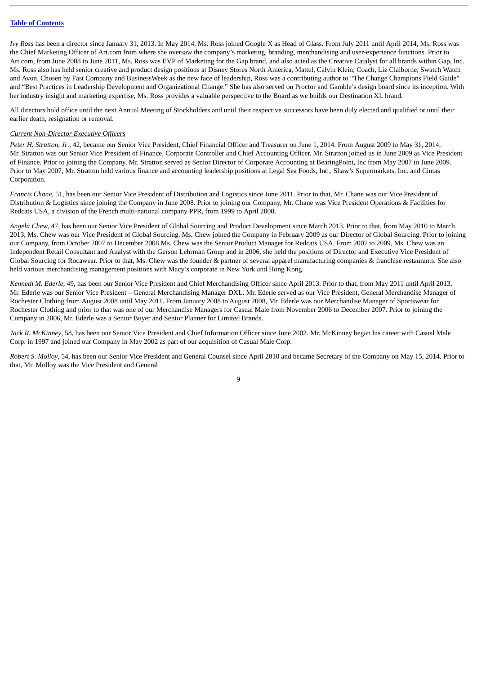*Ivy Ross* has been a director since January 31, 2013. In May 2014, Ms. Ross joined Google X as Head of Glass. From July 2011 until April 2014, Ms. Ross was the Chief Marketing Officer of Art.com from where she oversaw the company's marketing, branding, merchandising and user-experience functions. Prior to Art.com, from June 2008 to June 2011, Ms. Ross was EVP of Marketing for the Gap brand, and also acted as the Creative Catalyst for all brands within Gap, Inc. Ms. Ross also has held senior creative and product design positions at Disney Stores North America, Mattel, Calvin Klein, Coach, Liz Claiborne, Swatch Watch and Avon. Chosen by Fast Company and BusinessWeek as the new face of leadership, Ross was a contributing author to "The Change Champions Field Guide" and "Best Practices in Leadership Development and Organizational Change." She has also served on Proctor and Gamble's design board since its inception. With her industry insight and marketing expertise, Ms. Ross provides a valuable perspective to the Board as we builds our Destination XL brand.

All directors hold office until the next Annual Meeting of Stockholders and until their respective successors have been duly elected and qualified or until their earlier death, resignation or removal.

#### *Current Non-Director Executive Officers*

*Peter H. Stratton, Jr*., 42, became our Senior Vice President, Chief Financial Officer and Treasurer on June 1, 2014. From August 2009 to May 31, 2014, Mr. Stratton was our Senior Vice President of Finance, Corporate Controller and Chief Accounting Officer. Mr. Stratton joined us in June 2009 as Vice President of Finance. Prior to joining the Company, Mr. Stratton served as Senior Director of Corporate Accounting at BearingPoint, Inc from May 2007 to June 2009. Prior to May 2007, Mr. Stratton held various finance and accounting leadership positions at Legal Sea Foods, Inc., Shaw's Supermarkets, Inc. and Cintas Corporation.

*Francis Chane*, 51, has been our Senior Vice President of Distribution and Logistics since June 2011. Prior to that, Mr. Chane was our Vice President of Distribution & Logistics since joining the Company in June 2008. Prior to joining our Company, Mr. Chane was Vice President Operations & Facilities for Redcats USA, a division of the French multi-national company PPR, from 1999 to April 2008.

*Angela Chew*, 47, has been our Senior Vice President of Global Sourcing and Product Development since March 2013. Prior to that, from May 2010 to March 2013, Ms. Chew was our Vice President of Global Sourcing. Ms. Chew joined the Company in February 2009 as our Director of Global Sourcing. Prior to joining our Company, from October 2007 to December 2008 Ms. Chew was the Senior Product Manager for Redcats USA. From 2007 to 2009, Ms. Chew was an Independent Retail Consultant and Analyst with the Gerson Lehrman Group and in 2006, she held the positions of Director and Executive Vice President of Global Sourcing for Rocawear. Prior to that, Ms. Chew was the founder & partner of several apparel manufacturing companies & franchise restaurants. She also held various merchandising management positions with Macy's corporate in New York and Hong Kong.

*Kenneth M. Ederle,* 49, has been our Senior Vice President and Chief Merchandising Officer since April 2013. Prior to that, from May 2011 until April 2013, Mr. Ederle was our Senior Vice President – General Merchandising Manager DXL. Mr. Ederle served as our Vice President, General Merchandise Manager of Rochester Clothing from August 2008 until May 2011. From January 2008 to August 2008, Mr. Ederle was our Merchandise Manager of Sportswear for Rochester Clothing and prior to that was one of our Merchandise Managers for Casual Male from November 2006 to December 2007. Prior to joining the Company in 2006, Mr. Ederle was a Senior Buyer and Senior Planner for Limited Brands.

*Jack R. McKinney*, 58, has been our Senior Vice President and Chief Information Officer since June 2002. Mr. McKinney began his career with Casual Male Corp. in 1997 and joined our Company in May 2002 as part of our acquisition of Casual Male Corp.

*Robert S. Molloy*, 54, has been our Senior Vice President and General Counsel since April 2010 and became Secretary of the Company on May 15, 2014. Prior to that, Mr. Molloy was the Vice President and General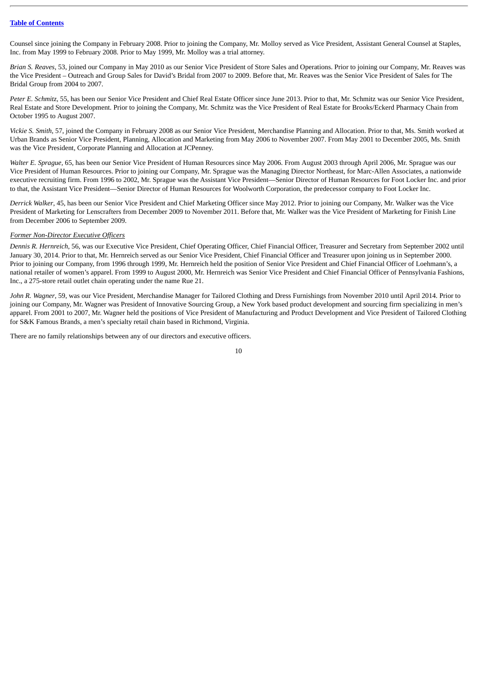Counsel since joining the Company in February 2008. Prior to joining the Company, Mr. Molloy served as Vice President, Assistant General Counsel at Staples, Inc. from May 1999 to February 2008. Prior to May 1999, Mr. Molloy was a trial attorney.

*Brian S. Reaves*, 53, joined our Company in May 2010 as our Senior Vice President of Store Sales and Operations. Prior to joining our Company, Mr. Reaves was the Vice President – Outreach and Group Sales for David's Bridal from 2007 to 2009. Before that, Mr. Reaves was the Senior Vice President of Sales for The Bridal Group from 2004 to 2007.

*Peter E. Schmitz*, 55, has been our Senior Vice President and Chief Real Estate Officer since June 2013. Prior to that, Mr. Schmitz was our Senior Vice President, Real Estate and Store Development. Prior to joining the Company, Mr. Schmitz was the Vice President of Real Estate for Brooks/Eckerd Pharmacy Chain from October 1995 to August 2007.

*Vickie S. Smith*, 57, joined the Company in February 2008 as our Senior Vice President, Merchandise Planning and Allocation. Prior to that, Ms. Smith worked at Urban Brands as Senior Vice President, Planning, Allocation and Marketing from May 2006 to November 2007. From May 2001 to December 2005, Ms. Smith was the Vice President, Corporate Planning and Allocation at JCPenney.

*Walter E. Sprague,* 65, has been our Senior Vice President of Human Resources since May 2006. From August 2003 through April 2006, Mr. Sprague was our Vice President of Human Resources. Prior to joining our Company, Mr. Sprague was the Managing Director Northeast, for Marc-Allen Associates, a nationwide executive recruiting firm. From 1996 to 2002, Mr. Sprague was the Assistant Vice President—Senior Director of Human Resources for Foot Locker Inc. and prior to that, the Assistant Vice President—Senior Director of Human Resources for Woolworth Corporation, the predecessor company to Foot Locker Inc.

*Derrick Walker*, 45, has been our Senior Vice President and Chief Marketing Officer since May 2012. Prior to joining our Company, Mr. Walker was the Vice President of Marketing for Lenscrafters from December 2009 to November 2011. Before that, Mr. Walker was the Vice President of Marketing for Finish Line from December 2006 to September 2009.

#### *Former Non-Director Executive Officers*

*Dennis R. Hernreich*, 56, was our Executive Vice President, Chief Operating Officer, Chief Financial Officer, Treasurer and Secretary from September 2002 until January 30, 2014. Prior to that, Mr. Hernreich served as our Senior Vice President, Chief Financial Officer and Treasurer upon joining us in September 2000. Prior to joining our Company, from 1996 through 1999, Mr. Hernreich held the position of Senior Vice President and Chief Financial Officer of Loehmann's, a national retailer of women's apparel. From 1999 to August 2000, Mr. Hernreich was Senior Vice President and Chief Financial Officer of Pennsylvania Fashions, Inc., a 275-store retail outlet chain operating under the name Rue 21.

*John R. Wagner*, 59, was our Vice President, Merchandise Manager for Tailored Clothing and Dress Furnishings from November 2010 until April 2014. Prior to joining our Company, Mr. Wagner was President of Innovative Sourcing Group, a New York based product development and sourcing firm specializing in men's apparel. From 2001 to 2007, Mr. Wagner held the positions of Vice President of Manufacturing and Product Development and Vice President of Tailored Clothing for S&K Famous Brands, a men's specialty retail chain based in Richmond, Virginia.

There are no family relationships between any of our directors and executive officers.

$$
10\,
$$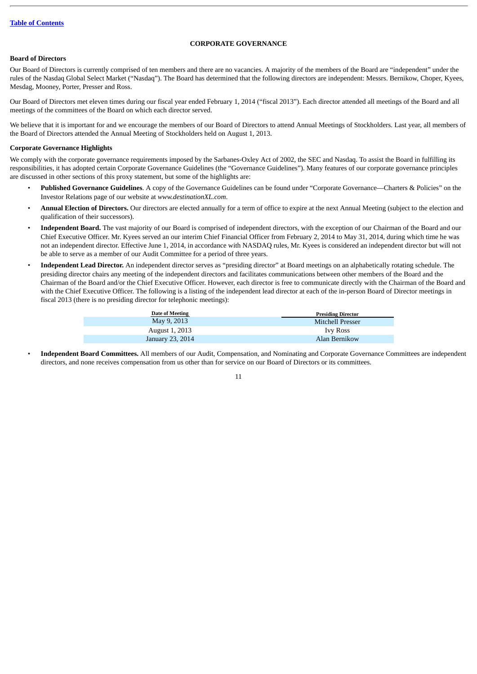# **CORPORATE GOVERNANCE**

# <span id="page-13-1"></span><span id="page-13-0"></span>**Board of Directors**

Our Board of Directors is currently comprised of ten members and there are no vacancies. A majority of the members of the Board are "independent" under the rules of the Nasdaq Global Select Market ("Nasdaq"). The Board has determined that the following directors are independent: Messrs. Bernikow, Choper, Kyees, Mesdag, Mooney, Porter, Presser and Ross.

Our Board of Directors met eleven times during our fiscal year ended February 1, 2014 ("fiscal 2013"). Each director attended all meetings of the Board and all meetings of the committees of the Board on which each director served.

We believe that it is important for and we encourage the members of our Board of Directors to attend Annual Meetings of Stockholders. Last year, all members of the Board of Directors attended the Annual Meeting of Stockholders held on August 1, 2013.

#### <span id="page-13-2"></span>**Corporate Governance Highlights**

We comply with the corporate governance requirements imposed by the Sarbanes-Oxley Act of 2002, the SEC and Nasdaq. To assist the Board in fulfilling its responsibilities, it has adopted certain Corporate Governance Guidelines (the "Governance Guidelines"). Many features of our corporate governance principles are discussed in other sections of this proxy statement, but some of the highlights are:

- **Published Governance Guidelines**. A copy of the Governance Guidelines can be found under "Corporate Governance—Charters & Policies" on the Investor Relations page of our website at *www.destinationXL.com*.
- **Annual Election of Directors.** Our directors are elected annually for a term of office to expire at the next Annual Meeting (subject to the election and qualification of their successors).
- **Independent Board.** The vast majority of our Board is comprised of independent directors, with the exception of our Chairman of the Board and our Chief Executive Officer. Mr. Kyees served an our interim Chief Financial Officer from February 2, 2014 to May 31, 2014, during which time he was not an independent director. Effective June 1, 2014, in accordance with NASDAQ rules, Mr. Kyees is considered an independent director but will not be able to serve as a member of our Audit Committee for a period of three years.
- **Independent Lead Director.** An independent director serves as "presiding director" at Board meetings on an alphabetically rotating schedule. The presiding director chairs any meeting of the independent directors and facilitates communications between other members of the Board and the Chairman of the Board and/or the Chief Executive Officer. However, each director is free to communicate directly with the Chairman of the Board and with the Chief Executive Officer. The following is a listing of the independent lead director at each of the in-person Board of Director meetings in fiscal 2013 (there is no presiding director for telephonic meetings):

| Date of Meeting  | <b>Presiding Director</b> |
|------------------|---------------------------|
| May 9, 2013      | Mitchell Presser          |
| August 1, 2013   | <b>Ivy Ross</b>           |
| January 23, 2014 | Alan Bernikow             |

• **Independent Board Committees.** All members of our Audit, Compensation, and Nominating and Corporate Governance Committees are independent directors, and none receives compensation from us other than for service on our Board of Directors or its committees.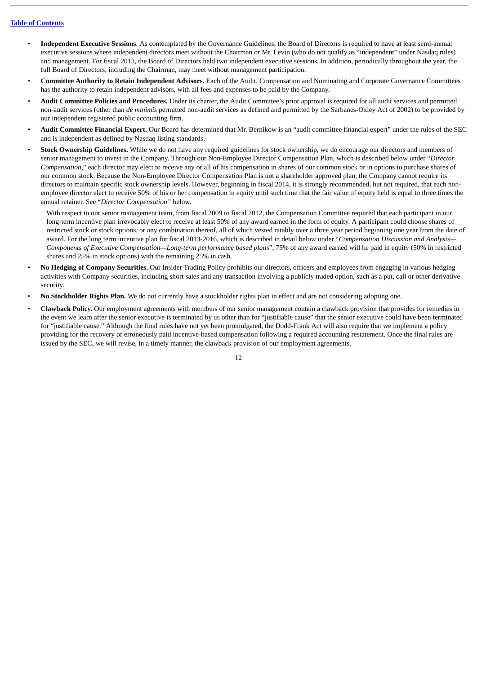- **Independent Executive Sessions**. As contemplated by the Governance Guidelines, the Board of Directors is required to have at least semi-annual executive sessions where independent directors meet without the Chairman or Mr. Levin (who do not qualify as "independent" under Nasdaq rules) and management. For fiscal 2013, the Board of Directors held two independent executive sessions. In addition, periodically throughout the year, the full Board of Directors, including the Chairman, may meet without management participation.
- **Committee Authority to Retain Independent Advisors.** Each of the Audit, Compensation and Nominating and Corporate Governance Committees has the authority to retain independent advisors, with all fees and expenses to be paid by the Company.
- **Audit Committee Policies and Procedures.** Under its charter, the Audit Committee's prior approval is required for all audit services and permitted non-audit services (other than *de minimis* permitted non-audit services as defined and permitted by the Sarbanes-Oxley Act of 2002) to be provided by our independent registered public accounting firm.
- **Audit Committee Financial Expert.** Our Board has determined that Mr. Bernikow is an "audit committee financial expert" under the rules of the SEC and is independent as defined by Nasdaq listing standards.
- **Stock Ownership Guidelines.** While we do not have any required guidelines for stock ownership, we do encourage our directors and members of senior management to invest in the Company. Through our Non-Employee Director Compensation Plan, which is described below under "*Director Compensation,*" each director may elect to receive any or all of his compensation in shares of our common stock or in options to purchase shares of our common stock. Because the Non-Employee Director Compensation Plan is not a shareholder approved plan, the Company cannot require its directors to maintain specific stock ownership levels. However, beginning in fiscal 2014, it is strongly recommended, but not required, that each nonemployee director elect to receive 50% of his or her compensation in equity until such time that the fair value of equity held is equal to three times the annual retainer. See "*Director Compensation"* below.

With respect to our senior management team, from fiscal 2009 to fiscal 2012, the Compensation Committee required that each participant in our long-term incentive plan irrevocably elect to receive at least 50% of any award earned in the form of equity. A participant could choose shares of restricted stock or stock options, or any combination thereof, all of which vested ratably over a three year period beginning one year from the date of award. For the long term incentive plan for fiscal 2013-2016, which is described in detail below under "*Compensation Discussion and Analysis— Components of Executive Compensation—Long-term performance based plans*", 75% of any award earned will be paid in equity (50% in restricted shares and 25% in stock options) with the remaining 25% in cash.

- **No Hedging of Company Securities.** Our Insider Trading Policy prohibits our directors, officers and employees from engaging in various hedging activities with Company securities, including short sales and any transaction involving a publicly traded option, such as a put, call or other derivative security.
- **No Stockholder Rights Plan.** We do not currently have a stockholder rights plan in effect and are not considering adopting one.
- **Clawback Policy.** Our employment agreements with members of our senior management contain a clawback provision that provides for remedies in the event we learn after the senior executive is terminated by us other than for "justifiable cause" that the senior executive could have been terminated for "justifiable cause." Although the final rules have not yet been promulgated, the Dodd-Frank Act will also require that we implement a policy providing for the recovery of erroneously paid incentive-based compensation following a required accounting restatement. Once the final rules are issued by the SEC, we will revise, in a timely manner, the clawback provision of our employment agreements.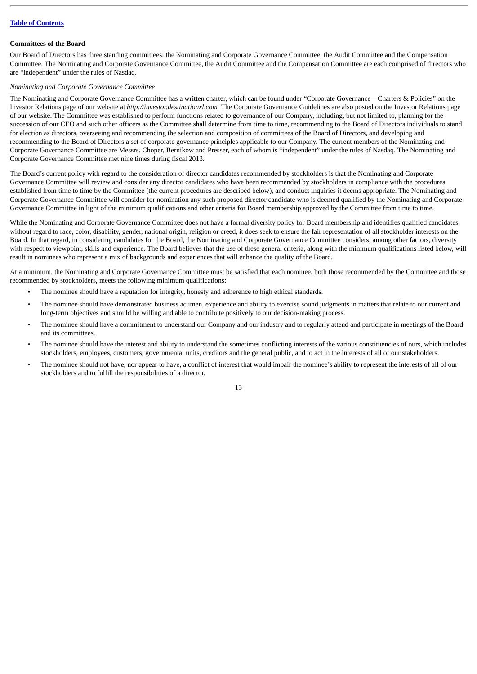# <span id="page-15-0"></span>**Committees of the Board**

Our Board of Directors has three standing committees: the Nominating and Corporate Governance Committee, the Audit Committee and the Compensation Committee. The Nominating and Corporate Governance Committee, the Audit Committee and the Compensation Committee are each comprised of directors who are "independent" under the rules of Nasdaq.

#### *Nominating and Corporate Governance Committee*

The Nominating and Corporate Governance Committee has a written charter, which can be found under "Corporate Governance—Charters & Policies" on the Investor Relations page of our website at *http://investor.destinationxl.com.* The Corporate Governance Guidelines are also posted on the Investor Relations page of our website. The Committee was established to perform functions related to governance of our Company, including, but not limited to, planning for the succession of our CEO and such other officers as the Committee shall determine from time to time, recommending to the Board of Directors individuals to stand for election as directors, overseeing and recommending the selection and composition of committees of the Board of Directors, and developing and recommending to the Board of Directors a set of corporate governance principles applicable to our Company. The current members of the Nominating and Corporate Governance Committee are Messrs. Choper, Bernikow and Presser, each of whom is "independent" under the rules of Nasdaq. The Nominating and Corporate Governance Committee met nine times during fiscal 2013.

The Board's current policy with regard to the consideration of director candidates recommended by stockholders is that the Nominating and Corporate Governance Committee will review and consider any director candidates who have been recommended by stockholders in compliance with the procedures established from time to time by the Committee (the current procedures are described below), and conduct inquiries it deems appropriate. The Nominating and Corporate Governance Committee will consider for nomination any such proposed director candidate who is deemed qualified by the Nominating and Corporate Governance Committee in light of the minimum qualifications and other criteria for Board membership approved by the Committee from time to time.

While the Nominating and Corporate Governance Committee does not have a formal diversity policy for Board membership and identifies qualified candidates without regard to race, color, disability, gender, national origin, religion or creed, it does seek to ensure the fair representation of all stockholder interests on the Board. In that regard, in considering candidates for the Board, the Nominating and Corporate Governance Committee considers, among other factors, diversity with respect to viewpoint, skills and experience. The Board believes that the use of these general criteria, along with the minimum qualifications listed below, will result in nominees who represent a mix of backgrounds and experiences that will enhance the quality of the Board.

At a minimum, the Nominating and Corporate Governance Committee must be satisfied that each nominee, both those recommended by the Committee and those recommended by stockholders, meets the following minimum qualifications:

- The nominee should have a reputation for integrity, honesty and adherence to high ethical standards.
- The nominee should have demonstrated business acumen, experience and ability to exercise sound judgments in matters that relate to our current and long-term objectives and should be willing and able to contribute positively to our decision-making process.
- The nominee should have a commitment to understand our Company and our industry and to regularly attend and participate in meetings of the Board and its committees.
- The nominee should have the interest and ability to understand the sometimes conflicting interests of the various constituencies of ours, which includes stockholders, employees, customers, governmental units, creditors and the general public, and to act in the interests of all of our stakeholders.
- The nominee should not have, nor appear to have, a conflict of interest that would impair the nominee's ability to represent the interests of all of our stockholders and to fulfill the responsibilities of a director.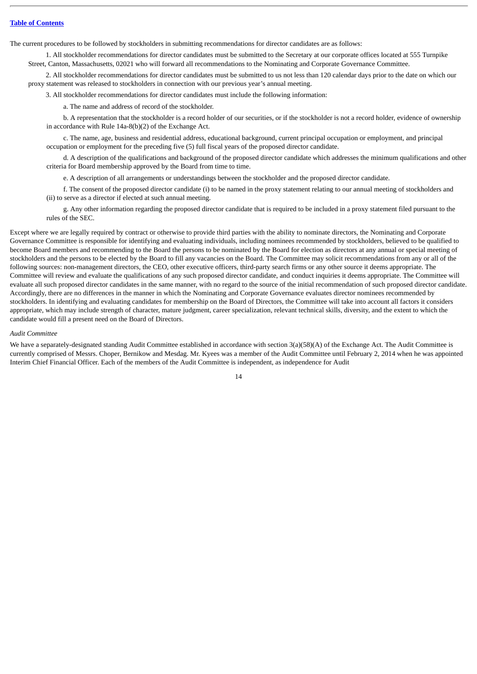The current procedures to be followed by stockholders in submitting recommendations for director candidates are as follows:

1. All stockholder recommendations for director candidates must be submitted to the Secretary at our corporate offices located at 555 Turnpike Street, Canton, Massachusetts, 02021 who will forward all recommendations to the Nominating and Corporate Governance Committee.

2. All stockholder recommendations for director candidates must be submitted to us not less than 120 calendar days prior to the date on which our proxy statement was released to stockholders in connection with our previous year's annual meeting.

3. All stockholder recommendations for director candidates must include the following information:

a. The name and address of record of the stockholder.

b. A representation that the stockholder is a record holder of our securities, or if the stockholder is not a record holder, evidence of ownership in accordance with Rule 14a-8(b)(2) of the Exchange Act.

c. The name, age, business and residential address, educational background, current principal occupation or employment, and principal occupation or employment for the preceding five (5) full fiscal years of the proposed director candidate.

d. A description of the qualifications and background of the proposed director candidate which addresses the minimum qualifications and other criteria for Board membership approved by the Board from time to time.

e. A description of all arrangements or understandings between the stockholder and the proposed director candidate.

f. The consent of the proposed director candidate (i) to be named in the proxy statement relating to our annual meeting of stockholders and (ii) to serve as a director if elected at such annual meeting.

g. Any other information regarding the proposed director candidate that is required to be included in a proxy statement filed pursuant to the rules of the SEC.

Except where we are legally required by contract or otherwise to provide third parties with the ability to nominate directors, the Nominating and Corporate Governance Committee is responsible for identifying and evaluating individuals, including nominees recommended by stockholders, believed to be qualified to become Board members and recommending to the Board the persons to be nominated by the Board for election as directors at any annual or special meeting of stockholders and the persons to be elected by the Board to fill any vacancies on the Board. The Committee may solicit recommendations from any or all of the following sources: non-management directors, the CEO, other executive officers, third-party search firms or any other source it deems appropriate. The Committee will review and evaluate the qualifications of any such proposed director candidate, and conduct inquiries it deems appropriate. The Committee will evaluate all such proposed director candidates in the same manner, with no regard to the source of the initial recommendation of such proposed director candidate. Accordingly, there are no differences in the manner in which the Nominating and Corporate Governance evaluates director nominees recommended by stockholders. In identifying and evaluating candidates for membership on the Board of Directors, the Committee will take into account all factors it considers appropriate, which may include strength of character, mature judgment, career specialization, relevant technical skills, diversity, and the extent to which the candidate would fill a present need on the Board of Directors.

#### *Audit Committee*

We have a separately-designated standing Audit Committee established in accordance with section 3(a)(58)(A) of the Exchange Act. The Audit Committee is currently comprised of Messrs. Choper, Bernikow and Mesdag. Mr. Kyees was a member of the Audit Committee until February 2, 2014 when he was appointed Interim Chief Financial Officer. Each of the members of the Audit Committee is independent, as independence for Audit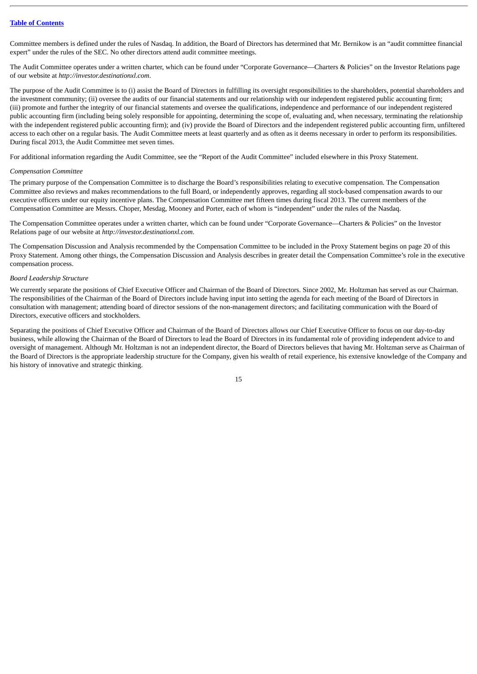Committee members is defined under the rules of Nasdaq. In addition, the Board of Directors has determined that Mr. Bernikow is an "audit committee financial expert" under the rules of the SEC. No other directors attend audit committee meetings.

The Audit Committee operates under a written charter, which can be found under "Corporate Governance—Charters & Policies" on the Investor Relations page of our website at *http://investor.destinationxl.com*.

The purpose of the Audit Committee is to (i) assist the Board of Directors in fulfilling its oversight responsibilities to the shareholders, potential shareholders and the investment community; (ii) oversee the audits of our financial statements and our relationship with our independent registered public accounting firm; (iii) promote and further the integrity of our financial statements and oversee the qualifications, independence and performance of our independent registered public accounting firm (including being solely responsible for appointing, determining the scope of, evaluating and, when necessary, terminating the relationship with the independent registered public accounting firm); and (iv) provide the Board of Directors and the independent registered public accounting firm, unfiltered access to each other on a regular basis. The Audit Committee meets at least quarterly and as often as it deems necessary in order to perform its responsibilities. During fiscal 2013, the Audit Committee met seven times.

For additional information regarding the Audit Committee, see the "Report of the Audit Committee" included elsewhere in this Proxy Statement.

#### *Compensation Committee*

The primary purpose of the Compensation Committee is to discharge the Board's responsibilities relating to executive compensation. The Compensation Committee also reviews and makes recommendations to the full Board, or independently approves, regarding all stock-based compensation awards to our executive officers under our equity incentive plans. The Compensation Committee met fifteen times during fiscal 2013. The current members of the Compensation Committee are Messrs. Choper, Mesdag, Mooney and Porter, each of whom is "independent" under the rules of the Nasdaq.

The Compensation Committee operates under a written charter, which can be found under "Corporate Governance—Charters & Policies" on the Investor Relations page of our website at *http://investor.destinationxl.com*.

The Compensation Discussion and Analysis recommended by the Compensation Committee to be included in the Proxy Statement begins on page 20 of this Proxy Statement. Among other things, the Compensation Discussion and Analysis describes in greater detail the Compensation Committee's role in the executive compensation process.

#### *Board Leadership Structure*

We currently separate the positions of Chief Executive Officer and Chairman of the Board of Directors. Since 2002, Mr. Holtzman has served as our Chairman. The responsibilities of the Chairman of the Board of Directors include having input into setting the agenda for each meeting of the Board of Directors in consultation with management; attending board of director sessions of the non-management directors; and facilitating communication with the Board of Directors, executive officers and stockholders.

Separating the positions of Chief Executive Officer and Chairman of the Board of Directors allows our Chief Executive Officer to focus on our day-to-day business, while allowing the Chairman of the Board of Directors to lead the Board of Directors in its fundamental role of providing independent advice to and oversight of management. Although Mr. Holtzman is not an independent director, the Board of Directors believes that having Mr. Holtzman serve as Chairman of the Board of Directors is the appropriate leadership structure for the Company, given his wealth of retail experience, his extensive knowledge of the Company and his history of innovative and strategic thinking.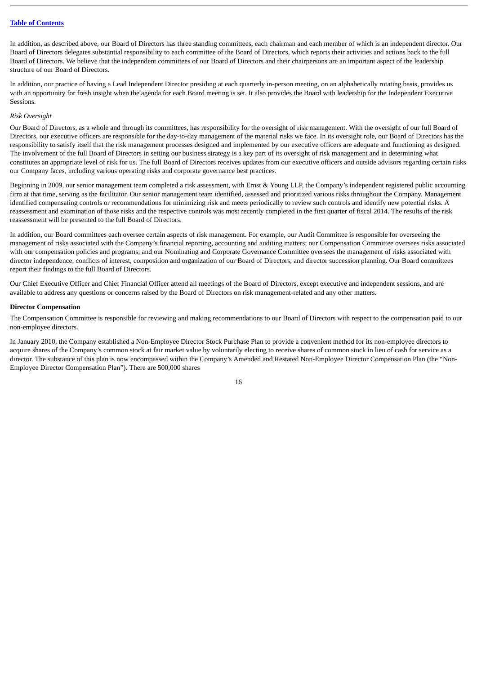In addition, as described above, our Board of Directors has three standing committees, each chairman and each member of which is an independent director. Our Board of Directors delegates substantial responsibility to each committee of the Board of Directors, which reports their activities and actions back to the full Board of Directors. We believe that the independent committees of our Board of Directors and their chairpersons are an important aspect of the leadership structure of our Board of Directors.

In addition, our practice of having a Lead Independent Director presiding at each quarterly in-person meeting, on an alphabetically rotating basis, provides us with an opportunity for fresh insight when the agenda for each Board meeting is set. It also provides the Board with leadership for the Independent Executive Sessions.

#### *Risk Oversight*

Our Board of Directors, as a whole and through its committees, has responsibility for the oversight of risk management. With the oversight of our full Board of Directors, our executive officers are responsible for the day-to-day management of the material risks we face. In its oversight role, our Board of Directors has the responsibility to satisfy itself that the risk management processes designed and implemented by our executive officers are adequate and functioning as designed. The involvement of the full Board of Directors in setting our business strategy is a key part of its oversight of risk management and in determining what constitutes an appropriate level of risk for us. The full Board of Directors receives updates from our executive officers and outside advisors regarding certain risks our Company faces, including various operating risks and corporate governance best practices.

Beginning in 2009, our senior management team completed a risk assessment, with Ernst & Young LLP, the Company's independent registered public accounting firm at that time, serving as the facilitator. Our senior management team identified, assessed and prioritized various risks throughout the Company. Management identified compensating controls or recommendations for minimizing risk and meets periodically to review such controls and identify new potential risks. A reassessment and examination of those risks and the respective controls was most recently completed in the first quarter of fiscal 2014. The results of the risk reassessment will be presented to the full Board of Directors.

In addition, our Board committees each oversee certain aspects of risk management. For example, our Audit Committee is responsible for overseeing the management of risks associated with the Company's financial reporting, accounting and auditing matters; our Compensation Committee oversees risks associated with our compensation policies and programs; and our Nominating and Corporate Governance Committee oversees the management of risks associated with director independence, conflicts of interest, composition and organization of our Board of Directors, and director succession planning. Our Board committees report their findings to the full Board of Directors.

Our Chief Executive Officer and Chief Financial Officer attend all meetings of the Board of Directors, except executive and independent sessions, and are available to address any questions or concerns raised by the Board of Directors on risk management-related and any other matters.

#### <span id="page-18-0"></span>**Director Compensation**

The Compensation Committee is responsible for reviewing and making recommendations to our Board of Directors with respect to the compensation paid to our non-employee directors.

In January 2010, the Company established a Non-Employee Director Stock Purchase Plan to provide a convenient method for its non-employee directors to acquire shares of the Company's common stock at fair market value by voluntarily electing to receive shares of common stock in lieu of cash for service as a director. The substance of this plan is now encompassed within the Company's Amended and Restated Non-Employee Director Compensation Plan (the "Non-Employee Director Compensation Plan"). There are 500,000 shares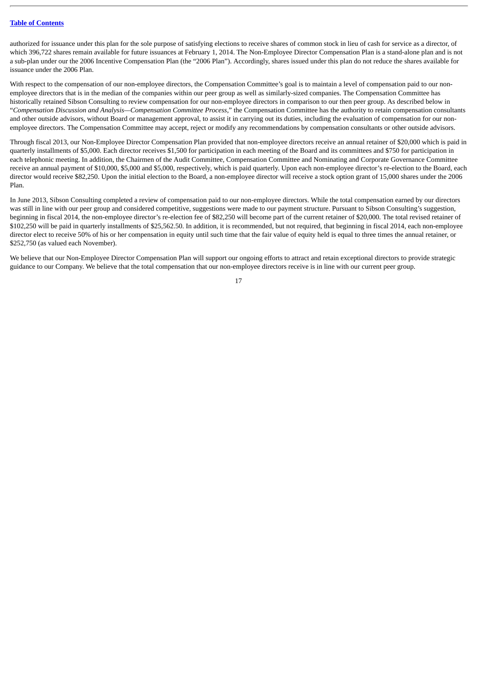authorized for issuance under this plan for the sole purpose of satisfying elections to receive shares of common stock in lieu of cash for service as a director, of which 396,722 shares remain available for future issuances at February 1, 2014. The Non-Employee Director Compensation Plan is a stand-alone plan and is not a sub-plan under our the 2006 Incentive Compensation Plan (the "2006 Plan"). Accordingly, shares issued under this plan do not reduce the shares available for issuance under the 2006 Plan.

With respect to the compensation of our non-employee directors, the Compensation Committee's goal is to maintain a level of compensation paid to our nonemployee directors that is in the median of the companies within our peer group as well as similarly-sized companies. The Compensation Committee has historically retained Sibson Consulting to review compensation for our non-employee directors in comparison to our then peer group. As described below in "*Compensation Discussion and Analysis—Compensation Committee Process*," the Compensation Committee has the authority to retain compensation consultants and other outside advisors, without Board or management approval, to assist it in carrying out its duties, including the evaluation of compensation for our nonemployee directors. The Compensation Committee may accept, reject or modify any recommendations by compensation consultants or other outside advisors.

Through fiscal 2013, our Non-Employee Director Compensation Plan provided that non-employee directors receive an annual retainer of \$20,000 which is paid in quarterly installments of \$5,000. Each director receives \$1,500 for participation in each meeting of the Board and its committees and \$750 for participation in each telephonic meeting. In addition, the Chairmen of the Audit Committee, Compensation Committee and Nominating and Corporate Governance Committee receive an annual payment of \$10,000, \$5,000 and \$5,000, respectively, which is paid quarterly. Upon each non-employee director's re-election to the Board, each director would receive \$82,250. Upon the initial election to the Board, a non-employee director will receive a stock option grant of 15,000 shares under the 2006 Plan.

In June 2013, Sibson Consulting completed a review of compensation paid to our non-employee directors. While the total compensation earned by our directors was still in line with our peer group and considered competitive, suggestions were made to our payment structure. Pursuant to Sibson Consulting's suggestion, beginning in fiscal 2014, the non-employee director's re-election fee of \$82,250 will become part of the current retainer of \$20,000. The total revised retainer of \$102,250 will be paid in quarterly installments of \$25,562.50. In addition, it is recommended, but not required, that beginning in fiscal 2014, each non-employee director elect to receive 50% of his or her compensation in equity until such time that the fair value of equity held is equal to three times the annual retainer, or \$252,750 (as valued each November).

We believe that our Non-Employee Director Compensation Plan will support our ongoing efforts to attract and retain exceptional directors to provide strategic guidance to our Company. We believe that the total compensation that our non-employee directors receive is in line with our current peer group.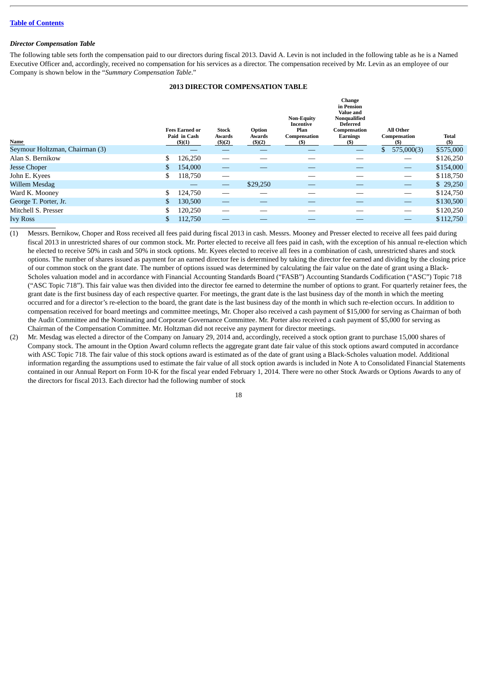#### <span id="page-20-0"></span>*Director Compensation Table*

The following table sets forth the compensation paid to our directors during fiscal 2013. David A. Levin is not included in the following table as he is a Named Executive Officer and, accordingly, received no compensation for his services as a director. The compensation received by Mr. Levin as an employee of our Company is shown below in the "*Summary Compensation Table*."

# **2013 DIRECTOR COMPENSATION TABLE**

| Name                           |    | <b>Fees Earned or</b><br>Paid in Cash<br>(5)(1) | <b>Stock</b><br>Awards<br>(5)(2) | Option<br>Awards<br>$($ \$)(2) | <b>Non-Equity</b><br>Incentive<br>Plan<br>Compensation<br>(S) | Change<br>in Pension<br><b>Value and</b><br>Nonqualified<br><b>Deferred</b><br>Compensation<br>Earnings<br>(S) | <b>All Other</b><br>Compensation<br>(S) | <b>Total</b><br>$($)$ |
|--------------------------------|----|-------------------------------------------------|----------------------------------|--------------------------------|---------------------------------------------------------------|----------------------------------------------------------------------------------------------------------------|-----------------------------------------|-----------------------|
| Seymour Holtzman, Chairman (3) |    |                                                 |                                  |                                |                                                               |                                                                                                                | $\mathbb{S}$<br>575,000(3)              | \$575,000             |
| Alan S. Bernikow               |    | 126,250                                         |                                  |                                |                                                               |                                                                                                                |                                         | \$126,250             |
| <b>Jesse Choper</b>            |    | 154,000                                         |                                  |                                |                                                               |                                                                                                                | $\overline{\phantom{m}}$                | \$154,000             |
| John E. Kyees                  | S  | 118,750                                         |                                  |                                |                                                               |                                                                                                                | $\overline{\phantom{0}}$                | \$118,750             |
| Willem Mesdag                  |    |                                                 | $\overbrace{\phantom{13333}}$    | \$29,250                       |                                                               |                                                                                                                |                                         | \$29,250              |
| Ward K. Mooney                 | S  | 124,750                                         |                                  |                                |                                                               |                                                                                                                | $\overline{\phantom{0}}$                | \$124,750             |
| George T. Porter, Jr.          |    | 130,500                                         |                                  |                                |                                                               |                                                                                                                | $\hspace{0.05cm}$                       | \$130,500             |
| Mitchell S. Presser            | \$ | 120,250                                         |                                  |                                |                                                               |                                                                                                                |                                         | \$120,250             |
| <b>Ivy Ross</b>                | S  | 112,750                                         |                                  |                                |                                                               |                                                                                                                |                                         | \$112,750             |
|                                |    |                                                 |                                  |                                |                                                               |                                                                                                                |                                         |                       |

(1) Messrs. Bernikow, Choper and Ross received all fees paid during fiscal 2013 in cash. Messrs. Mooney and Presser elected to receive all fees paid during fiscal 2013 in unrestricted shares of our common stock. Mr. Porter elected to receive all fees paid in cash, with the exception of his annual re-election which he elected to receive 50% in cash and 50% in stock options. Mr. Kyees elected to receive all fees in a combination of cash, unrestricted shares and stock options. The number of shares issued as payment for an earned director fee is determined by taking the director fee earned and dividing by the closing price of our common stock on the grant date. The number of options issued was determined by calculating the fair value on the date of grant using a Black-Scholes valuation model and in accordance with Financial Accounting Standards Board ("FASB") Accounting Standards Codification ("ASC") Topic 718 ("ASC Topic 718"). This fair value was then divided into the director fee earned to determine the number of options to grant. For quarterly retainer fees, the grant date is the first business day of each respective quarter. For meetings, the grant date is the last business day of the month in which the meeting occurred and for a director's re-election to the board, the grant date is the last business day of the month in which such re-election occurs. In addition to compensation received for board meetings and committee meetings, Mr. Choper also received a cash payment of \$15,000 for serving as Chairman of both the Audit Committee and the Nominating and Corporate Governance Committee. Mr. Porter also received a cash payment of \$5,000 for serving as Chairman of the Compensation Committee. Mr. Holtzman did not receive any payment for director meetings.

(2) Mr. Mesdag was elected a director of the Company on January 29, 2014 and, accordingly, received a stock option grant to purchase 15,000 shares of Company stock. The amount in the Option Award column reflects the aggregate grant date fair value of this stock options award computed in accordance with ASC Topic 718. The fair value of this stock options award is estimated as of the date of grant using a Black-Scholes valuation model. Additional information regarding the assumptions used to estimate the fair value of all stock option awards is included in Note A to Consolidated Financial Statements contained in our Annual Report on Form 10-K for the fiscal year ended February 1, 2014. There were no other Stock Awards or Options Awards to any of the directors for fiscal 2013. Each director had the following number of stock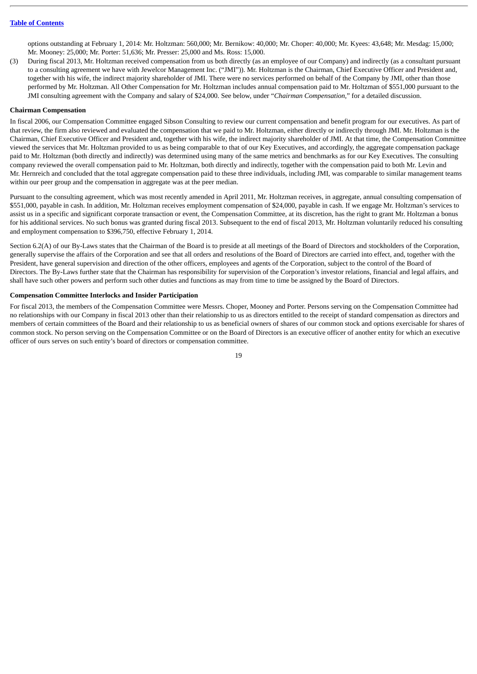options outstanding at February 1, 2014: Mr. Holtzman: 560,000; Mr. Bernikow: 40,000; Mr. Choper: 40,000; Mr. Kyees: 43,648; Mr. Mesdag: 15,000; Mr. Mooney: 25,000; Mr. Porter: 51,636; Mr. Presser: 25,000 and Ms. Ross: 15,000.

(3) During fiscal 2013, Mr. Holtzman received compensation from us both directly (as an employee of our Company) and indirectly (as a consultant pursuant to a consulting agreement we have with Jewelcor Management Inc. ("JMI")). Mr. Holtzman is the Chairman, Chief Executive Officer and President and, together with his wife, the indirect majority shareholder of JMI. There were no services performed on behalf of the Company by JMI, other than those performed by Mr. Holtzman. All Other Compensation for Mr. Holtzman includes annual compensation paid to Mr. Holtzman of \$551,000 pursuant to the JMI consulting agreement with the Company and salary of \$24,000. See below, under "*Chairman Compensation,*" for a detailed discussion.

#### <span id="page-21-0"></span>**Chairman Compensation**

In fiscal 2006, our Compensation Committee engaged Sibson Consulting to review our current compensation and benefit program for our executives. As part of that review, the firm also reviewed and evaluated the compensation that we paid to Mr. Holtzman, either directly or indirectly through JMI. Mr. Holtzman is the Chairman, Chief Executive Officer and President and, together with his wife, the indirect majority shareholder of JMI. At that time, the Compensation Committee viewed the services that Mr. Holtzman provided to us as being comparable to that of our Key Executives, and accordingly, the aggregate compensation package paid to Mr. Holtzman (both directly and indirectly) was determined using many of the same metrics and benchmarks as for our Key Executives. The consulting company reviewed the overall compensation paid to Mr. Holtzman, both directly and indirectly, together with the compensation paid to both Mr. Levin and Mr. Hernreich and concluded that the total aggregate compensation paid to these three individuals, including JMI, was comparable to similar management teams within our peer group and the compensation in aggregate was at the peer median.

Pursuant to the consulting agreement, which was most recently amended in April 2011, Mr. Holtzman receives, in aggregate, annual consulting compensation of \$551,000, payable in cash. In addition, Mr. Holtzman receives employment compensation of \$24,000, payable in cash. If we engage Mr. Holtzman's services to assist us in a specific and significant corporate transaction or event, the Compensation Committee, at its discretion, has the right to grant Mr. Holtzman a bonus for his additional services. No such bonus was granted during fiscal 2013. Subsequent to the end of fiscal 2013, Mr. Holtzman voluntarily reduced his consulting and employment compensation to \$396,750, effective February 1, 2014.

Section 6.2(A) of our By-Laws states that the Chairman of the Board is to preside at all meetings of the Board of Directors and stockholders of the Corporation, generally supervise the affairs of the Corporation and see that all orders and resolutions of the Board of Directors are carried into effect, and, together with the President, have general supervision and direction of the other officers, employees and agents of the Corporation, subject to the control of the Board of Directors. The By-Laws further state that the Chairman has responsibility for supervision of the Corporation's investor relations, financial and legal affairs, and shall have such other powers and perform such other duties and functions as may from time to time be assigned by the Board of Directors.

#### <span id="page-21-1"></span>**Compensation Committee Interlocks and Insider Participation**

For fiscal 2013, the members of the Compensation Committee were Messrs. Choper, Mooney and Porter. Persons serving on the Compensation Committee had no relationships with our Company in fiscal 2013 other than their relationship to us as directors entitled to the receipt of standard compensation as directors and members of certain committees of the Board and their relationship to us as beneficial owners of shares of our common stock and options exercisable for shares of common stock. No person serving on the Compensation Committee or on the Board of Directors is an executive officer of another entity for which an executive officer of ours serves on such entity's board of directors or compensation committee.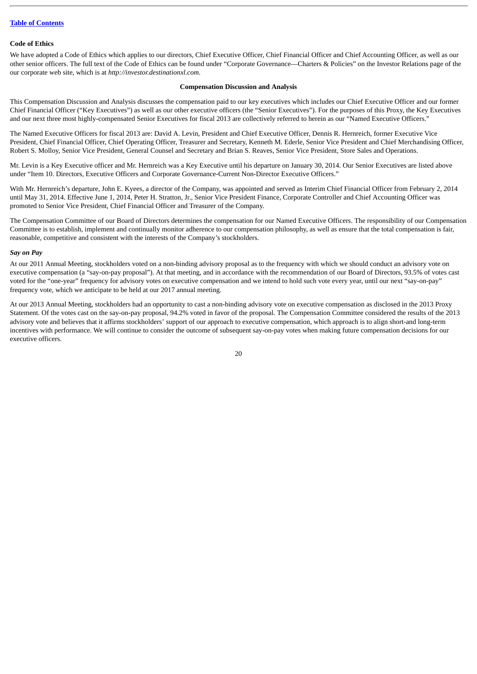#### <span id="page-22-0"></span>**Code of Ethics**

We have adopted a Code of Ethics which applies to our directors, Chief Executive Officer, Chief Financial Officer and Chief Accounting Officer, as well as our other senior officers. The full text of the Code of Ethics can be found under "Corporate Governance—Charters & Policies" on the Investor Relations page of the our corporate web site, which is at *http://investor.destinationxl.com.*

#### **Compensation Discussion and Analysis**

<span id="page-22-1"></span>This Compensation Discussion and Analysis discusses the compensation paid to our key executives which includes our Chief Executive Officer and our former Chief Financial Officer ("Key Executives") as well as our other executive officers (the "Senior Executives"). For the purposes of this Proxy, the Key Executives and our next three most highly-compensated Senior Executives for fiscal 2013 are collectively referred to herein as our "Named Executive Officers."

The Named Executive Officers for fiscal 2013 are: David A. Levin, President and Chief Executive Officer, Dennis R. Hernreich, former Executive Vice President, Chief Financial Officer, Chief Operating Officer, Treasurer and Secretary, Kenneth M. Ederle, Senior Vice President and Chief Merchandising Officer, Robert S. Molloy, Senior Vice President, General Counsel and Secretary and Brian S. Reaves, Senior Vice President, Store Sales and Operations.

Mr. Levin is a Key Executive officer and Mr. Hernreich was a Key Executive until his departure on January 30, 2014. Our Senior Executives are listed above under "Item 10. Directors, Executive Officers and Corporate Governance-Current Non-Director Executive Officers."

With Mr. Hernreich's departure, John E. Kyees, a director of the Company, was appointed and served as Interim Chief Financial Officer from February 2, 2014 until May 31, 2014. Effective June 1, 2014, Peter H. Stratton, Jr., Senior Vice President Finance, Corporate Controller and Chief Accounting Officer was promoted to Senior Vice President, Chief Financial Officer and Treasurer of the Company.

The Compensation Committee of our Board of Directors determines the compensation for our Named Executive Officers. The responsibility of our Compensation Committee is to establish, implement and continually monitor adherence to our compensation philosophy, as well as ensure that the total compensation is fair, reasonable, competitive and consistent with the interests of the Company's stockholders.

## <span id="page-22-2"></span>*Say on Pay*

At our 2011 Annual Meeting, stockholders voted on a non-binding advisory proposal as to the frequency with which we should conduct an advisory vote on executive compensation (a "say-on-pay proposal"). At that meeting, and in accordance with the recommendation of our Board of Directors, 93.5% of votes cast voted for the "one-year" frequency for advisory votes on executive compensation and we intend to hold such vote every year, until our next "say-on-pay" frequency vote, which we anticipate to be held at our 2017 annual meeting.

At our 2013 Annual Meeting, stockholders had an opportunity to cast a non-binding advisory vote on executive compensation as disclosed in the 2013 Proxy Statement. Of the votes cast on the say-on-pay proposal, 94.2% voted in favor of the proposal. The Compensation Committee considered the results of the 2013 advisory vote and believes that it affirms stockholders' support of our approach to executive compensation, which approach is to align short-and long-term incentives with performance. We will continue to consider the outcome of subsequent say-on-pay votes when making future compensation decisions for our executive officers.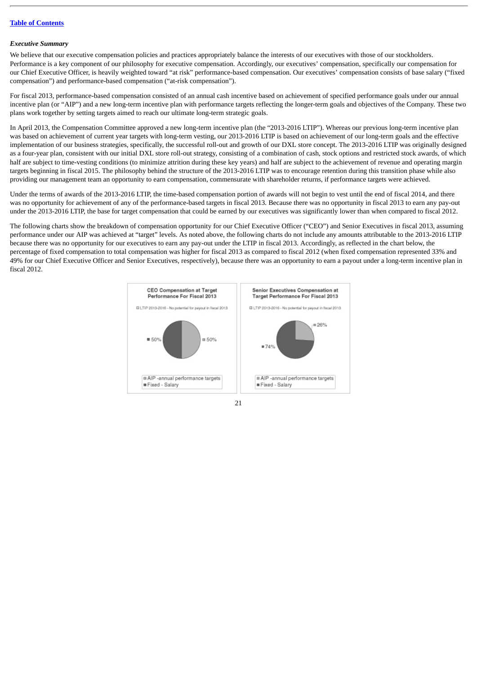#### <span id="page-23-0"></span>*Executive Summary*

We believe that our executive compensation policies and practices appropriately balance the interests of our executives with those of our stockholders. Performance is a key component of our philosophy for executive compensation. Accordingly, our executives' compensation, specifically our compensation for our Chief Executive Officer, is heavily weighted toward "at risk" performance-based compensation. Our executives' compensation consists of base salary ("fixed compensation") and performance-based compensation ("at-risk compensation").

For fiscal 2013, performance-based compensation consisted of an annual cash incentive based on achievement of specified performance goals under our annual incentive plan (or "AIP") and a new long-term incentive plan with performance targets reflecting the longer-term goals and objectives of the Company. These two plans work together by setting targets aimed to reach our ultimate long-term strategic goals.

In April 2013, the Compensation Committee approved a new long-term incentive plan (the "2013-2016 LTIP"). Whereas our previous long-term incentive plan was based on achievement of current year targets with long-term vesting, our 2013-2016 LTIP is based on achievement of our long-term goals and the effective implementation of our business strategies, specifically, the successful roll-out and growth of our DXL store concept. The 2013-2016 LTIP was originally designed as a four-year plan, consistent with our initial DXL store roll-out strategy, consisting of a combination of cash, stock options and restricted stock awards, of which half are subject to time-vesting conditions (to minimize attrition during these key years) and half are subject to the achievement of revenue and operating margin targets beginning in fiscal 2015. The philosophy behind the structure of the 2013-2016 LTIP was to encourage retention during this transition phase while also providing our management team an opportunity to earn compensation, commensurate with shareholder returns, if performance targets were achieved.

Under the terms of awards of the 2013-2016 LTIP, the time-based compensation portion of awards will not begin to vest until the end of fiscal 2014, and there was no opportunity for achievement of any of the performance-based targets in fiscal 2013. Because there was no opportunity in fiscal 2013 to earn any pay-out under the 2013-2016 LTIP, the base for target compensation that could be earned by our executives was significantly lower than when compared to fiscal 2012.

The following charts show the breakdown of compensation opportunity for our Chief Executive Officer ("CEO") and Senior Executives in fiscal 2013, assuming performance under our AIP was achieved at "target" levels. As noted above, the following charts do not include any amounts attributable to the 2013-2016 LTIP because there was no opportunity for our executives to earn any pay-out under the LTIP in fiscal 2013. Accordingly, as reflected in the chart below, the percentage of fixed compensation to total compensation was higher for fiscal 2013 as compared to fiscal 2012 (when fixed compensation represented 33% and 49% for our Chief Executive Officer and Senior Executives, respectively), because there was an opportunity to earn a payout under a long-term incentive plan in fiscal 2012.

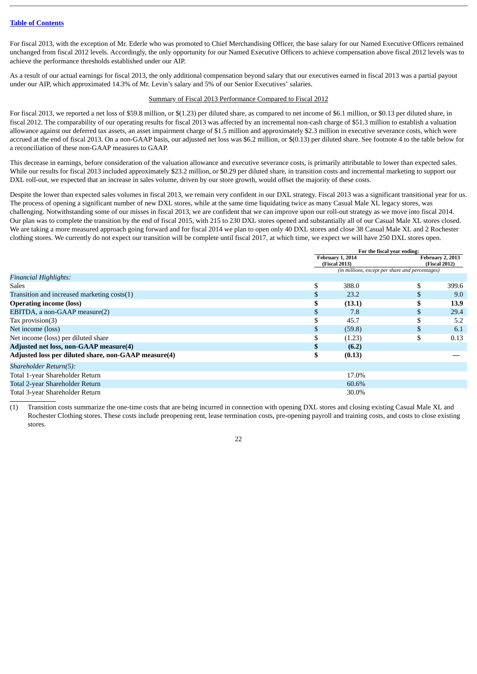For fiscal 2013, with the exception of Mr. Ederle who was promoted to Chief Merchandising Officer, the base salary for our Named Executive Officers remained unchanged from fiscal 2012 levels. Accordingly, the only opportunity for our Named Executive Officers to achieve compensation above fiscal 2012 levels was to achieve the performance thresholds established under our AIP.

As a result of our actual earnings for fiscal 2013, the only additional compensation beyond salary that our executives earned in fiscal 2013 was a partial payout under our AIP, which approximated 14.3% of Mr. Levin's salary and 5% of our Senior Executives' salaries.

#### Summary of Fiscal 2013 Performance Compared to Fiscal 2012

For fiscal 2013, we reported a net loss of \$59.8 million, or \$(1.23) per diluted share, as compared to net income of \$6.1 million, or \$0.13 per diluted share, in fiscal 2012. The comparability of our operating results for fiscal 2013 was affected by an incremental non-cash charge of \$51.3 million to establish a valuation allowance against our deferred tax assets, an asset impairment charge of \$1.5 million and approximately \$2.3 million in executive severance costs, which were accrued at the end of fiscal 2013. On a non-GAAP basis, our adjusted net loss was \$6.2 million, or \$(0.13) per diluted share. See footnote 4 to the table below for a reconciliation of these non-GAAP measures to GAAP.

This decrease in earnings, before consideration of the valuation allowance and executive severance costs, is primarily attributable to lower than expected sales. While our results for fiscal 2013 included approximately \$23.2 million, or \$0.29 per diluted share, in transition costs and incremental marketing to support our DXL roll-out, we expected that an increase in sales volume, driven by our store growth, would offset the majority of these costs.

Despite the lower than expected sales volumes in fiscal 2013, we remain very confident in our DXL strategy. Fiscal 2013 was a significant transitional year for us. The process of opening a significant number of new DXL stores, while at the same time liquidating twice as many Casual Male XL legacy stores, was challenging. Notwithstanding some of our misses in fiscal 2013, we are confident that we can improve upon our roll-out strategy as we move into fiscal 2014. Our plan was to complete the transition by the end of fiscal 2015, with 215 to 230 DXL stores opened and substantially all of our Casual Male XL stores closed. We are taking a more measured approach going forward and for fiscal 2014 we plan to open only 40 DXL stores and close 38 Casual Male XL and 2 Rochester clothing stores. We currently do not expect our transition will be complete until fiscal 2017, at which time, we expect we will have 250 DXL stores open.

|                                                      | For the fiscal year ending: |                                   |                                                 |                                                 |  |  |  |  |
|------------------------------------------------------|-----------------------------|-----------------------------------|-------------------------------------------------|-------------------------------------------------|--|--|--|--|
|                                                      |                             | February 1, 2014<br>(Fiscal 2013) |                                                 | <b>February 2, 2013</b><br><b>(Fiscal 2012)</b> |  |  |  |  |
|                                                      |                             |                                   | (in millions, except per share and percentages) |                                                 |  |  |  |  |
| <b>Financial Highlights:</b>                         |                             |                                   |                                                 |                                                 |  |  |  |  |
| <b>Sales</b>                                         | \$                          | 388.0                             |                                                 | 399.6                                           |  |  |  |  |
| Transition and increased marketing costs(1)          | \$                          | 23.2                              |                                                 | 9.0                                             |  |  |  |  |
| <b>Operating income (loss)</b>                       | \$                          | (13.1)                            |                                                 | 13.9                                            |  |  |  |  |
| EBITDA, a non-GAAP measure(2)                        | \$                          | 7.8                               | D                                               | 29.4                                            |  |  |  |  |
| Tax provision $(3)$                                  | ЭD                          | 45.7                              |                                                 | 5.2                                             |  |  |  |  |
| Net income (loss)                                    | \$                          | (59.8)                            | \$                                              | 6.1                                             |  |  |  |  |
| Net income (loss) per diluted share                  | \$                          | (1.23)                            | \$                                              | 0.13                                            |  |  |  |  |
| Adjusted net loss, non-GAAP measure(4)               | \$                          | (6.2)                             |                                                 |                                                 |  |  |  |  |
| Adjusted loss per diluted share, non-GAAP measure(4) | \$                          | (0.13)                            |                                                 |                                                 |  |  |  |  |
| Shareholder Return(5):                               |                             |                                   |                                                 |                                                 |  |  |  |  |
| Total 1-year Shareholder Return                      |                             | 17.0%                             |                                                 |                                                 |  |  |  |  |
| Total 2-year Shareholder Return                      |                             | 60.6%                             |                                                 |                                                 |  |  |  |  |
| Total 3-year Shareholder Return                      |                             | 30.0%                             |                                                 |                                                 |  |  |  |  |

(1) Transition costs summarize the one-time costs that are being incurred in connection with opening DXL stores and closing existing Casual Male XL and Rochester Clothing stores. These costs include preopening rent, lease termination costs, pre-opening payroll and training costs, and costs to close existing stores.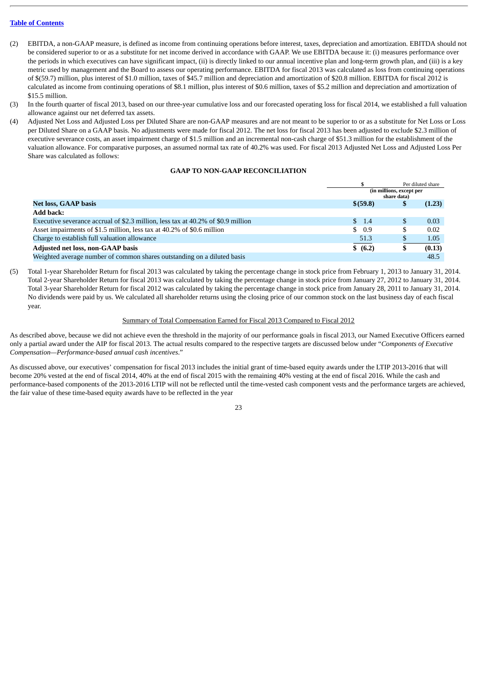- (2) EBITDA, a non-GAAP measure, is defined as income from continuing operations before interest, taxes, depreciation and amortization. EBITDA should not be considered superior to or as a substitute for net income derived in accordance with GAAP. We use EBITDA because it: (i) measures performance over the periods in which executives can have significant impact, (ii) is directly linked to our annual incentive plan and long-term growth plan, and (iii) is a key metric used by management and the Board to assess our operating performance. EBITDA for fiscal 2013 was calculated as loss from continuing operations of \$(59.7) million, plus interest of \$1.0 million, taxes of \$45.7 million and depreciation and amortization of \$20.8 million. EBITDA for fiscal 2012 is calculated as income from continuing operations of \$8.1 million, plus interest of \$0.6 million, taxes of \$5.2 million and depreciation and amortization of \$15.5 million.
- (3) In the fourth quarter of fiscal 2013, based on our three-year cumulative loss and our forecasted operating loss for fiscal 2014, we established a full valuation allowance against our net deferred tax assets.
- (4) Adjusted Net Loss and Adjusted Loss per Diluted Share are non-GAAP measures and are not meant to be superior to or as a substitute for Net Loss or Loss per Diluted Share on a GAAP basis. No adjustments were made for fiscal 2012. The net loss for fiscal 2013 has been adjusted to exclude \$2.3 million of executive severance costs, an asset impairment charge of \$1.5 million and an incremental non-cash charge of \$51.3 million for the establishment of the valuation allowance. For comparative purposes, an assumed normal tax rate of 40.2% was used. For fiscal 2013 Adjusted Net Loss and Adjusted Loss Per Share was calculated as follows:

# **GAAP TO NON-GAAP RECONCILIATION**

|                                                                                  |                                         | Per diluted share |        |
|----------------------------------------------------------------------------------|-----------------------------------------|-------------------|--------|
|                                                                                  | (in millions, except per<br>share data) |                   |        |
| <b>Net loss, GAAP basis</b>                                                      | \$ (59.8)                               | Φ                 | (1.23) |
| <b>Add back:</b>                                                                 |                                         |                   |        |
| Executive severance accrual of \$2.3 million, less tax at 40.2% of \$0.9 million | $\frac{1.4}{2}$                         |                   | 0.03   |
| Asset impairments of \$1.5 million, less tax at 40.2% of \$0.6 million           | \$0.9                                   | S                 | 0.02   |
| Charge to establish full valuation allowance                                     | 51.3                                    |                   | 1.05   |
| <b>Adjusted net loss, non-GAAP basis</b>                                         | \$ (6.2)                                | Φ                 | (0.13) |
| Weighted average number of common shares outstanding on a diluted basis          |                                         |                   | 48.5   |

(5) Total 1-year Shareholder Return for fiscal 2013 was calculated by taking the percentage change in stock price from February 1, 2013 to January 31, 2014. Total 2-year Shareholder Return for fiscal 2013 was calculated by taking the percentage change in stock price from January 27, 2012 to January 31, 2014. Total 3-year Shareholder Return for fiscal 2012 was calculated by taking the percentage change in stock price from January 28, 2011 to January 31, 2014. No dividends were paid by us. We calculated all shareholder returns using the closing price of our common stock on the last business day of each fiscal year.

# Summary of Total Compensation Earned for Fiscal 2013 Compared to Fiscal 2012

As described above, because we did not achieve even the threshold in the majority of our performance goals in fiscal 2013, our Named Executive Officers earned only a partial award under the AIP for fiscal 2013. The actual results compared to the respective targets are discussed below under "*Components of Executive Compensation—Performance-based annual cash incentives*."

As discussed above, our executives' compensation for fiscal 2013 includes the initial grant of time-based equity awards under the LTIP 2013-2016 that will become 20% vested at the end of fiscal 2014, 40% at the end of fiscal 2015 with the remaining 40% vesting at the end of fiscal 2016. While the cash and performance-based components of the 2013-2016 LTIP will not be reflected until the time-vested cash component vests and the performance targets are achieved, the fair value of these time-based equity awards have to be reflected in the year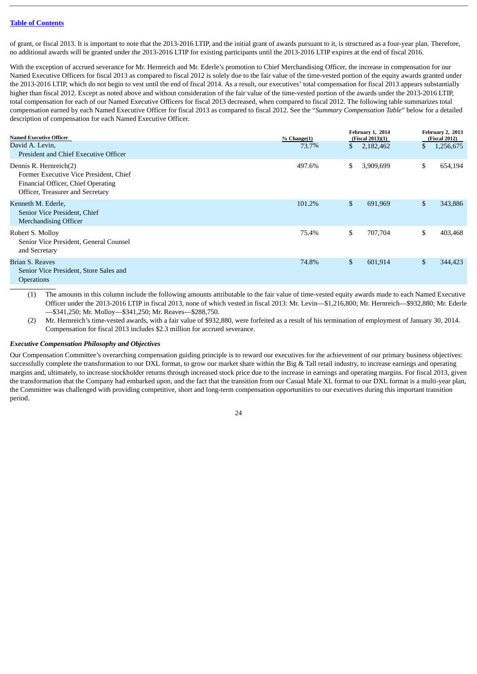of grant, or fiscal 2013. It is important to note that the 2013-2016 LTIP, and the initial grant of awards pursuant to it, is structured as a four-year plan. Therefore, no additional awards will be granted under the 2013-2016 LTIP for existing participants until the 2013-2016 LTIP expires at the end of fiscal 2016.

With the exception of accrued severance for Mr. Hernreich and Mr. Ederle's promotion to Chief Merchandising Officer, the increase in compensation for our Named Executive Officers for fiscal 2013 as compared to fiscal 2012 is solely due to the fair value of the time-vested portion of the equity awards granted under the 2013-2016 LTIP, which do not begin to vest until the end of fiscal 2014. As a result, our executives' total compensation for fiscal 2013 appears substantially higher than fiscal 2012. Except as noted above and without consideration of the fair value of the time-vested portion of the awards under the 2013-2016 LTIP, total compensation for each of our Named Executive Officers for fiscal 2013 decreased, when compared to fiscal 2012. The following table summarizes total compensation earned by each Named Executive Officer for fiscal 2013 as compared to fiscal 2012. See the "*Summary Compensation Table*" below for a detailed description of compensation for each Named Executive Officer.

| <b>Named Executive Officer</b>                                                                                                             | % Change(1) |    | February 1, 2014<br>(Fiscal 2013)(1) | February 2, 2013<br>(Fiscal 2012) |  |
|--------------------------------------------------------------------------------------------------------------------------------------------|-------------|----|--------------------------------------|-----------------------------------|--|
| David A. Levin,<br>President and Chief Executive Officer                                                                                   | 73.7%       | \$ | 2,182,462                            | \$<br>1,256,675                   |  |
| Dennis R. Hernreich(2)<br>Former Executive Vice President, Chief<br>Financial Officer, Chief Operating<br>Officer, Treasurer and Secretary | 497.6%      | S. | 3,909,699                            | \$<br>654,194                     |  |
| Kenneth M. Ederle,<br>Senior Vice President, Chief<br><b>Merchandising Officer</b>                                                         | 101.2%      | \$ | 691,969                              | \$<br>343,886                     |  |
| Robert S. Molloy<br>Senior Vice President, General Counsel<br>and Secretary                                                                | 75.4%       | \$ | 707,704                              | \$<br>403,468                     |  |
| Brian S. Reaves<br>Senior Vice President, Store Sales and<br><b>Operations</b>                                                             | 74.8%       | \$ | 601,914                              | \$<br>344,423                     |  |

(1) The amounts in this column include the following amounts attributable to the fair value of time-vested equity awards made to each Named Executive Officer under the 2013-2016 LTIP in fiscal 2013, none of which vested in fiscal 2013: Mr. Levin—\$1,216,800; Mr. Hernreich—\$932,880; Mr. Ederle —\$341,250; Mr. Molloy—\$341,250; Mr. Reaves—\$288,750.

(2) Mr. Hernreich's time-vested awards, with a fair value of \$932,880, were forfeited as a result of his termination of employment of January 30, 2014. Compensation for fiscal 2013 includes \$2.3 million for accrued severance.

#### <span id="page-26-0"></span>*Executive Compensation Philosophy and Objectives*

Our Compensation Committee's overarching compensation guiding principle is to reward our executives for the achievement of our primary business objectives: successfully complete the transformation to our DXL format, to grow our market share within the Big & Tall retail industry, to increase earnings and operating margins and, ultimately, to increase stockholder returns through increased stock price due to the increase in earnings and operating margins. For fiscal 2013, given the transformation that the Company had embarked upon, and the fact that the transition from our Casual Male XL format to our DXL format is a multi-year plan, the Committee was challenged with providing competitive, short and long-term compensation opportunities to our executives during this important transition period.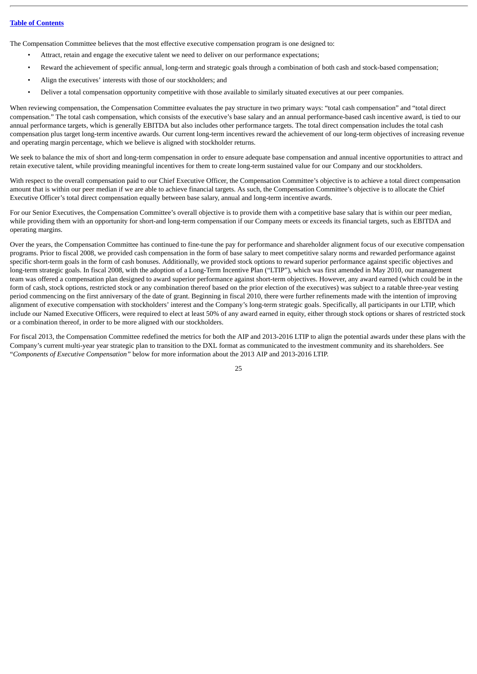The Compensation Committee believes that the most effective executive compensation program is one designed to:

- Attract, retain and engage the executive talent we need to deliver on our performance expectations;
- Reward the achievement of specific annual, long-term and strategic goals through a combination of both cash and stock-based compensation;
- Align the executives' interests with those of our stockholders; and
- Deliver a total compensation opportunity competitive with those available to similarly situated executives at our peer companies.

When reviewing compensation, the Compensation Committee evaluates the pay structure in two primary ways: "total cash compensation" and "total direct compensation." The total cash compensation, which consists of the executive's base salary and an annual performance-based cash incentive award, is tied to our annual performance targets, which is generally EBITDA but also includes other performance targets. The total direct compensation includes the total cash compensation plus target long-term incentive awards. Our current long-term incentives reward the achievement of our long-term objectives of increasing revenue and operating margin percentage, which we believe is aligned with stockholder returns.

We seek to balance the mix of short and long-term compensation in order to ensure adequate base compensation and annual incentive opportunities to attract and retain executive talent, while providing meaningful incentives for them to create long-term sustained value for our Company and our stockholders.

With respect to the overall compensation paid to our Chief Executive Officer, the Compensation Committee's objective is to achieve a total direct compensation amount that is within our peer median if we are able to achieve financial targets. As such, the Compensation Committee's objective is to allocate the Chief Executive Officer's total direct compensation equally between base salary, annual and long-term incentive awards.

For our Senior Executives, the Compensation Committee's overall objective is to provide them with a competitive base salary that is within our peer median, while providing them with an opportunity for short-and long-term compensation if our Company meets or exceeds its financial targets, such as EBITDA and operating margins.

Over the years, the Compensation Committee has continued to fine-tune the pay for performance and shareholder alignment focus of our executive compensation programs. Prior to fiscal 2008, we provided cash compensation in the form of base salary to meet competitive salary norms and rewarded performance against specific short-term goals in the form of cash bonuses. Additionally, we provided stock options to reward superior performance against specific objectives and long-term strategic goals. In fiscal 2008, with the adoption of a Long-Term Incentive Plan ("LTIP"), which was first amended in May 2010, our management team was offered a compensation plan designed to award superior performance against short-term objectives. However, any award earned (which could be in the form of cash, stock options, restricted stock or any combination thereof based on the prior election of the executives) was subject to a ratable three-year vesting period commencing on the first anniversary of the date of grant. Beginning in fiscal 2010, there were further refinements made with the intention of improving alignment of executive compensation with stockholders' interest and the Company's long-term strategic goals. Specifically, all participants in our LTIP, which include our Named Executive Officers, were required to elect at least 50% of any award earned in equity, either through stock options or shares of restricted stock or a combination thereof, in order to be more aligned with our stockholders.

For fiscal 2013, the Compensation Committee redefined the metrics for both the AIP and 2013-2016 LTIP to align the potential awards under these plans with the Company's current multi-year year strategic plan to transition to the DXL format as communicated to the investment community and its shareholders. See "*Components of Executive Compensation"* below for more information about the 2013 AIP and 2013-2016 LTIP.

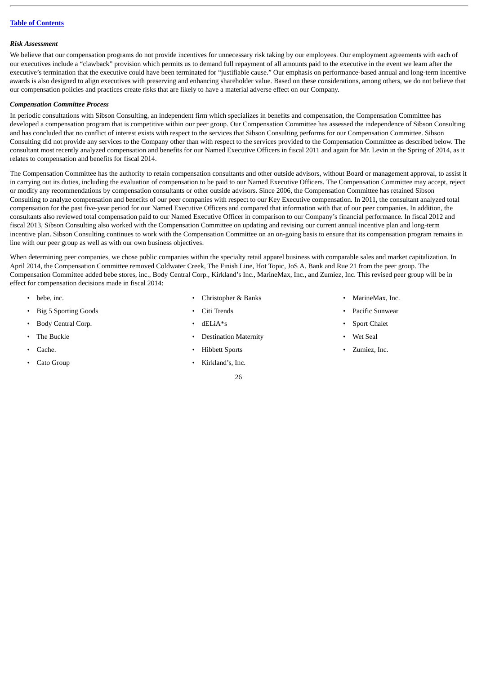#### <span id="page-28-0"></span>*Risk Assessment*

We believe that our compensation programs do not provide incentives for unnecessary risk taking by our employees. Our employment agreements with each of our executives include a "clawback" provision which permits us to demand full repayment of all amounts paid to the executive in the event we learn after the executive's termination that the executive could have been terminated for "justifiable cause." Our emphasis on performance-based annual and long-term incentive awards is also designed to align executives with preserving and enhancing shareholder value. Based on these considerations, among others, we do not believe that our compensation policies and practices create risks that are likely to have a material adverse effect on our Company.

#### <span id="page-28-1"></span>*Compensation Committee Process*

In periodic consultations with Sibson Consulting, an independent firm which specializes in benefits and compensation, the Compensation Committee has developed a compensation program that is competitive within our peer group. Our Compensation Committee has assessed the independence of Sibson Consulting and has concluded that no conflict of interest exists with respect to the services that Sibson Consulting performs for our Compensation Committee. Sibson Consulting did not provide any services to the Company other than with respect to the services provided to the Compensation Committee as described below. The consultant most recently analyzed compensation and benefits for our Named Executive Officers in fiscal 2011 and again for Mr. Levin in the Spring of 2014, as it relates to compensation and benefits for fiscal 2014.

The Compensation Committee has the authority to retain compensation consultants and other outside advisors, without Board or management approval, to assist it in carrying out its duties, including the evaluation of compensation to be paid to our Named Executive Officers. The Compensation Committee may accept, reject or modify any recommendations by compensation consultants or other outside advisors. Since 2006, the Compensation Committee has retained Sibson Consulting to analyze compensation and benefits of our peer companies with respect to our Key Executive compensation. In 2011, the consultant analyzed total compensation for the past five-year period for our Named Executive Officers and compared that information with that of our peer companies. In addition, the consultants also reviewed total compensation paid to our Named Executive Officer in comparison to our Company's financial performance. In fiscal 2012 and fiscal 2013, Sibson Consulting also worked with the Compensation Committee on updating and revising our current annual incentive plan and long-term incentive plan. Sibson Consulting continues to work with the Compensation Committee on an on-going basis to ensure that its compensation program remains in line with our peer group as well as with our own business objectives.

When determining peer companies, we chose public companies within the specialty retail apparel business with comparable sales and market capitalization. In April 2014, the Compensation Committee removed Coldwater Creek, The Finish Line, Hot Topic, JoS A. Bank and Rue 21 from the peer group. The Compensation Committee added bebe stores, inc., Body Central Corp., Kirkland's Inc., MarineMax, Inc., and Zumiez, Inc. This revised peer group will be in effect for compensation decisions made in fiscal 2014:

- 
- Big 5 Sporting Goods Citi Trends Pacific Sunwear
- Body Central Corp. dELiA\*s Sport Chalet
- 
- 
- Cato Group Kirkland's, Inc.
- bebe, inc. Christopher & Banks MarineMax, Inc. MarineMax, Inc.
	-
	-
	- The Buckle Destination Maternity Destination Maternity Wet Seal

- Cache. Cache. Cache. Cache. Cache. Cache. Zumiez, Inc.
	-
- 
- 
- 
- 
-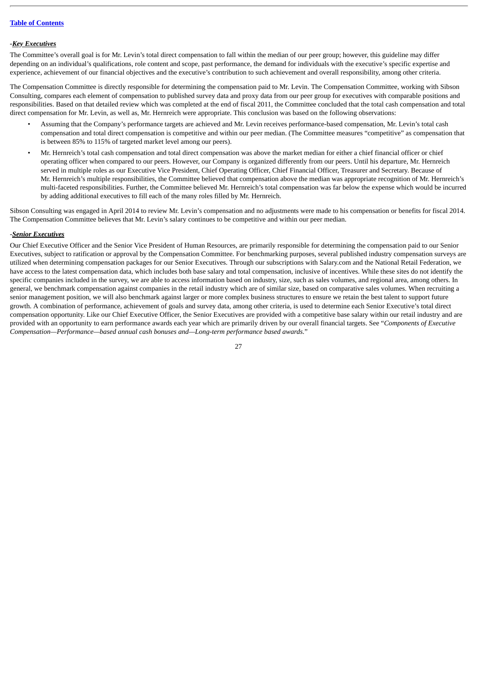#### *-Key Executives*

The Committee's overall goal is for Mr. Levin's total direct compensation to fall within the median of our peer group; however, this guideline may differ depending on an individual's qualifications, role content and scope, past performance, the demand for individuals with the executive's specific expertise and experience, achievement of our financial objectives and the executive's contribution to such achievement and overall responsibility, among other criteria.

The Compensation Committee is directly responsible for determining the compensation paid to Mr. Levin. The Compensation Committee, working with Sibson Consulting, compares each element of compensation to published survey data and proxy data from our peer group for executives with comparable positions and responsibilities. Based on that detailed review which was completed at the end of fiscal 2011, the Committee concluded that the total cash compensation and total direct compensation for Mr. Levin, as well as, Mr. Hernreich were appropriate. This conclusion was based on the following observations:

- Assuming that the Company's performance targets are achieved and Mr. Levin receives performance-based compensation, Mr. Levin's total cash compensation and total direct compensation is competitive and within our peer median. (The Committee measures "competitive" as compensation that is between 85% to 115% of targeted market level among our peers).
- Mr. Hernreich's total cash compensation and total direct compensation was above the market median for either a chief financial officer or chief operating officer when compared to our peers. However, our Company is organized differently from our peers. Until his departure, Mr. Hernreich served in multiple roles as our Executive Vice President, Chief Operating Officer, Chief Financial Officer, Treasurer and Secretary. Because of Mr. Hernreich's multiple responsibilities, the Committee believed that compensation above the median was appropriate recognition of Mr. Hernreich's multi-faceted responsibilities. Further, the Committee believed Mr. Hernreich's total compensation was far below the expense which would be incurred by adding additional executives to fill each of the many roles filled by Mr. Hernreich.

Sibson Consulting was engaged in April 2014 to review Mr. Levin's compensation and no adjustments were made to his compensation or benefits for fiscal 2014. The Compensation Committee believes that Mr. Levin's salary continues to be competitive and within our peer median.

# -*Senior Executives*

Our Chief Executive Officer and the Senior Vice President of Human Resources, are primarily responsible for determining the compensation paid to our Senior Executives, subject to ratification or approval by the Compensation Committee. For benchmarking purposes, several published industry compensation surveys are utilized when determining compensation packages for our Senior Executives. Through our subscriptions with Salary.com and the National Retail Federation, we have access to the latest compensation data, which includes both base salary and total compensation, inclusive of incentives. While these sites do not identify the specific companies included in the survey, we are able to access information based on industry, size, such as sales volumes, and regional area, among others. In general, we benchmark compensation against companies in the retail industry which are of similar size, based on comparative sales volumes. When recruiting a senior management position, we will also benchmark against larger or more complex business structures to ensure we retain the best talent to support future growth. A combination of performance, achievement of goals and survey data, among other criteria, is used to determine each Senior Executive's total direct compensation opportunity. Like our Chief Executive Officer, the Senior Executives are provided with a competitive base salary within our retail industry and are provided with an opportunity to earn performance awards each year which are primarily driven by our overall financial targets. See "*Components of Executive Compensation—Performance—based annual cash bonuses and—Long-term performance based awards.*"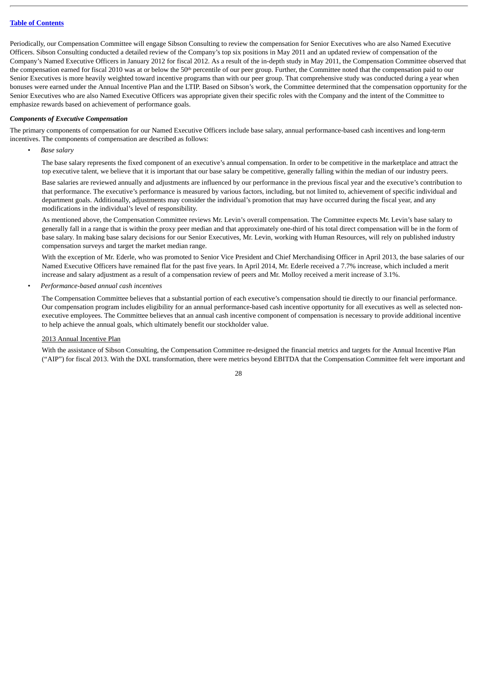Periodically, our Compensation Committee will engage Sibson Consulting to review the compensation for Senior Executives who are also Named Executive Officers. Sibson Consulting conducted a detailed review of the Company's top six positions in May 2011 and an updated review of compensation of the Company's Named Executive Officers in January 2012 for fiscal 2012. As a result of the in-depth study in May 2011, the Compensation Committee observed that the compensation earned for fiscal 2010 was at or below the 50<sup>th</sup> percentile of our peer group. Further, the Committee noted that the compensation paid to our Senior Executives is more heavily weighted toward incentive programs than with our peer group. That comprehensive study was conducted during a year when bonuses were earned under the Annual Incentive Plan and the LTIP. Based on Sibson's work, the Committee determined that the compensation opportunity for the Senior Executives who are also Named Executive Officers was appropriate given their specific roles with the Company and the intent of the Committee to emphasize rewards based on achievement of performance goals.

#### <span id="page-30-0"></span>*Components of Executive Compensation*

The primary components of compensation for our Named Executive Officers include base salary, annual performance-based cash incentives and long-term incentives. The components of compensation are described as follows:

*• Base salary*

The base salary represents the fixed component of an executive's annual compensation. In order to be competitive in the marketplace and attract the top executive talent, we believe that it is important that our base salary be competitive, generally falling within the median of our industry peers.

Base salaries are reviewed annually and adjustments are influenced by our performance in the previous fiscal year and the executive's contribution to that performance. The executive's performance is measured by various factors, including, but not limited to, achievement of specific individual and department goals. Additionally, adjustments may consider the individual's promotion that may have occurred during the fiscal year, and any modifications in the individual's level of responsibility.

As mentioned above, the Compensation Committee reviews Mr. Levin's overall compensation. The Committee expects Mr. Levin's base salary to generally fall in a range that is within the proxy peer median and that approximately one-third of his total direct compensation will be in the form of base salary. In making base salary decisions for our Senior Executives, Mr. Levin, working with Human Resources, will rely on published industry compensation surveys and target the market median range.

With the exception of Mr. Ederle, who was promoted to Senior Vice President and Chief Merchandising Officer in April 2013, the base salaries of our Named Executive Officers have remained flat for the past five years. In April 2014, Mr. Ederle received a 7.7% increase, which included a merit increase and salary adjustment as a result of a compensation review of peers and Mr. Molloy received a merit increase of 3.1%.

*• Performance-based annual cash incentives*

The Compensation Committee believes that a substantial portion of each executive's compensation should tie directly to our financial performance. Our compensation program includes eligibility for an annual performance-based cash incentive opportunity for all executives as well as selected nonexecutive employees. The Committee believes that an annual cash incentive component of compensation is necessary to provide additional incentive to help achieve the annual goals, which ultimately benefit our stockholder value.

#### 2013 Annual Incentive Plan

With the assistance of Sibson Consulting, the Compensation Committee re-designed the financial metrics and targets for the Annual Incentive Plan ("AIP") for fiscal 2013. With the DXL transformation, there were metrics beyond EBITDA that the Compensation Committee felt were important and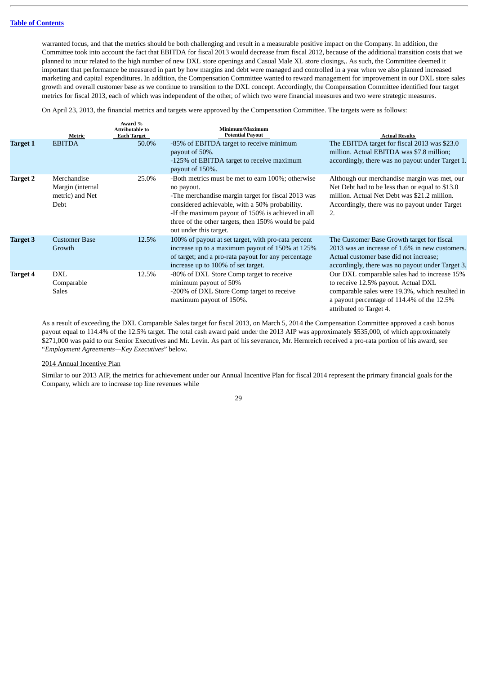warranted focus, and that the metrics should be both challenging and result in a measurable positive impact on the Company. In addition, the Committee took into account the fact that EBITDA for fiscal 2013 would decrease from fiscal 2012, because of the additional transition costs that we planned to incur related to the high number of new DXL store openings and Casual Male XL store closings,. As such, the Committee deemed it important that performance be measured in part by how margins and debt were managed and controlled in a year when we also planned increased marketing and capital expenditures. In addition, the Compensation Committee wanted to reward management for improvement in our DXL store sales growth and overall customer base as we continue to transition to the DXL concept. Accordingly, the Compensation Committee identified four target metrics for fiscal 2013, each of which was independent of the other, of which two were financial measures and two were strategic measures.

On April 23, 2013, the financial metrics and targets were approved by the Compensation Committee. The targets were as follows:

|                 | Metric                                                     | Award %<br><b>Attributable to</b><br><b>Each Target</b> | Minimum/Maximum<br><b>Potential Payout</b>                                                                                                                                                                                                                                                                    | <b>Actual Results</b>                                                                                                                                                                                          |
|-----------------|------------------------------------------------------------|---------------------------------------------------------|---------------------------------------------------------------------------------------------------------------------------------------------------------------------------------------------------------------------------------------------------------------------------------------------------------------|----------------------------------------------------------------------------------------------------------------------------------------------------------------------------------------------------------------|
| <b>Target 1</b> | <b>EBITDA</b>                                              | 50.0%                                                   | -85% of EBITDA target to receive minimum<br>payout of 50%.<br>-125% of EBITDA target to receive maximum<br>payout of 150%.                                                                                                                                                                                    | The EBITDA target for fiscal 2013 was \$23.0<br>million. Actual EBITDA was \$7.8 million;<br>accordingly, there was no payout under Target 1.                                                                  |
| <b>Target 2</b> | Merchandise<br>Margin (internal<br>metric) and Net<br>Debt | 25.0%                                                   | -Both metrics must be met to earn 100%; otherwise<br>no payout.<br>-The merchandise margin target for fiscal 2013 was<br>considered achievable, with a 50% probability.<br>-If the maximum payout of 150% is achieved in all<br>three of the other targets, then 150% would be paid<br>out under this target. | Although our merchandise margin was met, our<br>Net Debt had to be less than or equal to \$13.0<br>million. Actual Net Debt was \$21.2 million.<br>Accordingly, there was no payout under Target<br>2.         |
| <b>Target 3</b> | <b>Customer Base</b><br>Growth                             | 12.5%                                                   | 100% of payout at set target, with pro-rata percent<br>increase up to a maximum payout of 150% at 125%<br>of target; and a pro-rata payout for any percentage<br>increase up to 100% of set target.                                                                                                           | The Customer Base Growth target for fiscal<br>2013 was an increase of 1.6% in new customers.<br>Actual customer base did not increase;<br>accordingly, there was no payout under Target 3.                     |
| <b>Target 4</b> | <b>DXL</b><br>Comparable<br>Sales                          | 12.5%                                                   | -80% of DXL Store Comp target to receive<br>minimum payout of 50%<br>-200% of DXL Store Comp target to receive<br>maximum payout of 150%.                                                                                                                                                                     | Our DXL comparable sales had to increase 15%<br>to receive 12.5% payout. Actual DXL<br>comparable sales were 19.3%, which resulted in<br>a payout percentage of 114.4% of the 12.5%<br>attributed to Target 4. |

As a result of exceeding the DXL Comparable Sales target for fiscal 2013, on March 5, 2014 the Compensation Committee approved a cash bonus payout equal to 114.4% of the 12.5% target. The total cash award paid under the 2013 AIP was approximately \$535,000, of which approximately \$271,000 was paid to our Senior Executives and Mr. Levin. As part of his severance, Mr. Hernreich received a pro-rata portion of his award, see "*Employment Agreements—Key Executives*" below.

2014 Annual Incentive Plan

Similar to our 2013 AIP, the metrics for achievement under our Annual Incentive Plan for fiscal 2014 represent the primary financial goals for the Company, which are to increase top line revenues while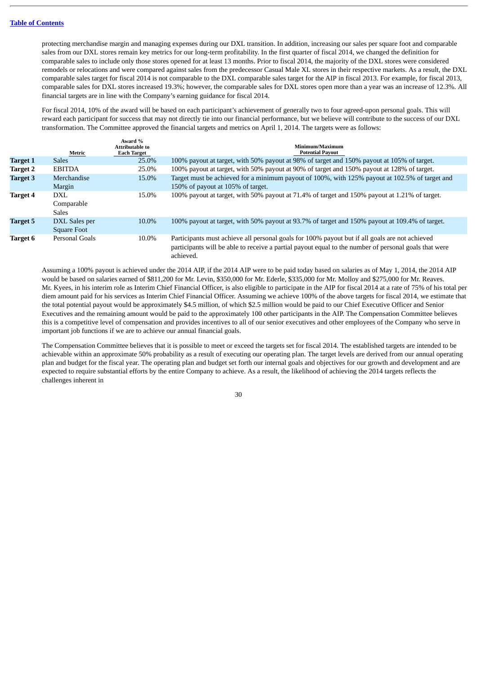protecting merchandise margin and managing expenses during our DXL transition. In addition, increasing our sales per square foot and comparable sales from our DXL stores remain key metrics for our long-term profitability. In the first quarter of fiscal 2014, we changed the definition for comparable sales to include only those stores opened for at least 13 months. Prior to fiscal 2014, the majority of the DXL stores were considered remodels or relocations and were compared against sales from the predecessor Casual Male XL stores in their respective markets. As a result, the DXL comparable sales target for fiscal 2014 is not comparable to the DXL comparable sales target for the AIP in fiscal 2013. For example, for fiscal 2013, comparable sales for DXL stores increased 19.3%; however, the comparable sales for DXL stores open more than a year was an increase of 12.3%. All financial targets are in line with the Company's earning guidance for fiscal 2014.

For fiscal 2014, 10% of the award will be based on each participant's achievement of generally two to four agreed-upon personal goals. This will reward each participant for success that may not directly tie into our financial performance, but we believe will contribute to the success of our DXL transformation. The Committee approved the financial targets and metrics on April 1, 2014. The targets were as follows:

|                 | Metric                            | Award %<br>Attributable to<br><b>Each Target</b> | Minimum/Maximum<br><b>Potential Payout</b>                                                                                                                                                                           |
|-----------------|-----------------------------------|--------------------------------------------------|----------------------------------------------------------------------------------------------------------------------------------------------------------------------------------------------------------------------|
| <b>Target 1</b> | <b>Sales</b>                      | 25.0%                                            | 100% payout at target, with 50% payout at 98% of target and 150% payout at 105% of target.                                                                                                                           |
| <b>Target 2</b> | <b>EBITDA</b>                     | 25.0%                                            | 100% payout at target, with 50% payout at 90% of target and 150% payout at 128% of target.                                                                                                                           |
| Target 3        | Merchandise<br>Margin             | 15.0%                                            | Target must be achieved for a minimum payout of 100%, with 125% payout at 102.5% of target and<br>150% of payout at 105% of target.                                                                                  |
| <b>Target 4</b> | DXL<br>Comparable<br><b>Sales</b> | 15.0%                                            | 100% payout at target, with 50% payout at 71.4% of target and 150% payout at 1.21% of target.                                                                                                                        |
| <b>Target 5</b> | DXL Sales per<br>Square Foot      | 10.0%                                            | 100% payout at target, with 50% payout at 93.7% of target and 150% payout at 109.4% of target.                                                                                                                       |
| Target 6        | Personal Goals                    | 10.0%                                            | Participants must achieve all personal goals for 100% payout but if all goals are not achieved<br>participants will be able to receive a partial payout equal to the number of personal goals that were<br>achieved. |

Assuming a 100% payout is achieved under the 2014 AIP, if the 2014 AIP were to be paid today based on salaries as of May 1, 2014, the 2014 AIP would be based on salaries earned of \$811,200 for Mr. Levin, \$350,000 for Mr. Ederle, \$335,000 for Mr. Molloy and \$275,000 for Mr. Reaves. Mr. Kyees, in his interim role as Interim Chief Financial Officer, is also eligible to participate in the AIP for fiscal 2014 at a rate of 75% of his total per diem amount paid for his services as Interim Chief Financial Officer. Assuming we achieve 100% of the above targets for fiscal 2014, we estimate that the total potential payout would be approximately \$4.5 million, of which \$2.5 million would be paid to our Chief Executive Officer and Senior Executives and the remaining amount would be paid to the approximately 100 other participants in the AIP. The Compensation Committee believes this is a competitive level of compensation and provides incentives to all of our senior executives and other employees of the Company who serve in important job functions if we are to achieve our annual financial goals.

The Compensation Committee believes that it is possible to meet or exceed the targets set for fiscal 2014. The established targets are intended to be achievable within an approximate 50% probability as a result of executing our operating plan. The target levels are derived from our annual operating plan and budget for the fiscal year. The operating plan and budget set forth our internal goals and objectives for our growth and development and are expected to require substantial efforts by the entire Company to achieve. As a result, the likelihood of achieving the 2014 targets reflects the challenges inherent in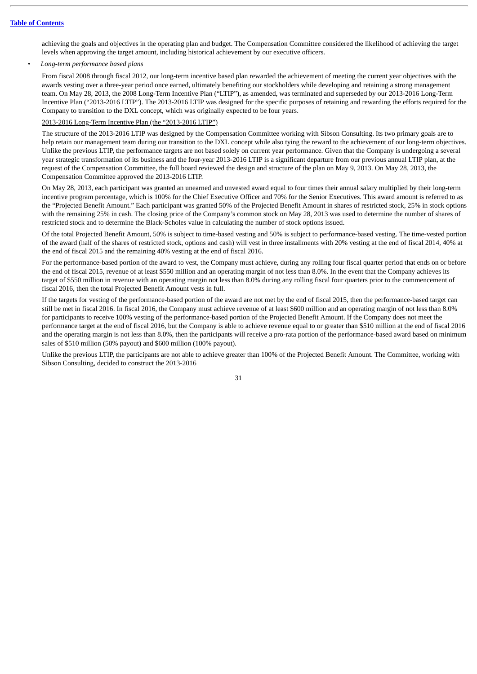achieving the goals and objectives in the operating plan and budget. The Compensation Committee considered the likelihood of achieving the target levels when approving the target amount, including historical achievement by our executive officers.

# *• Long-term performance based plans*

From fiscal 2008 through fiscal 2012, our long-term incentive based plan rewarded the achievement of meeting the current year objectives with the awards vesting over a three-year period once earned, ultimately benefiting our stockholders while developing and retaining a strong management team. On May 28, 2013, the 2008 Long-Term Incentive Plan ("LTIP"), as amended, was terminated and superseded by our 2013-2016 Long-Term Incentive Plan ("2013-2016 LTIP"). The 2013-2016 LTIP was designed for the specific purposes of retaining and rewarding the efforts required for the Company to transition to the DXL concept, which was originally expected to be four years.

#### 2013-2016 Long-Term Incentive Plan (the "2013-2016 LTIP")

The structure of the 2013-2016 LTIP was designed by the Compensation Committee working with Sibson Consulting. Its two primary goals are to help retain our management team during our transition to the DXL concept while also tying the reward to the achievement of our long-term objectives. Unlike the previous LTIP, the performance targets are not based solely on current year performance. Given that the Company is undergoing a several year strategic transformation of its business and the four-year 2013-2016 LTIP is a significant departure from our previous annual LTIP plan, at the request of the Compensation Committee, the full board reviewed the design and structure of the plan on May 9, 2013. On May 28, 2013, the Compensation Committee approved the 2013-2016 LTIP.

On May 28, 2013, each participant was granted an unearned and unvested award equal to four times their annual salary multiplied by their long-term incentive program percentage, which is 100% for the Chief Executive Officer and 70% for the Senior Executives. This award amount is referred to as the "Projected Benefit Amount." Each participant was granted 50% of the Projected Benefit Amount in shares of restricted stock, 25% in stock options with the remaining 25% in cash. The closing price of the Company's common stock on May 28, 2013 was used to determine the number of shares of restricted stock and to determine the Black-Scholes value in calculating the number of stock options issued.

Of the total Projected Benefit Amount, 50% is subject to time-based vesting and 50% is subject to performance-based vesting. The time-vested portion of the award (half of the shares of restricted stock, options and cash) will vest in three installments with 20% vesting at the end of fiscal 2014, 40% at the end of fiscal 2015 and the remaining 40% vesting at the end of fiscal 2016.

For the performance-based portion of the award to vest, the Company must achieve, during any rolling four fiscal quarter period that ends on or before the end of fiscal 2015, revenue of at least \$550 million and an operating margin of not less than 8.0%. In the event that the Company achieves its target of \$550 million in revenue with an operating margin not less than 8.0% during any rolling fiscal four quarters prior to the commencement of fiscal 2016, then the total Projected Benefit Amount vests in full.

If the targets for vesting of the performance-based portion of the award are not met by the end of fiscal 2015, then the performance-based target can still be met in fiscal 2016. In fiscal 2016, the Company must achieve revenue of at least \$600 million and an operating margin of not less than 8.0% for participants to receive 100% vesting of the performance-based portion of the Projected Benefit Amount. If the Company does not meet the performance target at the end of fiscal 2016, but the Company is able to achieve revenue equal to or greater than \$510 million at the end of fiscal 2016 and the operating margin is not less than 8.0%, then the participants will receive a pro-rata portion of the performance-based award based on minimum sales of \$510 million (50% payout) and \$600 million (100% payout).

Unlike the previous LTIP, the participants are not able to achieve greater than 100% of the Projected Benefit Amount. The Committee, working with Sibson Consulting, decided to construct the 2013-2016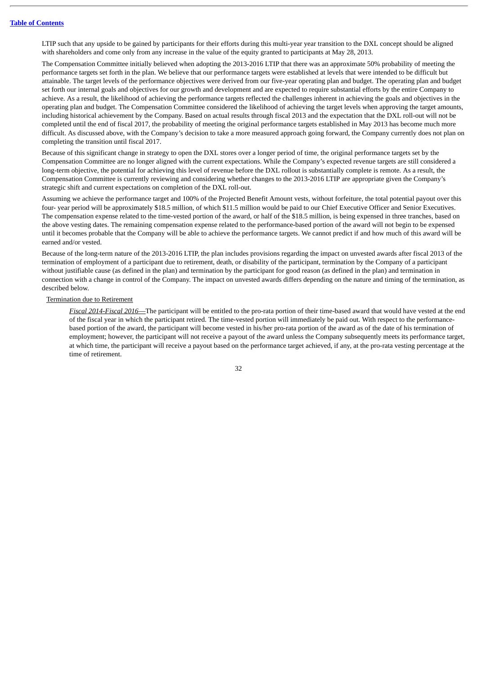LTIP such that any upside to be gained by participants for their efforts during this multi-year year transition to the DXL concept should be aligned with shareholders and come only from any increase in the value of the equity granted to participants at May 28, 2013.

The Compensation Committee initially believed when adopting the 2013-2016 LTIP that there was an approximate 50% probability of meeting the performance targets set forth in the plan. We believe that our performance targets were established at levels that were intended to be difficult but attainable. The target levels of the performance objectives were derived from our five-year operating plan and budget. The operating plan and budget set forth our internal goals and objectives for our growth and development and are expected to require substantial efforts by the entire Company to achieve. As a result, the likelihood of achieving the performance targets reflected the challenges inherent in achieving the goals and objectives in the operating plan and budget. The Compensation Committee considered the likelihood of achieving the target levels when approving the target amounts, including historical achievement by the Company. Based on actual results through fiscal 2013 and the expectation that the DXL roll-out will not be completed until the end of fiscal 2017, the probability of meeting the original performance targets established in May 2013 has become much more difficult. As discussed above, with the Company's decision to take a more measured approach going forward, the Company currently does not plan on completing the transition until fiscal 2017.

Because of this significant change in strategy to open the DXL stores over a longer period of time, the original performance targets set by the Compensation Committee are no longer aligned with the current expectations. While the Company's expected revenue targets are still considered a long-term objective, the potential for achieving this level of revenue before the DXL rollout is substantially complete is remote. As a result, the Compensation Committee is currently reviewing and considering whether changes to the 2013-2016 LTIP are appropriate given the Company's strategic shift and current expectations on completion of the DXL roll-out.

Assuming we achieve the performance target and 100% of the Projected Benefit Amount vests, without forfeiture, the total potential payout over this four- year period will be approximately \$18.5 million, of which \$11.5 million would be paid to our Chief Executive Officer and Senior Executives. The compensation expense related to the time-vested portion of the award, or half of the \$18.5 million, is being expensed in three tranches, based on the above vesting dates. The remaining compensation expense related to the performance-based portion of the award will not begin to be expensed until it becomes probable that the Company will be able to achieve the performance targets. We cannot predict if and how much of this award will be earned and/or vested.

Because of the long-term nature of the 2013-2016 LTIP, the plan includes provisions regarding the impact on unvested awards after fiscal 2013 of the termination of employment of a participant due to retirement, death, or disability of the participant, termination by the Company of a participant without justifiable cause (as defined in the plan) and termination by the participant for good reason (as defined in the plan) and termination in connection with a change in control of the Company. The impact on unvested awards differs depending on the nature and timing of the termination, as described below.

#### Termination due to Retirement

*Fiscal 2014-Fiscal 2016*—The participant will be entitled to the pro-rata portion of their time-based award that would have vested at the end of the fiscal year in which the participant retired. The time-vested portion will immediately be paid out. With respect to the performancebased portion of the award, the participant will become vested in his/her pro-rata portion of the award as of the date of his termination of employment; however, the participant will not receive a payout of the award unless the Company subsequently meets its performance target, at which time, the participant will receive a payout based on the performance target achieved, if any, at the pro-rata vesting percentage at the time of retirement.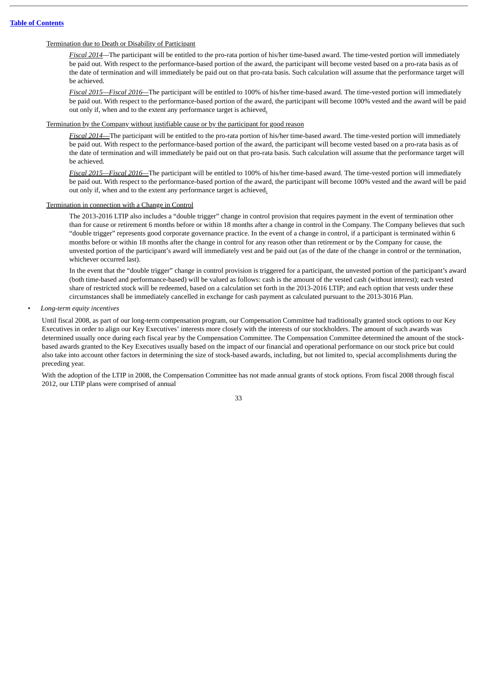#### Termination due to Death or Disability of Participant

*Fiscal 2014—*The participant will be entitled to the pro-rata portion of his/her time-based award. The time-vested portion will immediately be paid out. With respect to the performance-based portion of the award, the participant will become vested based on a pro-rata basis as of the date of termination and will immediately be paid out on that pro-rata basis. Such calculation will assume that the performance target will be achieved.

*Fiscal 2015—Fiscal 2016—*The participant will be entitled to 100% of his/her time-based award. The time-vested portion will immediately be paid out. With respect to the performance-based portion of the award, the participant will become 100% vested and the award will be paid out only if, when and to the extent any performance target is achieved.

#### Termination by the Company without justifiable cause or by the participant for good reason

*Fiscal 2014*—The participant will be entitled to the pro-rata portion of his/her time-based award. The time-vested portion will immediately be paid out. With respect to the performance-based portion of the award, the participant will become vested based on a pro-rata basis as of the date of termination and will immediately be paid out on that pro-rata basis. Such calculation will assume that the performance target will be achieved.

*Fiscal 2015—Fiscal 2016—*The participant will be entitled to 100% of his/her time-based award. The time-vested portion will immediately be paid out. With respect to the performance-based portion of the award, the participant will become 100% vested and the award will be paid out only if, when and to the extent any performance target is achieved.

# Termination in connection with a Change in Control

The 2013-2016 LTIP also includes a "double trigger" change in control provision that requires payment in the event of termination other than for cause or retirement 6 months before or within 18 months after a change in control in the Company. The Company believes that such "double trigger" represents good corporate governance practice. In the event of a change in control, if a participant is terminated within 6 months before or within 18 months after the change in control for any reason other than retirement or by the Company for cause, the unvested portion of the participant's award will immediately vest and be paid out (as of the date of the change in control or the termination, whichever occurred last).

In the event that the "double trigger" change in control provision is triggered for a participant, the unvested portion of the participant's award (both time-based and performance-based) will be valued as follows: cash is the amount of the vested cash (without interest); each vested share of restricted stock will be redeemed, based on a calculation set forth in the 2013-2016 LTIP; and each option that vests under these circumstances shall be immediately cancelled in exchange for cash payment as calculated pursuant to the 2013-3016 Plan.

#### *• Long-term equity incentives*

Until fiscal 2008, as part of our long-term compensation program, our Compensation Committee had traditionally granted stock options to our Key Executives in order to align our Key Executives' interests more closely with the interests of our stockholders. The amount of such awards was determined usually once during each fiscal year by the Compensation Committee. The Compensation Committee determined the amount of the stockbased awards granted to the Key Executives usually based on the impact of our financial and operational performance on our stock price but could also take into account other factors in determining the size of stock-based awards, including, but not limited to, special accomplishments during the preceding year.

With the adoption of the LTIP in 2008, the Compensation Committee has not made annual grants of stock options. From fiscal 2008 through fiscal 2012, our LTIP plans were comprised of annual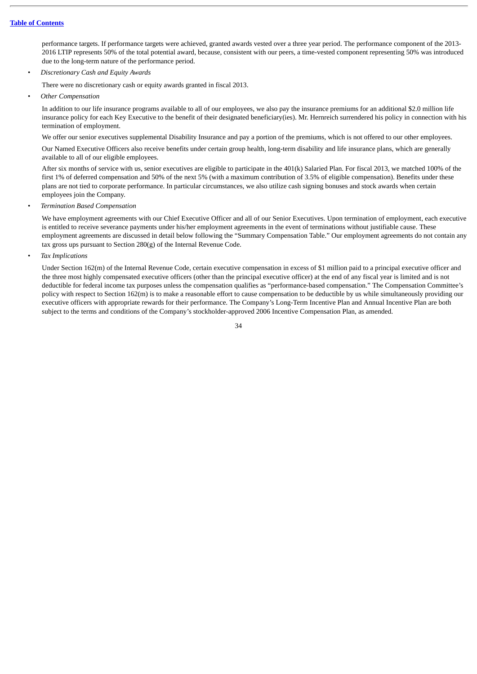performance targets. If performance targets were achieved, granted awards vested over a three year period. The performance component of the 2013- 2016 LTIP represents 50% of the total potential award, because, consistent with our peers, a time-vested component representing 50% was introduced due to the long-term nature of the performance period.

*• Discretionary Cash and Equity Awards*

There were no discretionary cash or equity awards granted in fiscal 2013.

*• Other Compensation*

In addition to our life insurance programs available to all of our employees, we also pay the insurance premiums for an additional \$2.0 million life insurance policy for each Key Executive to the benefit of their designated beneficiary(ies). Mr. Hernreich surrendered his policy in connection with his termination of employment.

We offer our senior executives supplemental Disability Insurance and pay a portion of the premiums, which is not offered to our other employees.

Our Named Executive Officers also receive benefits under certain group health, long-term disability and life insurance plans, which are generally available to all of our eligible employees.

After six months of service with us, senior executives are eligible to participate in the 401(k) Salaried Plan. For fiscal 2013, we matched 100% of the first 1% of deferred compensation and 50% of the next 5% (with a maximum contribution of 3.5% of eligible compensation). Benefits under these plans are not tied to corporate performance. In particular circumstances, we also utilize cash signing bonuses and stock awards when certain employees join the Company.

*• Termination Based Compensation*

We have employment agreements with our Chief Executive Officer and all of our Senior Executives. Upon termination of employment, each executive is entitled to receive severance payments under his/her employment agreements in the event of terminations without justifiable cause. These employment agreements are discussed in detail below following the "Summary Compensation Table." Our employment agreements do not contain any tax gross ups pursuant to Section 280(g) of the Internal Revenue Code.

*• Tax Implications*

Under Section 162(m) of the Internal Revenue Code, certain executive compensation in excess of \$1 million paid to a principal executive officer and the three most highly compensated executive officers (other than the principal executive officer) at the end of any fiscal year is limited and is not deductible for federal income tax purposes unless the compensation qualifies as "performance-based compensation." The Compensation Committee's policy with respect to Section 162(m) is to make a reasonable effort to cause compensation to be deductible by us while simultaneously providing our executive officers with appropriate rewards for their performance. The Company's Long-Term Incentive Plan and Annual Incentive Plan are both subject to the terms and conditions of the Company's stockholder-approved 2006 Incentive Compensation Plan, as amended.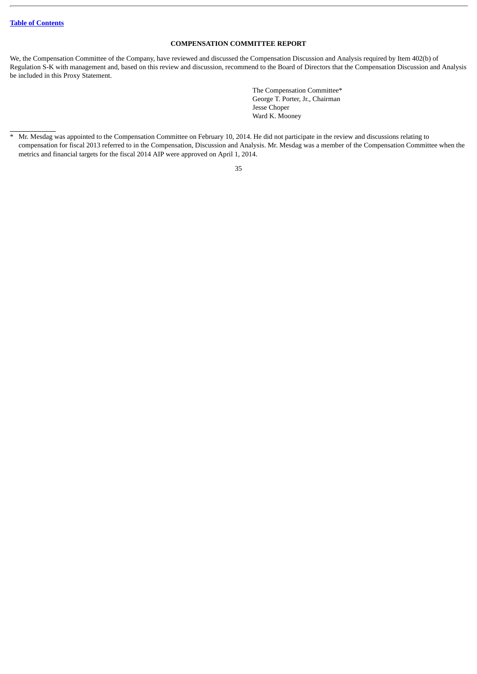# **COMPENSATION COMMITTEE REPORT**

<span id="page-37-0"></span>We, the Compensation Committee of the Company, have reviewed and discussed the Compensation Discussion and Analysis required by Item 402(b) of Regulation S-K with management and, based on this review and discussion, recommend to the Board of Directors that the Compensation Discussion and Analysis be included in this Proxy Statement.

> The Compensation Committee\* George T. Porter, Jr., Chairman Jesse Choper Ward K. Mooney

<sup>\*</sup> Mr. Mesdag was appointed to the Compensation Committee on February 10, 2014. He did not participate in the review and discussions relating to compensation for fiscal 2013 referred to in the Compensation, Discussion and Analysis. Mr. Mesdag was a member of the Compensation Committee when the metrics and financial targets for the fiscal 2014 AIP were approved on April 1, 2014.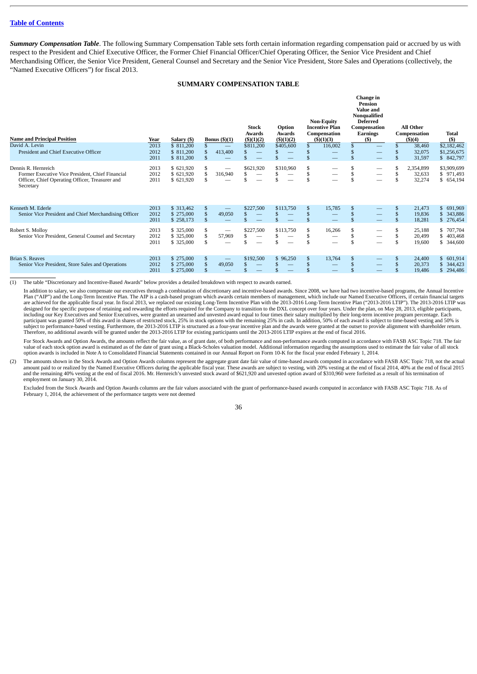<span id="page-38-0"></span>*Summary Compensation Table*. The following Summary Compensation Table sets forth certain information regarding compensation paid or accrued by us with respect to the President and Chief Executive Officer, the Former Chief Financial Officer/Chief Operating Officer, the Senior Vice President and Chief Merchandising Officer, the Senior Vice President, General Counsel and Secretary and the Senior Vice President, Store Sales and Operations (collectively, the "Named Executive Officers") for fiscal 2013.

# **SUMMARY COMPENSATION TABLE**

<span id="page-38-1"></span>

| <b>Name and Principal Position</b>                                                                                                      | Year                 | Salary (\$)                            |                | Bonus $(\text{\$})(1)$                    | <b>Stock</b><br>Awards<br>$($ \$ $)(1)(2)$ | Option<br>Awards<br>$($ \$ $)(1)(2)$ |   | <b>Non-Equity</b><br><b>Incentive Plan</b><br>Compensation<br>$($ \$ $)(1)(3)$ |                                    | Change in<br>Pension<br>Value and<br>Nonqualified<br><b>Deferred</b><br>Compensation<br>Earnings<br>(5) |                | <b>All Other</b><br>Compensation<br>(5)(4) | Total<br>(5)                               |
|-----------------------------------------------------------------------------------------------------------------------------------------|----------------------|----------------------------------------|----------------|-------------------------------------------|--------------------------------------------|--------------------------------------|---|--------------------------------------------------------------------------------|------------------------------------|---------------------------------------------------------------------------------------------------------|----------------|--------------------------------------------|--------------------------------------------|
| David A. Levin<br>President and Chief Executive Officer                                                                                 | 2013<br>2012         | \$ 811,200<br>\$ 811,200               | S              | $\qquad \qquad \longleftarrow$<br>413,400 | \$811,200                                  | \$405,600                            |   | 116,002                                                                        | \$<br>.\$                          | $\hspace{0.05cm}$<br>—                                                                                  | \$             | 38,460<br>32,075                           | \$2,182,462<br>\$1,256,675                 |
|                                                                                                                                         | 2011                 | \$ 811,200                             | \$             |                                           |                                            |                                      |   | $\qquad \qquad \longleftarrow$                                                 | .\$                                | $\qquad \qquad \longleftarrow$                                                                          | \$             | 31,597                                     | \$ 842,797                                 |
| Dennis R. Hernreich<br>Former Executive Vice President, Chief Financial<br>Officer, Chief Operating Officer, Treasurer and<br>Secretary | 2013<br>2012<br>2011 | \$621,920<br>\$621,920<br>\$621,920    | \$<br>\$<br>\$ | $\overline{\phantom{0}}$<br>316,940       | \$621,920                                  | \$310,960<br>—                       |   | $\hspace{0.05cm}$                                                              | \$<br>\$<br>\$                     | —                                                                                                       | \$<br>S<br>\$  | 2,354,899<br>32,633<br>32,274              | \$3,909,699<br>\$971,493<br>\$ 654,194     |
| Kenneth M. Ederle<br>Senior Vice President and Chief Merchandising Officer                                                              | 2013<br>2012<br>2011 | \$ 313,462<br>\$275,000<br>\$258,173   | \$<br>\$<br>\$ | 49,050<br>$\overline{\phantom{0}}$        | \$227,500                                  | \$113,750                            |   | 15,785<br>$\overline{\phantom{0}}$                                             | \$<br>$\mathbf{s}$<br>$\mathbf{S}$ | $\qquad \qquad -$<br>$\hspace{0.05cm}$                                                                  | \$<br>\$       | 21,473<br>19,836<br>18,281                 | 691,969<br>S.<br>343,886<br>276,454<br>\$. |
| Robert S. Mollov<br>Senior Vice President, General Counsel and Secretary                                                                | 2013<br>2012<br>2011 | \$ 325,000<br>\$ 325,000<br>\$ 325,000 | \$<br>\$<br>\$ | $\overline{\phantom{0}}$<br>57,969        | \$227,500<br>.S                            | \$113,750<br>—                       | S | 16,266<br>$\overbrace{\phantom{aaaaa}}$                                        | \$<br>\$<br>\$                     | $\overbrace{\phantom{12333}}$<br>—                                                                      | \$<br>\$<br>\$ | 25,188<br>20,499<br>19,600                 | \$ 707,704<br>403,468<br>\$.<br>\$ 344,600 |
| <b>Brian S. Reaves</b><br>Senior Vice President, Store Sales and Operations                                                             | 2013<br>2012<br>2011 | \$275,000<br>\$275,000<br>\$275,000    | \$             | 49,050                                    | \$192,500                                  | \$96,250                             |   | 13,764                                                                         | \$                                 | —<br>—                                                                                                  | \$             | 24,400<br>20,373<br>19,486                 | 601,914<br>\$.<br>344,423<br>294,486       |

(1) The table "Discretionary and Incentive-Based Awards" below provides a detailed breakdown with respect to awards earned.

In addition to salary, we also compensate our executives through a combination of discretionary and incentive-based awards. Since 2008, we have had two incentive-based programs, the Annual Incentive Plan ("AIP") and the Long-Term Incentive Plan. The AIP is a cash-based program which awards certain members of management, which include our Named Executive Officers, if certain financial targets are achieved for the appli participant was granted 50% of this award in shares of restricted stock, 25% in stock options with the remaining 25% in cash. In addition, 50% of each award is subject to time-based vesting and 50% is<br>subject to performanc Therefore, no additional awards will be granted under the 2013-2016 LTIP for existing participants until the 2013-2016 LTIP expires at the end of fiscal 2016.

For Stock Awards and Option Awards, the amounts reflect the fair value, as of grant date, of both performance and non-performance awards computed in accordance with FASB ASC Topic 718. The fair value of each stock option award is estimated as of the date of grant using a Black-Scholes valuation model. Additional information regarding the assumptions used to estimate the fair value of all stock option awards is included in Note A to Consolidated Financial Statements contained in our Annual Report on Form 10-K for the fiscal year ended February 1, 2014.

(2) The amounts shown in the Stock Awards and Option Awards columns represent the aggregate grant date fair value of time-based awards computed in accordance with FASB ASC Topic 718, not the actual amount paid to or realized by the Named Executive Officers during the applicable fiscal year. These awards are subject to vesting, with 20% vesting at the end of fiscal 2014, 40% at the end of fiscal 2015<br>and the remaining employment on January 30, 2014.

Excluded from the Stock Awards and Option Awards columns are the fair values associated with the grant of performance-based awards computed in accordance with FASB ASC Topic 718. As of February 1, 2014, the achievement of the performance targets were not deemed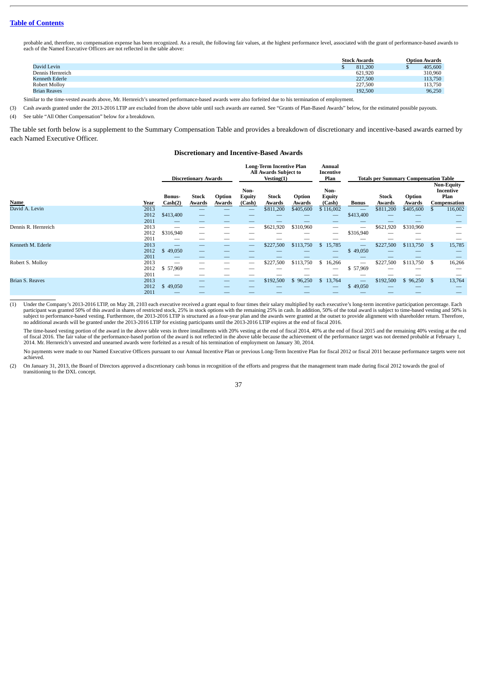probable and, therefore, no compensation expense has been recognized. As a result, the following fair values, at the highest performance level, associated with the grant of performance-based awards to each of the Named Executive Officers are not reflected in the table above:

|                     | <b>Stock Awards</b> | <b>Option Awards</b> |
|---------------------|---------------------|----------------------|
| David Levin         | 811.200             | 405,600              |
| Dennis Hernreich    | 621.920             | 310,960              |
| Kenneth Ederle      | 227,500             | 113,750              |
| Robert Mollov       | 227,500             | 113,750              |
| <b>Brian Reaves</b> | 192,500             | 96,250               |

Similar to the time-vested awards above, Mr. Hernreich's unearned performance-based awards were also forfeited due to his termination of employment.

(3) Cash awards granted under the 2013-2016 LTIP are excluded from the above table until such awards are earned. See "Grants of Plan-Based Awards" below, for the estimated possible payouts.

(4) See table "All Other Compensation" below for a breakdown.

The table set forth below is a supplement to the Summary Compensation Table and provides a breakdown of discretionary and incentive-based awards earned by each Named Executive Officer.

#### **Discretionary and Incentive-Based Awards**

|                        |                      |                          | <b>Discretionary Awards</b> |                  |                                 | <b>Long-Term Incentive Plan</b><br>All Awards Subject to<br>Vesting(1) |                  | Annual<br>Incentive<br>Plan     | <b>Totals per Summary Compensation Table</b> |                 |                     |    |                                                        |  |
|------------------------|----------------------|--------------------------|-----------------------------|------------------|---------------------------------|------------------------------------------------------------------------|------------------|---------------------------------|----------------------------------------------|-----------------|---------------------|----|--------------------------------------------------------|--|
| Name                   | Year                 | <b>Bonus-</b><br>Cash(2) | Stock<br>Awards             | Option<br>Awards | Non-<br><b>Equity</b><br>(Cash) | Stock<br>Awards                                                        | Option<br>Awards | Non-<br><b>Equity</b><br>(Cash) | Bonus                                        | Stock<br>Awards | Option<br>Awards    |    | <b>Non-Equity</b><br>Incentive<br>Plan<br>Compensation |  |
| David A. Levin         | 2013<br>2012<br>2011 | \$413,400                | _                           | __<br>__         | -<br>--                         | \$811,200<br>--                                                        | \$405,600<br>_   | \$116,002<br>—                  | \$413,400                                    | \$811,200<br>-- | \$405,600<br>$\sim$ |    | 116,002<br>$\overline{\phantom{a}}$                    |  |
| Dennis R. Hernreich    | 2013<br>2012<br>2011 | \$316,940                | $-$                         | —                |                                 | \$621,920                                                              | \$310,960        | —                               | \$316,940                                    | \$621,920<br>-- | \$310,960           |    |                                                        |  |
| Kenneth M. Ederle      | 2013<br>2012<br>2011 | \$49,050                 | $\overline{\phantom{0}}$    | —<br>__          |                                 | \$227,500                                                              | \$113,750        | \$15,785<br>—                   | –<br>\$49,050                                | \$227,500<br>-- | \$113,750           | \$ | 15,785<br>$\overline{\phantom{a}}$                     |  |
| Robert S. Mollov       | 2013<br>2012<br>2011 | —<br>\$57,969<br>—       | --<br>__<br>--              |                  | –                               | \$227,500                                                              | \$113,750        | \$16,266<br>—                   | –<br>\$57,969                                | \$227,500       | \$113,750           | \$ | 16,266                                                 |  |
| <b>Brian S. Reaves</b> | 2013<br>2012<br>2011 | \$49,050                 | _                           | —                |                                 | \$192,500                                                              | 96,250           | \$13,764                        | $\overline{\phantom{a}}$<br>49,050<br>S      | \$192,500       | 96,250<br>\$.       | \$ | 13,764                                                 |  |

(1) Under the Company's 2013-2016 LTIP, on May 28, 2103 each executive received a grant equal to four times their salary multiplied by each executive's long-term incentive participation percentage. Each participant was granted 50% of this award in shares of restricted stock, 25% in stock options with the remaining 25% in cash. In addition, 50% of the total award is subject to time-based vesting and 50% is subject to performance-based vesting. Furthermore, the 2013-2016 LTIP is structured as a four-year plan and the awards were granted at the outset to provide alignment with shareholder return. Therefore, no additional awards will be granted under the 2013-2016 LTIP for existing participants until the 2013-2016 LTIP expires at the end of fiscal 2016.

The time-based vesting portion of the award in the above table vests in three installments with 20% vesting at the end of fiscal 2014, 40% at the end of fiscal 2015 and the remaining 40% vesting at the end of fiscal 2016. The fair value of the performance-based portion of the award is not reflected in the above table because the achievement of the performance target was not deemed probable at February 1,<br>2014. Mr. Hernreich'

No payments were made to our Named Executive Officers pursuant to our Annual Incentive Plan or previous Long-Term Incentive Plan for fiscal 2012 or fiscal 2011 because performance targets were not achieved.

(2) On January 31, 2013, the Board of Directors approved a discretionary cash bonus in recognition of the efforts and progress that the management team made during fiscal 2012 towards the goal of transitioning to the DXL concept.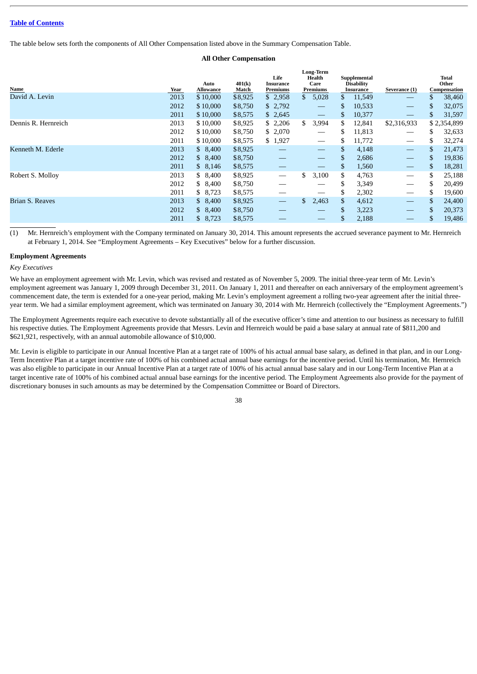The table below sets forth the components of All Other Compensation listed above in the Summary Compensation Table.

# **All Other Compensation**

| Name                | Year | Auto<br>Allowance | 401(k)<br>Match | Life<br>Insurance<br>Premiums |     | <b>Long-Term</b><br>Health<br>Care<br>Premiums |     | Supplemental<br><b>Disability</b><br>Insurance | Severance (1)                   |     | Total<br>Other<br>Compensation |
|---------------------|------|-------------------|-----------------|-------------------------------|-----|------------------------------------------------|-----|------------------------------------------------|---------------------------------|-----|--------------------------------|
| David A. Levin      | 2013 | \$10,000          | \$8,925         | \$2,958                       | \$  | 5,028                                          | \$  | 11,549                                         |                                 | \$  | 38,460                         |
|                     | 2012 | \$10,000          | \$8,750         | \$2,792                       |     | $\hspace{0.05cm}$                              | \$  | 10,533                                         |                                 | S   | 32,075                         |
|                     | 2011 | \$10,000          | \$8,575         | \$2,645                       |     | $\hspace{0.05cm}$                              | S.  | 10,377                                         |                                 | S   | 31,597                         |
| Dennis R. Hernreich | 2013 | \$10,000          | \$8,925         | \$2,206                       | \$. | 3,994                                          | S.  | 12,841                                         | \$2,316,933                     |     | \$2,354,899                    |
|                     | 2012 | \$10,000          | \$8,750         | \$2,070                       |     |                                                | \$  | 11,813                                         |                                 | \$  | 32,633                         |
|                     | 2011 | \$10,000          | \$8,575         | \$1,927                       |     | $\hspace{0.05cm}$                              | \$  | 11,772                                         |                                 | \$  | 32,274                         |
| Kenneth M. Ederle   | 2013 | \$8,400           | \$8,925         |                               |     |                                                | \$  | 4,148                                          | $\qquad \qquad -$               | \$  | 21,473                         |
|                     | 2012 | \$8,400           | \$8,750         |                               |     |                                                | \$  | 2,686                                          |                                 | \$  | 19,836                         |
|                     | 2011 | \$8,146           | \$8,575         |                               |     |                                                | \$  | 1,560                                          | $\hspace{0.1mm}-\hspace{0.1mm}$ | S   | 18,281                         |
| Robert S. Molloy    | 2013 | \$8,400           | \$8,925         |                               | \$  | 3,100                                          | \$. | 4,763                                          |                                 | \$  | 25,188                         |
|                     | 2012 | \$8,400           | \$8,750         |                               |     |                                                | \$  | 3,349                                          |                                 | S   | 20,499                         |
|                     | 2011 | \$8,723           | \$8,575         |                               |     |                                                | \$  | 2,302                                          |                                 | S   | 19,600                         |
| Brian S. Reaves     | 2013 | \$8,400           | \$8,925         |                               | \$. | 2,463                                          | \$  | 4,612                                          | $\overbrace{\phantom{13333}}$   | S.  | 24,400                         |
|                     | 2012 | \$8,400           | \$8,750         |                               |     |                                                | \$  | 3,223                                          | $\overbrace{\phantom{13333}}$   | \$. | 20,373                         |
|                     | 2011 | \$8,723           | \$8,575         |                               |     |                                                | \$  | 2,188                                          |                                 |     | 19,486                         |

(1) Mr. Hernreich's employment with the Company terminated on January 30, 2014. This amount represents the accrued severance payment to Mr. Hernreich at February 1, 2014. See "Employment Agreements – Key Executives" below for a further discussion.

#### <span id="page-40-0"></span>**Employment Agreements**

#### *Key Executives*

We have an employment agreement with Mr. Levin, which was revised and restated as of November 5, 2009. The initial three-year term of Mr. Levin's employment agreement was January 1, 2009 through December 31, 2011. On January 1, 2011 and thereafter on each anniversary of the employment agreement's commencement date, the term is extended for a one-year period, making Mr. Levin's employment agreement a rolling two-year agreement after the initial threeyear term. We had a similar employment agreement, which was terminated on January 30, 2014 with Mr. Hernreich (collectively the "Employment Agreements.")

The Employment Agreements require each executive to devote substantially all of the executive officer's time and attention to our business as necessary to fulfill his respective duties. The Employment Agreements provide that Messrs. Levin and Hernreich would be paid a base salary at annual rate of \$811,200 and \$621,921, respectively, with an annual automobile allowance of \$10,000.

Mr. Levin is eligible to participate in our Annual Incentive Plan at a target rate of 100% of his actual annual base salary, as defined in that plan, and in our Long-Term Incentive Plan at a target incentive rate of 100% of his combined actual annual base earnings for the incentive period. Until his termination, Mr. Hernreich was also eligible to participate in our Annual Incentive Plan at a target rate of 100% of his actual annual base salary and in our Long-Term Incentive Plan at a target incentive rate of 100% of his combined actual annual base earnings for the incentive period. The Employment Agreements also provide for the payment of discretionary bonuses in such amounts as may be determined by the Compensation Committee or Board of Directors.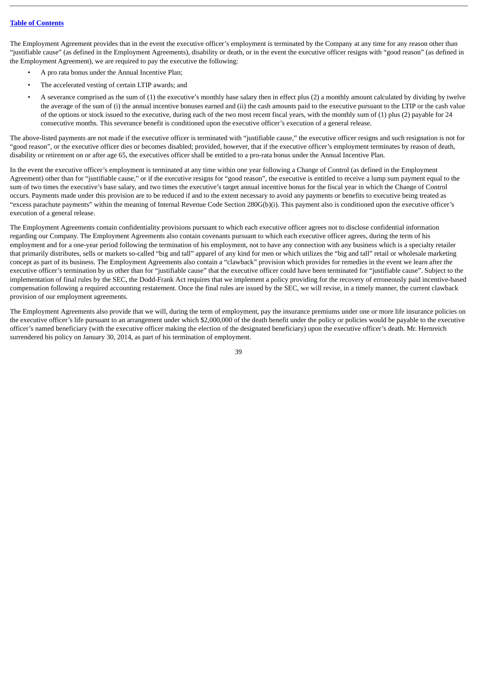The Employment Agreement provides that in the event the executive officer's employment is terminated by the Company at any time for any reason other than "justifiable cause" (as defined in the Employment Agreements), disability or death, or in the event the executive officer resigns with "good reason" (as defined in the Employment Agreement), we are required to pay the executive the following:

- A pro rata bonus under the Annual Incentive Plan;
- The accelerated vesting of certain LTIP awards; and
- A severance comprised as the sum of (1) the executive's monthly base salary then in effect plus (2) a monthly amount calculated by dividing by twelve the average of the sum of (i) the annual incentive bonuses earned and (ii) the cash amounts paid to the executive pursuant to the LTIP or the cash value of the options or stock issued to the executive, during each of the two most recent fiscal years, with the monthly sum of (1) plus (2) payable for 24 consecutive months. This severance benefit is conditioned upon the executive officer's execution of a general release.

The above-listed payments are not made if the executive officer is terminated with "justifiable cause," the executive officer resigns and such resignation is not for "good reason", or the executive officer dies or becomes disabled; provided, however, that if the executive officer's employment terminates by reason of death, disability or retirement on or after age 65, the executives officer shall be entitled to a pro-rata bonus under the Annual Incentive Plan.

In the event the executive officer's employment is terminated at any time within one year following a Change of Control (as defined in the Employment Agreement) other than for "justifiable cause," or if the executive resigns for "good reason", the executive is entitled to receive a lump sum payment equal to the sum of two times the executive's base salary, and two times the executive's target annual incentive bonus for the fiscal year in which the Change of Control occurs. Payments made under this provision are to be reduced if and to the extent necessary to avoid any payments or benefits to executive being treated as "excess parachute payments" within the meaning of Internal Revenue Code Section 280G(b)(i). This payment also is conditioned upon the executive officer's execution of a general release.

The Employment Agreements contain confidentiality provisions pursuant to which each executive officer agrees not to disclose confidential information regarding our Company. The Employment Agreements also contain covenants pursuant to which each executive officer agrees, during the term of his employment and for a one-year period following the termination of his employment, not to have any connection with any business which is a specialty retailer that primarily distributes, sells or markets so-called "big and tall" apparel of any kind for men or which utilizes the "big and tall" retail or wholesale marketing concept as part of its business. The Employment Agreements also contain a "clawback" provision which provides for remedies in the event we learn after the executive officer's termination by us other than for "justifiable cause" that the executive officer could have been terminated for "justifiable cause". Subject to the implementation of final rules by the SEC, the Dodd-Frank Act requires that we implement a policy providing for the recovery of erroneously paid incentive-based compensation following a required accounting restatement. Once the final rules are issued by the SEC, we will revise, in a timely manner, the current clawback provision of our employment agreements.

The Employment Agreements also provide that we will, during the term of employment, pay the insurance premiums under one or more life insurance policies on the executive officer's life pursuant to an arrangement under which \$2,000,000 of the death benefit under the policy or policies would be payable to the executive officer's named beneficiary (with the executive officer making the election of the designated beneficiary) upon the executive officer's death. Mr. Hernreich surrendered his policy on January 30, 2014, as part of his termination of employment.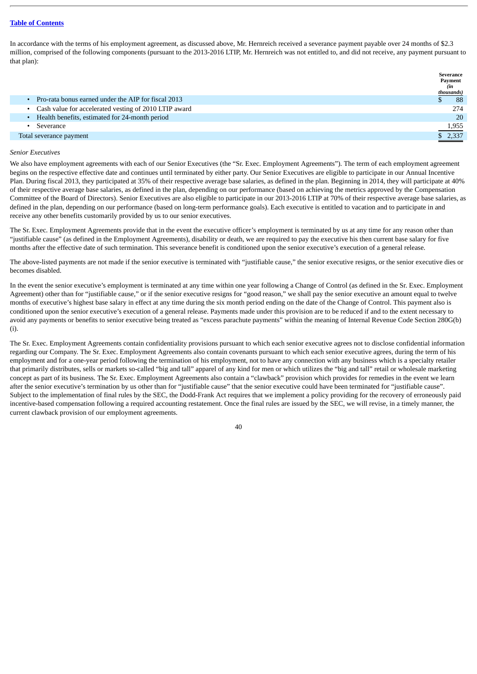In accordance with the terms of his employment agreement, as discussed above, Mr. Hernreich received a severance payment payable over 24 months of \$2.3 million, comprised of the following components (pursuant to the 2013-2016 LTIP, Mr. Hernreich was not entitled to, and did not receive, any payment pursuant to that plan):

|                                                         | Severance      |
|---------------------------------------------------------|----------------|
|                                                         | Payment<br>(in |
|                                                         | thousands)     |
| Pro-rata bonus earned under the AIP for fiscal 2013     | 88             |
| • Cash value for accelerated vesting of 2010 LTIP award | 274            |
| • Health benefits, estimated for 24-month period        | 20             |
| Severance                                               | 1,955          |
| Total severance payment                                 | \$2,337        |
|                                                         |                |

#### *Senior Executives*

We also have employment agreements with each of our Senior Executives (the "Sr. Exec. Employment Agreements"). The term of each employment agreement begins on the respective effective date and continues until terminated by either party. Our Senior Executives are eligible to participate in our Annual Incentive Plan. During fiscal 2013, they participated at 35% of their respective average base salaries, as defined in the plan. Beginning in 2014, they will participate at 40% of their respective average base salaries, as defined in the plan, depending on our performance (based on achieving the metrics approved by the Compensation Committee of the Board of Directors). Senior Executives are also eligible to participate in our 2013-2016 LTIP at 70% of their respective average base salaries, as defined in the plan, depending on our performance (based on long-term performance goals). Each executive is entitled to vacation and to participate in and receive any other benefits customarily provided by us to our senior executives.

The Sr. Exec. Employment Agreements provide that in the event the executive officer's employment is terminated by us at any time for any reason other than "justifiable cause" (as defined in the Employment Agreements), disability or death, we are required to pay the executive his then current base salary for five months after the effective date of such termination. This severance benefit is conditioned upon the senior executive's execution of a general release.

The above-listed payments are not made if the senior executive is terminated with "justifiable cause," the senior executive resigns, or the senior executive dies or becomes disabled.

In the event the senior executive's employment is terminated at any time within one year following a Change of Control (as defined in the Sr. Exec. Employment Agreement) other than for "justifiable cause," or if the senior executive resigns for "good reason," we shall pay the senior executive an amount equal to twelve months of executive's highest base salary in effect at any time during the six month period ending on the date of the Change of Control. This payment also is conditioned upon the senior executive's execution of a general release. Payments made under this provision are to be reduced if and to the extent necessary to avoid any payments or benefits to senior executive being treated as "excess parachute payments" within the meaning of Internal Revenue Code Section 280G(b) (i).

The Sr. Exec. Employment Agreements contain confidentiality provisions pursuant to which each senior executive agrees not to disclose confidential information regarding our Company. The Sr. Exec. Employment Agreements also contain covenants pursuant to which each senior executive agrees, during the term of his employment and for a one-year period following the termination of his employment, not to have any connection with any business which is a specialty retailer that primarily distributes, sells or markets so-called "big and tall" apparel of any kind for men or which utilizes the "big and tall" retail or wholesale marketing concept as part of its business. The Sr. Exec. Employment Agreements also contain a "clawback" provision which provides for remedies in the event we learn after the senior executive's termination by us other than for "justifiable cause" that the senior executive could have been terminated for "justifiable cause". Subject to the implementation of final rules by the SEC, the Dodd-Frank Act requires that we implement a policy providing for the recovery of erroneously paid incentive-based compensation following a required accounting restatement. Once the final rules are issued by the SEC, we will revise, in a timely manner, the current clawback provision of our employment agreements.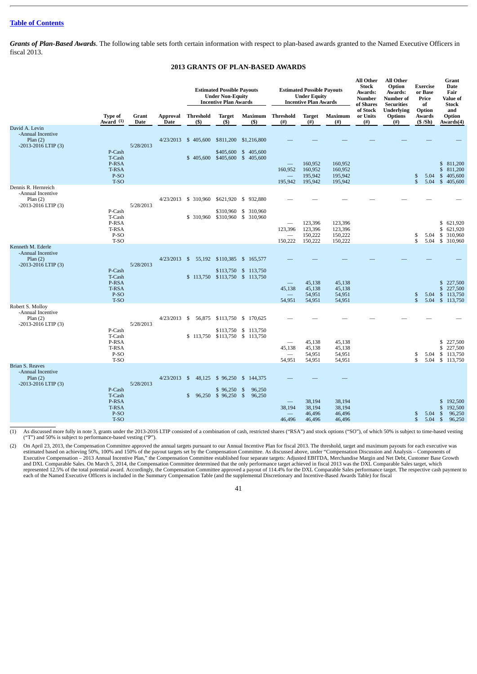*Grants of Plan-Based Awards*. The following table sets forth certain information with respect to plan-based awards granted to the Named Executive Officers in fiscal 2013.

# **2013 GRANTS OF PLAN-BASED AWARDS**

<span id="page-43-0"></span>

|                                                                                  |                                                           |                      |                         | <b>Estimated Possible Payouts</b><br><b>Under Non-Equity</b><br><b>Incentive Plan Awards</b> |                                          |                                                                                 | <b>Estimated Possible Payouts</b><br><b>Under Equity</b><br><b>Incentive Plan Awards</b> |                                          | All Other<br><b>Stock</b><br>Awards:<br><b>Number</b><br>of Shares | All Other<br>Option<br>Awards:<br>Number of<br><b>Securities</b> | <b>Exercise</b><br>or Base<br>Price<br>of       | Grant<br><b>Date</b><br>Fair<br><b>Value of</b><br><b>Stock</b> |                                                                                     |
|----------------------------------------------------------------------------------|-----------------------------------------------------------|----------------------|-------------------------|----------------------------------------------------------------------------------------------|------------------------------------------|---------------------------------------------------------------------------------|------------------------------------------------------------------------------------------|------------------------------------------|--------------------------------------------------------------------|------------------------------------------------------------------|-------------------------------------------------|-----------------------------------------------------------------|-------------------------------------------------------------------------------------|
|                                                                                  | <b>Type of</b><br>Award <sup>(1)</sup>                    | Grant<br><b>Date</b> | Approval<br><b>Date</b> | Threshold<br>(S)                                                                             | <b>Target</b><br>(5)                     | $(s)$                                                                           | <b>Maximum</b> Threshold<br>$^{(#)}$                                                     | <b>Target</b><br>$^{(#)}$                | Maximum<br>$($ # $)$                                               | of Stock<br>or Units<br>$^{(#)}$                                 | <b>Underlying</b><br><b>Options</b><br>$^{(#)}$ | Option<br>Awards<br>(S/Sh)                                      | and<br>Option<br>Awards(4)                                                          |
| David A. Levin<br>-Annual Incentive<br>Plan $(2)$<br>-2013-2016 LTIP (3)         | P-Cash<br>T-Cash<br>P-RSA<br><b>T-RSA</b><br>P-SO<br>T-SO | 5/28/2013            |                         | 4/23/2013 \$ 405,600<br>\$405,600                                                            | \$405,600                                | \$811,200 \$1,216,800<br>\$405,600<br>\$405,600 \$405,600                       | 160,952<br>195,942                                                                       | 160,952<br>160,952<br>195,942<br>195,942 | 160,952<br>160,952<br>195,942<br>195,942                           |                                                                  |                                                 | \$<br>5.04<br>$\mathbf{s}$                                      | \$ 811,200<br>811,200<br>$\mathbb{S}$<br>$\mathbb{S}$<br>405,600<br>5.04 \$ 405,600 |
| Dennis R. Hernreich<br>-Annual Incentive<br>Plan(2)<br>-2013-2016 LTIP (3)       | P-Cash<br>T-Cash<br>P-RSA<br>T-RSA<br>P-SO<br>T-SO        | 5/28/2013            |                         | 4/23/2013 \$ 310,960<br>\$ 310,960                                                           |                                          | \$621,920 \$ 932,880<br>\$310,960 \$ 310,960<br>\$310,960 \$ 310,960            | 123,396<br>150,222                                                                       | 123,396<br>123,396<br>150,222<br>150,222 | 123,396<br>123,396<br>150,222<br>150,222                           |                                                                  |                                                 | 5.04<br>\$<br>\$<br>5.04                                        | \$ 621,920<br>621,920<br>\$<br>\$ 310,960<br>\$ 310,960                             |
| Kenneth M. Ederle<br>-Annual Incentive<br>Plan(2)<br>-2013-2016 LTIP (3)         | P-Cash<br>T-Cash<br>P-RSA<br><b>T-RSA</b><br>P-SO<br>T-SO | 5/28/2013            |                         | 4/23/2013 \$ 55,192                                                                          |                                          | \$110,385 \$ 165,577<br>\$113,750 \$ 113,750<br>\$ 113,750 \$113,750 \$ 113,750 | 45,138<br>54,951                                                                         | 45,138<br>45,138<br>54,951<br>54,951     | 45,138<br>45,138<br>54,951<br>54,951                               |                                                                  |                                                 | 5.04<br>\$<br>$\mathfrak{F}$                                    | \$ 227,500<br>\$<br>227,500<br>\$ 113,750<br>5.04 \$ 113,750                        |
| Robert S. Mollov<br>-Annual Incentive<br>Plan(2)<br>-2013-2016 LTIP (3)          | P-Cash<br>T-Cash<br>P-RSA<br>T-RSA<br>P-SO<br>T-SO        | 5/28/2013            | 4/23/2013 \$            | 56,875<br>\$113,750                                                                          |                                          | \$113,750 \$ 170,625<br>\$113,750 \$ 113,750<br>\$113,750 \$ 113,750            | 45,138<br>54,951                                                                         | 45,138<br>45,138<br>54,951<br>54,951     | 45,138<br>45,138<br>54,951<br>54,951                               |                                                                  |                                                 | \$<br>5.04<br>\$                                                | \$ 227,500<br>\$<br>227,500<br>\$113,750<br>5.04 \$ 113,750                         |
| <b>Brian S. Reaves</b><br>-Annual Incentive<br>Plan $(2)$<br>-2013-2016 LTIP (3) | P-Cash<br>T-Cash<br>P-RSA<br>T-RSA<br>P-SO<br>T-SO        | 5/28/2013            | $4/23/2013$ \$          | 48,125<br>\$                                                                                 | \$96,250<br>\$96,250<br>96,250 \$ 96,250 | \$144,375<br>-\$<br>96,250<br>\$<br>96,250                                      | 38,194<br>46,496                                                                         | 38,194<br>38,194<br>46,496<br>46,496     | 38,194<br>38,194<br>46,496<br>46,496                               |                                                                  |                                                 | 5.04<br>\$<br>$\mathbb{S}$<br>$5.04$ \$                         | 192,500<br>$\mathbb{S}$<br>\$<br>192,500<br>96,250<br>- \$<br>96,250                |

(1) As discussed more fully in note 3, grants under the 2013-2016 LTIP consisted of a combination of cash, restricted shares ("RSA") and stock options ("SO"), of which 50% is subject to time-based vesting ("T") and 50% is subject to performance-based vesting ("P").

(2) On April 23, 2013, the Compensation Committee approved the annual targets pursuant to our Annual Incentive Plan for fiscal 2013. The threshold, target and maximum payouts for each executive was estimated based on achie Executive Compensation – 2013 Annual Incentive Plan," the Compensation Committee established four separate targets: Adjusted EBITDA, Merchandise Margin and Net Debt, Customer Base Growth and DXL Comparable Sales. On March 5, 2014, the Compensation Committee determined that the only performance target achieved in fiscal 2013 was the DXL Comparable Sales target, which<br>represented 12.5% of the total potential each of the Named Executive Officers is included in the Summary Compensation Table (and the supplemental Discretionary and Incentive-Based Awards Table) for fiscal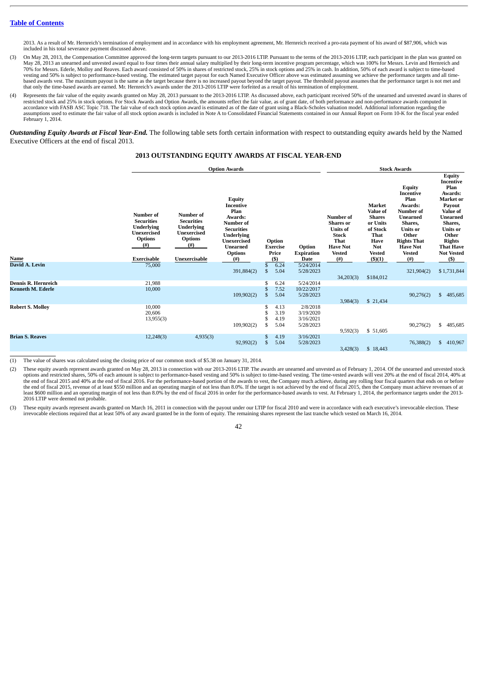2013. As a result of Mr. Hernreich's termination of employment and in accordance with his employment agreement, Mr. Hernreich received a pro-rata payment of his award of \$87,906, which was included in his total severance payment discussed above.

- (3) On May 28, 2013, the Compensation Committee approved the long-term targets pursuant to our 2013-2016 LTIP. Pursuant to the terms of the 2013-2016 LTIP, each participant in the plan was granted on<br>May 28, 2013 an unearn 70% for Messrs. Ederle, Molloy and Reaves. Each award consisted of 50% in shares of restricted stock, 25% in stock options and 25% in cash. In addition, 50% of each award is subject to time-based vesting and 50% is subject to performance-based vesting. The estimated target payout for each Named Executive Officer above was estimated assuming we achieve the performance targets and all timebased awards vest. The maximum payout is the same as the target because there is no increased payout beyond the target payout. The threshold payout assumes that the performance target is not met and that only the time-based awards are earned. Mr. Hernreich's awards under the 2013-2016 LTIP were forfeited as a result of his termination of employment.
- (4) Represents the fair value of the equity awards granted on May 28, 2013 pursuant to the 2013-2016 LTIP. As discussed above, each participant received 50% of the unearned and unvested award in shares of restricted stock accordance with FASB ASC Topic 718. The fair value of each stock option award is estimated as of the date of grant using a Black-Scholes valuation model. Additional information regarding the assumptions used to estimate the fair value of all stock option awards is included in Note A to Consolidated Financial Statements contained in our Annual Report on Form 10-K for the fiscal year ended February 1, 2014.

*Outstanding Equity Awards at Fiscal Year-End.* The following table sets forth certain information with respect to outstanding equity awards held by the Named Executive Officers at the end of fiscal 2013.

# **2013 OUTSTANDING EQUITY AWARDS AT FISCAL YEAR-END**

<span id="page-44-0"></span>

|                          |                                                                                                                               |                                                                                                                      | <b>Option Awards</b>                                                                                                                                            |                    |                                           |                                                 |                                                                                                                                  | <b>Stock Awards</b>                                                                                                                       |                                                                                                                                                                                          |                                                                                                                                                                                                                    |  |  |
|--------------------------|-------------------------------------------------------------------------------------------------------------------------------|----------------------------------------------------------------------------------------------------------------------|-----------------------------------------------------------------------------------------------------------------------------------------------------------------|--------------------|-------------------------------------------|-------------------------------------------------|----------------------------------------------------------------------------------------------------------------------------------|-------------------------------------------------------------------------------------------------------------------------------------------|------------------------------------------------------------------------------------------------------------------------------------------------------------------------------------------|--------------------------------------------------------------------------------------------------------------------------------------------------------------------------------------------------------------------|--|--|
| Name                     | Number of<br><b>Securities</b><br><b>Underlying</b><br><b>Unexercised</b><br><b>Options</b><br>$^{(#)}$<br><b>Exercisable</b> | <b>Number</b> of<br><b>Securities</b><br>Underlying<br><b>Unexercised</b><br><b>Options</b><br>(# )<br>Unexercisable | <b>Equity</b><br>Incentive<br>Plan<br>Awards:<br>Number of<br><b>Securities</b><br><b>Underlying</b><br>Unexercised<br><b>Unearned</b><br><b>Options</b><br>(#) |                    | Option<br><b>Exercise</b><br>Price<br>(5) | Option<br><b>Expiration</b><br>Date             | Number of<br><b>Shares</b> or<br><b>Units of</b><br><b>Stock</b><br><b>That</b><br><b>Have Not</b><br><b>Vested</b><br>$($ # $)$ | <b>Market</b><br>Value of<br><b>Shares</b><br>or Units<br>of Stock<br>That<br><b>Have</b><br><b>Not</b><br><b>Vested</b><br>$($ \$ $)(1)$ | <b>Equity</b><br>Incentive<br>Plan<br>Awards:<br>Number of<br><b>Unearned</b><br>Shares,<br><b>Units or</b><br>Other<br><b>Rights That</b><br><b>Have Not</b><br><b>Vested</b><br>$($ #) | <b>Equity</b><br>Incentive<br>Plan<br>Awards:<br>Market or<br>Payout<br><b>Value of</b><br><b>Unearned</b><br>Shares,<br><b>Units or</b><br>Other<br><b>Rights</b><br><b>That Have</b><br><b>Not Vested</b><br>(5) |  |  |
| David A. Levin           | 75,000                                                                                                                        |                                                                                                                      |                                                                                                                                                                 | \$                 | 6.24                                      | 5/24/2014                                       |                                                                                                                                  |                                                                                                                                           |                                                                                                                                                                                          |                                                                                                                                                                                                                    |  |  |
|                          |                                                                                                                               |                                                                                                                      | 391,884(2)                                                                                                                                                      | $\mathbb{S}$       | 5.04                                      | 5/28/2023                                       | 34,203(3)                                                                                                                        | \$184,012                                                                                                                                 | 321,904(2)                                                                                                                                                                               | \$1,731,844                                                                                                                                                                                                        |  |  |
| Dennis R. Hernreich      | 21,988                                                                                                                        |                                                                                                                      |                                                                                                                                                                 |                    | 6.24                                      | 5/24/2014                                       |                                                                                                                                  |                                                                                                                                           |                                                                                                                                                                                          |                                                                                                                                                                                                                    |  |  |
| <b>Kenneth M. Ederle</b> | 10,000                                                                                                                        |                                                                                                                      | 109,902(2)                                                                                                                                                      | \$<br>$\mathbb{S}$ | 7.52<br>5.04                              | 10/22/2017<br>5/28/2023                         | 3,984(3)                                                                                                                         | \$ 21,434                                                                                                                                 | 90,276(2)                                                                                                                                                                                | \$485,685                                                                                                                                                                                                          |  |  |
| <b>Robert S. Molloy</b>  | 10.000<br>20,606<br>13,955(3)                                                                                                 |                                                                                                                      | 109,902(2)                                                                                                                                                      | \$                 | 4.13<br>3.19<br>4.19<br>5.04              | 2/8/2018<br>3/19/2020<br>3/16/2021<br>5/28/2023 | 9,592(3)                                                                                                                         | \$ 51,605                                                                                                                                 | 90,276(2)                                                                                                                                                                                | \$485,685                                                                                                                                                                                                          |  |  |
| <b>Brian S. Reaves</b>   | 12,248(3)                                                                                                                     | 4,935(3)                                                                                                             | 92,992(2)                                                                                                                                                       | \$<br>\$           | 4.19<br>5.04                              | 3/16/2021<br>5/28/2023                          | 3,428(3)                                                                                                                         | \$18,443                                                                                                                                  | 76,388(2)                                                                                                                                                                                | \$<br>410,967                                                                                                                                                                                                      |  |  |

(1) The value of shares was calculated using the closing price of our common stock of \$5.38 on January 31, 2014.

(2) These equity awards represent awards granted on May 28, 2013 in connection with our 2013-2016 LTIP. The awards are unearned and unvested as of February 1, 2014. Of the unearned and unvested stock options and restricted shares, 50% of each amount is subject to performance-based vesting and 50% is subject to time-based vesting. The time-vested awards will vest 20% at the end of fiscal 2014, 40% at the end of fiscal 2015 and 40% at the end of fiscal 2016. For the performance-based portion of the awards to vest, the Company much achieve, during any rolling four fiscal quarters that ends on or before the end of fiscal 2016 LTIP were deemed not probable.

(3) These equity awards represent awards granted on March 16, 2011 in connection with the payout under our LTIP for fiscal 2010 and were in accordance with each executive's irrevocable election. These irrevocable elections required that at least 50% of any award granted be in the form of equity. The remaining shares represent the last tranche which vested on March 16, 2014.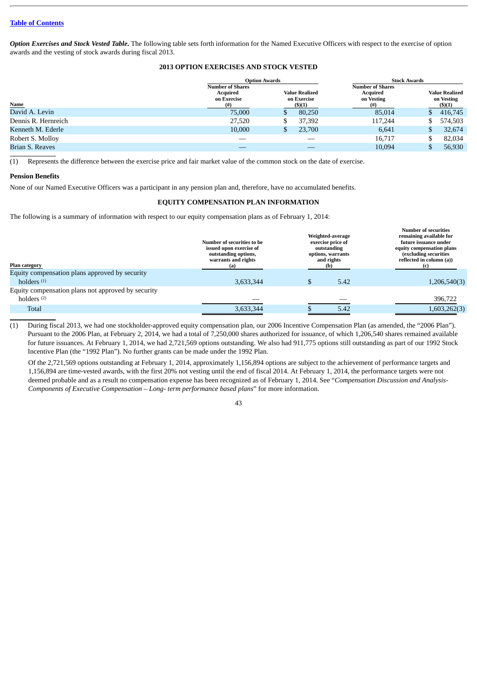*Option Exercises and Stock Vested Table***.** The following table sets forth information for the Named Executive Officers with respect to the exercise of option awards and the vesting of stock awards during fiscal 2013.

# **2013 OPTION EXERCISES AND STOCK VESTED**

<span id="page-45-0"></span>

|                     |                                                    | <b>Option Awards</b>                                                                      |          | <b>Stock Awards</b> |  |  |  |
|---------------------|----------------------------------------------------|-------------------------------------------------------------------------------------------|----------|---------------------|--|--|--|
|                     | <b>Number of Shares</b><br>Acquired<br>on Exercise | <b>Number of Shares</b><br><b>Value Realized</b><br>Acquired<br>on Exercise<br>on Vesting |          |                     |  |  |  |
| <b>Name</b>         | $^{(#)}$                                           | $($ \$ $)(1)$                                                                             | $^{(#)}$ | $($ \$)(1)          |  |  |  |
| David A. Levin      | 75,000                                             | 80,250                                                                                    | 85,014   | 416,745<br>Эb.      |  |  |  |
| Dennis R. Hernreich | 27,520                                             | 37,392                                                                                    | 117,244  | 574,503             |  |  |  |
| Kenneth M. Ederle   | 10,000                                             | 23,700                                                                                    | 6,641    | 32,674              |  |  |  |
| Robert S. Molloy    |                                                    |                                                                                           | 16,717   | 82,034              |  |  |  |
| Brian S. Reaves     |                                                    |                                                                                           | 10,094   | 56,930              |  |  |  |
|                     |                                                    |                                                                                           |          |                     |  |  |  |

(1) Represents the difference between the exercise price and fair market value of the common stock on the date of exercise.

#### <span id="page-45-1"></span>**Pension Benefits**

<span id="page-45-2"></span>None of our Named Executive Officers was a participant in any pension plan and, therefore, have no accumulated benefits.

#### **EQUITY COMPENSATION PLAN INFORMATION**

The following is a summary of information with respect to our equity compensation plans as of February 1, 2014:

| Plan category                                      | Number of securities to be<br>issued upon exercise of<br>outstanding options,<br>warrants and rights<br>(a) | Weighted-average<br>exercise price of<br>outstanding<br>options, warrants<br>and rights<br>(b) | <b>Number of securities</b><br>remaining available for<br>future issuance under<br>equity compensation plans<br>(excluding securities<br>reflected in column (a)) |
|----------------------------------------------------|-------------------------------------------------------------------------------------------------------------|------------------------------------------------------------------------------------------------|-------------------------------------------------------------------------------------------------------------------------------------------------------------------|
| Equity compensation plans approved by security     |                                                                                                             |                                                                                                |                                                                                                                                                                   |
| holders $(1)$                                      | 3,633,344                                                                                                   | 5.42                                                                                           | 1,206,540(3)                                                                                                                                                      |
| Equity compensation plans not approved by security |                                                                                                             |                                                                                                |                                                                                                                                                                   |
| holders <sup>(2)</sup>                             |                                                                                                             |                                                                                                | 396,722                                                                                                                                                           |
| <b>Total</b>                                       | 3,633,344                                                                                                   | 5.42                                                                                           | 1,603,262(3)                                                                                                                                                      |

(1) During fiscal 2013, we had one stockholder-approved equity compensation plan, our 2006 Incentive Compensation Plan (as amended, the "2006 Plan"). Pursuant to the 2006 Plan, at February 2, 2014, we had a total of 7,250,000 shares authorized for issuance, of which 1,206,540 shares remained available for future issuances. At February 1, 2014, we had 2,721,569 options outstanding. We also had 911,775 options still outstanding as part of our 1992 Stock Incentive Plan (the "1992 Plan"). No further grants can be made under the 1992 Plan.

Of the 2,721,569 options outstanding at February 1, 2014, approximately 1,156,894 options are subject to the achievement of performance targets and 1,156,894 are time-vested awards, with the first 20% not vesting until the end of fiscal 2014. At February 1, 2014, the performance targets were not deemed probable and as a result no compensation expense has been recognized as of February 1, 2014. See "*Compensation Discussion and Analysis-Components of Executive Compensation – Long- term performance based plans*" for more information.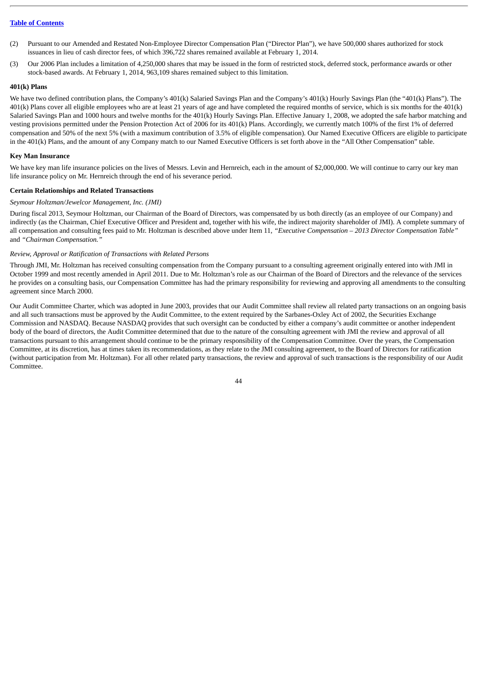- (2) Pursuant to our Amended and Restated Non-Employee Director Compensation Plan ("Director Plan"), we have 500,000 shares authorized for stock issuances in lieu of cash director fees, of which 396,722 shares remained available at February 1, 2014.
- (3) Our 2006 Plan includes a limitation of 4,250,000 shares that may be issued in the form of restricted stock, deferred stock, performance awards or other stock-based awards. At February 1, 2014, 963,109 shares remained subject to this limitation.

# <span id="page-46-0"></span>**401(k) Plans**

We have two defined contribution plans, the Company's 401(k) Salaried Savings Plan and the Company's 401(k) Hourly Savings Plan (the "401(k) Plans"). The  $401(k)$  Plans cover all eligible employees who are at least 21 years of age and have completed the required months of service, which is six months for the  $401(k)$ Salaried Savings Plan and 1000 hours and twelve months for the 401(k) Hourly Savings Plan. Effective January 1, 2008, we adopted the safe harbor matching and vesting provisions permitted under the Pension Protection Act of 2006 for its 401(k) Plans. Accordingly, we currently match 100% of the first 1% of deferred compensation and 50% of the next 5% (with a maximum contribution of 3.5% of eligible compensation). Our Named Executive Officers are eligible to participate in the 401(k) Plans, and the amount of any Company match to our Named Executive Officers is set forth above in the "All Other Compensation" table.

#### <span id="page-46-1"></span>**Key Man Insurance**

We have key man life insurance policies on the lives of Messrs. Levin and Hernreich, each in the amount of \$2,000,000. We will continue to carry our key man life insurance policy on Mr. Hernreich through the end of his severance period.

#### <span id="page-46-2"></span>**Certain Relationships and Related Transactions**

#### *Seymour Holtzman/Jewelcor Management, Inc. (JMI)*

During fiscal 2013, Seymour Holtzman, our Chairman of the Board of Directors, was compensated by us both directly (as an employee of our Company) and indirectly (as the Chairman, Chief Executive Officer and President and, together with his wife, the indirect majority shareholder of JMI). A complete summary of all compensation and consulting fees paid to Mr. Holtzman is described above under Item 11*, "Executive Compensation – 2013 Director Compensation Table"* and *"Chairman Compensation."*

#### *Review, Approval or Ratification of Transactions with Related Persons*

Through JMI, Mr. Holtzman has received consulting compensation from the Company pursuant to a consulting agreement originally entered into with JMI in October 1999 and most recently amended in April 2011. Due to Mr. Holtzman's role as our Chairman of the Board of Directors and the relevance of the services he provides on a consulting basis, our Compensation Committee has had the primary responsibility for reviewing and approving all amendments to the consulting agreement since March 2000.

Our Audit Committee Charter, which was adopted in June 2003, provides that our Audit Committee shall review all related party transactions on an ongoing basis and all such transactions must be approved by the Audit Committee, to the extent required by the Sarbanes-Oxley Act of 2002, the Securities Exchange Commission and NASDAQ. Because NASDAQ provides that such oversight can be conducted by either a company's audit committee or another independent body of the board of directors, the Audit Committee determined that due to the nature of the consulting agreement with JMI the review and approval of all transactions pursuant to this arrangement should continue to be the primary responsibility of the Compensation Committee. Over the years, the Compensation Committee, at its discretion, has at times taken its recommendations, as they relate to the JMI consulting agreement, to the Board of Directors for ratification (without participation from Mr. Holtzman). For all other related party transactions, the review and approval of such transactions is the responsibility of our Audit Committee.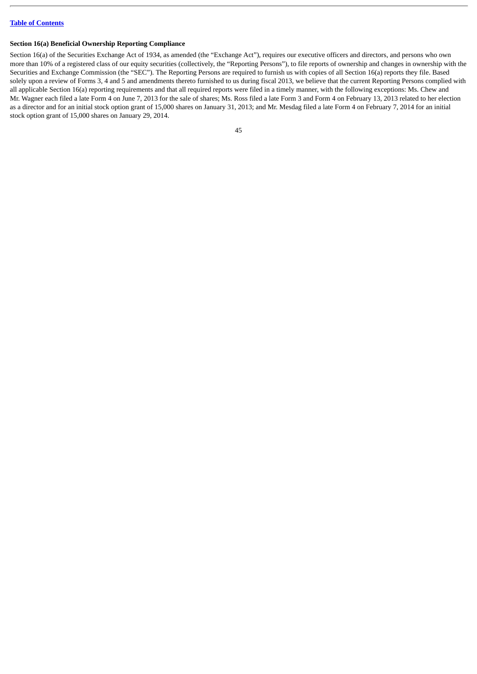#### <span id="page-47-0"></span>**Section 16(a) Beneficial Ownership Reporting Compliance**

Section 16(a) of the Securities Exchange Act of 1934, as amended (the "Exchange Act"), requires our executive officers and directors, and persons who own more than 10% of a registered class of our equity securities (collectively, the "Reporting Persons"), to file reports of ownership and changes in ownership with the Securities and Exchange Commission (the "SEC"). The Reporting Persons are required to furnish us with copies of all Section 16(a) reports they file. Based solely upon a review of Forms 3, 4 and 5 and amendments thereto furnished to us during fiscal 2013, we believe that the current Reporting Persons complied with all applicable Section 16(a) reporting requirements and that all required reports were filed in a timely manner, with the following exceptions: Ms. Chew and Mr. Wagner each filed a late Form 4 on June 7, 2013 for the sale of shares; Ms. Ross filed a late Form 3 and Form 4 on February 13, 2013 related to her election as a director and for an initial stock option grant of 15,000 shares on January 31, 2013; and Mr. Mesdag filed a late Form 4 on February 7, 2014 for an initial stock option grant of 15,000 shares on January 29, 2014.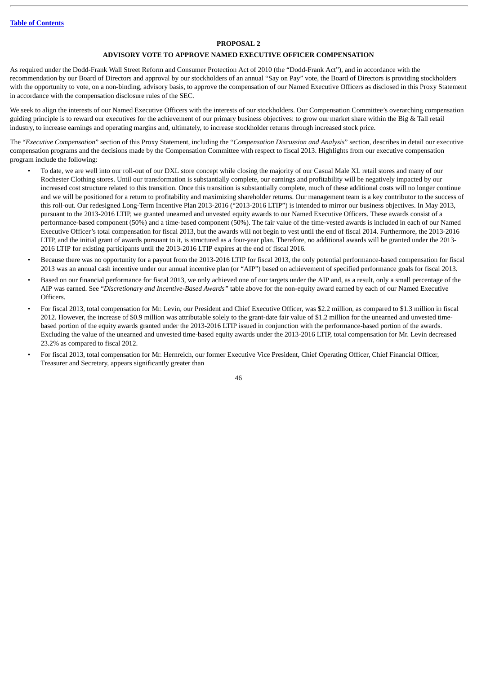#### **PROPOSAL 2**

#### **ADVISORY VOTE TO APPROVE NAMED EXECUTIVE OFFICER COMPENSATION**

<span id="page-48-0"></span>As required under the Dodd-Frank Wall Street Reform and Consumer Protection Act of 2010 (the "Dodd-Frank Act"), and in accordance with the recommendation by our Board of Directors and approval by our stockholders of an annual "Say on Pay" vote, the Board of Directors is providing stockholders with the opportunity to vote, on a non-binding, advisory basis, to approve the compensation of our Named Executive Officers as disclosed in this Proxy Statement in accordance with the compensation disclosure rules of the SEC.

We seek to align the interests of our Named Executive Officers with the interests of our stockholders. Our Compensation Committee's overarching compensation guiding principle is to reward our executives for the achievement of our primary business objectives: to grow our market share within the Big & Tall retail industry, to increase earnings and operating margins and, ultimately, to increase stockholder returns through increased stock price.

The "*Executive Compensation*" section of this Proxy Statement, including the "*Compensation Discussion and Analysis*" section, describes in detail our executive compensation programs and the decisions made by the Compensation Committee with respect to fiscal 2013. Highlights from our executive compensation program include the following:

- To date, we are well into our roll-out of our DXL store concept while closing the majority of our Casual Male XL retail stores and many of our Rochester Clothing stores. Until our transformation is substantially complete, our earnings and profitability will be negatively impacted by our increased cost structure related to this transition. Once this transition is substantially complete, much of these additional costs will no longer continue and we will be positioned for a return to profitability and maximizing shareholder returns. Our management team is a key contributor to the success of this roll-out. Our redesigned Long-Term Incentive Plan 2013-2016 ("2013-2016 LTIP") is intended to mirror our business objectives. In May 2013, pursuant to the 2013-2016 LTIP, we granted unearned and unvested equity awards to our Named Executive Officers. These awards consist of a performance-based component (50%) and a time-based component (50%). The fair value of the time-vested awards is included in each of our Named Executive Officer's total compensation for fiscal 2013, but the awards will not begin to vest until the end of fiscal 2014. Furthermore, the 2013-2016 LTIP, and the initial grant of awards pursuant to it, is structured as a four-year plan. Therefore, no additional awards will be granted under the 2013- 2016 LTIP for existing participants until the 2013-2016 LTIP expires at the end of fiscal 2016.
- Because there was no opportunity for a payout from the 2013-2016 LTIP for fiscal 2013, the only potential performance-based compensation for fiscal 2013 was an annual cash incentive under our annual incentive plan (or "AIP") based on achievement of specified performance goals for fiscal 2013.
- Based on our financial performance for fiscal 2013, we only achieved one of our targets under the AIP and, as a result, only a small percentage of the AIP was earned. See "*Discretionary and Incentive-Based Awards"* table above for the non-equity award earned by each of our Named Executive **Officers**
- For fiscal 2013, total compensation for Mr. Levin, our President and Chief Executive Officer, was \$2.2 million, as compared to \$1.3 million in fiscal 2012. However, the increase of \$0.9 million was attributable solely to the grant-date fair value of \$1.2 million for the unearned and unvested timebased portion of the equity awards granted under the 2013-2016 LTIP issued in conjunction with the performance-based portion of the awards. Excluding the value of the unearned and unvested time-based equity awards under the 2013-2016 LTIP, total compensation for Mr. Levin decreased 23.2% as compared to fiscal 2012.
- For fiscal 2013, total compensation for Mr. Hernreich, our former Executive Vice President, Chief Operating Officer, Chief Financial Officer, Treasurer and Secretary, appears significantly greater than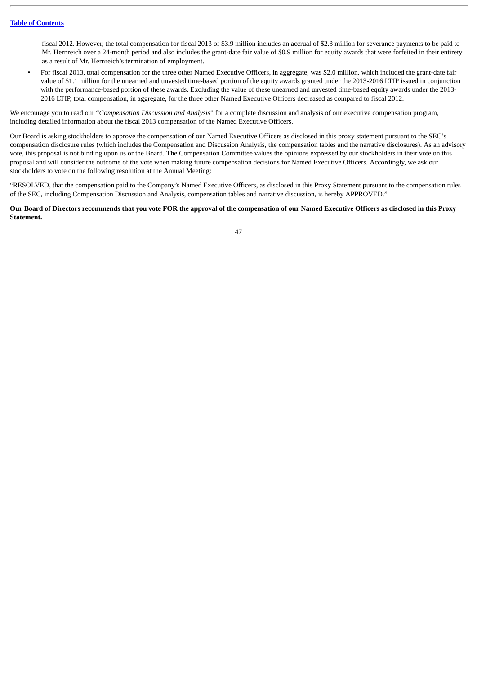fiscal 2012. However, the total compensation for fiscal 2013 of \$3.9 million includes an accrual of \$2.3 million for severance payments to be paid to Mr. Hernreich over a 24-month period and also includes the grant-date fair value of \$0.9 million for equity awards that were forfeited in their entirety as a result of Mr. Hernreich's termination of employment.

• For fiscal 2013, total compensation for the three other Named Executive Officers, in aggregate, was \$2.0 million, which included the grant-date fair value of \$1.1 million for the unearned and unvested time-based portion of the equity awards granted under the 2013-2016 LTIP issued in conjunction with the performance-based portion of these awards. Excluding the value of these unearned and unvested time-based equity awards under the 2013- 2016 LTIP, total compensation, in aggregate, for the three other Named Executive Officers decreased as compared to fiscal 2012.

We encourage you to read our "*Compensation Discussion and Analysis*" for a complete discussion and analysis of our executive compensation program, including detailed information about the fiscal 2013 compensation of the Named Executive Officers.

Our Board is asking stockholders to approve the compensation of our Named Executive Officers as disclosed in this proxy statement pursuant to the SEC's compensation disclosure rules (which includes the Compensation and Discussion Analysis, the compensation tables and the narrative disclosures). As an advisory vote, this proposal is not binding upon us or the Board. The Compensation Committee values the opinions expressed by our stockholders in their vote on this proposal and will consider the outcome of the vote when making future compensation decisions for Named Executive Officers. Accordingly, we ask our stockholders to vote on the following resolution at the Annual Meeting:

"RESOLVED, that the compensation paid to the Company's Named Executive Officers, as disclosed in this Proxy Statement pursuant to the compensation rules of the SEC, including Compensation Discussion and Analysis, compensation tables and narrative discussion, is hereby APPROVED."

**Our Board of Directors recommends that you vote FOR the approval of the compensation of our Named Executive Officers as disclosed in this Proxy Statement.**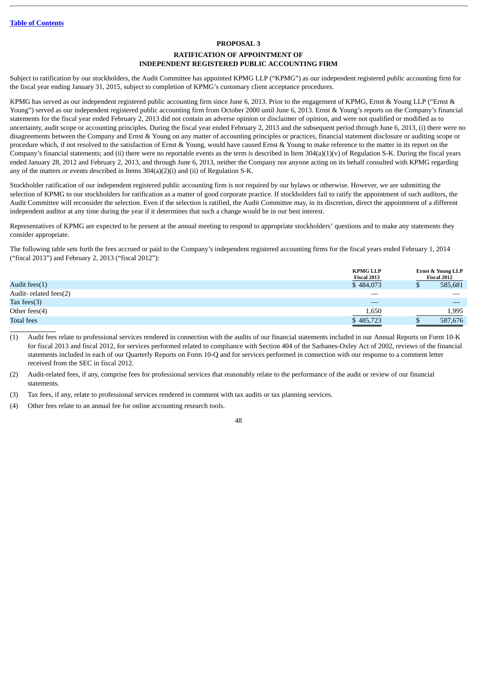#### <span id="page-50-1"></span>**PROPOSAL 3**

# **RATIFICATION OF APPOINTMENT OF INDEPENDENT REGISTERED PUBLIC ACCOUNTING FIRM**

<span id="page-50-0"></span>Subject to ratification by our stockholders, the Audit Committee has appointed KPMG LLP ("KPMG") as our independent registered public accounting firm for the fiscal year ending January 31, 2015, subject to completion of KPMG's customary client acceptance procedures.

KPMG has served as our independent registered public accounting firm since June 6, 2013. Prior to the engagement of KPMG, Ernst & Young LLP ("Ernst & Young") served as our independent registered public accounting firm from October 2000 until June 6, 2013. Ernst & Young's reports on the Company's financial statements for the fiscal year ended February 2, 2013 did not contain an adverse opinion or disclaimer of opinion, and were not qualified or modified as to uncertainty, audit scope or accounting principles. During the fiscal year ended February 2, 2013 and the subsequent period through June 6, 2013, (i) there were no disagreements between the Company and Ernst & Young on any matter of accounting principles or practices, financial statement disclosure or auditing scope or procedure which, if not resolved to the satisfaction of Ernst & Young, would have caused Ernst & Young to make reference to the matter in its report on the Company's financial statements; and (ii) there were no reportable events as the term is described in Item 304(a)(1)(v) of Regulation S-K. During the fiscal years ended January 28, 2012 and February 2, 2013, and through June 6, 2013, neither the Company nor anyone acting on its behalf consulted with KPMG regarding any of the matters or events described in Items 304(a)(2)(i) and (ii) of Regulation S-K.

Stockholder ratification of our independent registered public accounting firm is not required by our bylaws or otherwise. However, we are submitting the selection of KPMG to our stockholders for ratification as a matter of good corporate practice. If stockholders fail to ratify the appointment of such auditors, the Audit Committee will reconsider the selection. Even if the selection is ratified, the Audit Committee may, in its discretion, direct the appointment of a different independent auditor at any time during the year if it determines that such a change would be in our best interest.

Representatives of KPMG are expected to be present at the annual meeting to respond to appropriate stockholders' questions and to make any statements they consider appropriate.

The following table sets forth the fees accrued or paid to the Company's independent registered accounting firms for the fiscal years ended February 1, 2014 ("fiscal 2013") and February 2, 2013 ("fiscal 2012"):

|                       | <b>KPMG LLP</b><br>Fiscal 2013 | <b>Ernst &amp; Young LLP</b><br>Fiscal 2012 |
|-----------------------|--------------------------------|---------------------------------------------|
| Audit fees $(1)$      | \$484,073                      | 585,681                                     |
| Audit-related fees(2) |                                |                                             |
| Tax fees $(3)$        |                                |                                             |
| Other fees $(4)$      | 1,650                          | 1,995                                       |
| <b>Total fees</b>     | \$485,723                      | 587,676                                     |

(1) Audit fees relate to professional services rendered in connection with the audits of our financial statements included in our Annual Reports on Form 10-K for fiscal 2013 and fiscal 2012, for services performed related to compliance with Section 404 of the Sarbanes-Oxley Act of 2002, reviews of the financial statements included in each of our Quarterly Reports on Form 10-Q and for services performed in connection with our response to a comment letter received from the SEC in fiscal 2012.

(2) Audit-related fees, if any, comprise fees for professional services that reasonably relate to the performance of the audit or review of our financial statements.

(3) Tax fees, if any, relate to professional services rendered in comment with tax audits or tax planning services.

(4) Other fees relate to an annual fee for online accounting research tools.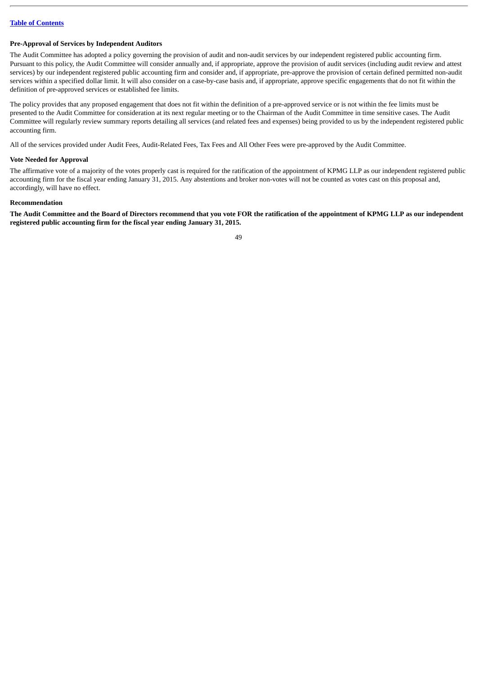#### <span id="page-51-0"></span>**Pre-Approval of Services by Independent Auditors**

The Audit Committee has adopted a policy governing the provision of audit and non-audit services by our independent registered public accounting firm. Pursuant to this policy, the Audit Committee will consider annually and, if appropriate, approve the provision of audit services (including audit review and attest services) by our independent registered public accounting firm and consider and, if appropriate, pre-approve the provision of certain defined permitted non-audit services within a specified dollar limit. It will also consider on a case-by-case basis and, if appropriate, approve specific engagements that do not fit within the definition of pre-approved services or established fee limits.

The policy provides that any proposed engagement that does not fit within the definition of a pre-approved service or is not within the fee limits must be presented to the Audit Committee for consideration at its next regular meeting or to the Chairman of the Audit Committee in time sensitive cases. The Audit Committee will regularly review summary reports detailing all services (and related fees and expenses) being provided to us by the independent registered public accounting firm.

All of the services provided under Audit Fees, Audit-Related Fees, Tax Fees and All Other Fees were pre-approved by the Audit Committee.

#### **Vote Needed for Approval**

The affirmative vote of a majority of the votes properly cast is required for the ratification of the appointment of KPMG LLP as our independent registered public accounting firm for the fiscal year ending January 31, 2015. Any abstentions and broker non-votes will not be counted as votes cast on this proposal and, accordingly, will have no effect.

#### **Recommendation**

**The Audit Committee and the Board of Directors recommend that you vote FOR the ratification of the appointment of KPMG LLP as our independent registered public accounting firm for the fiscal year ending January 31, 2015.**

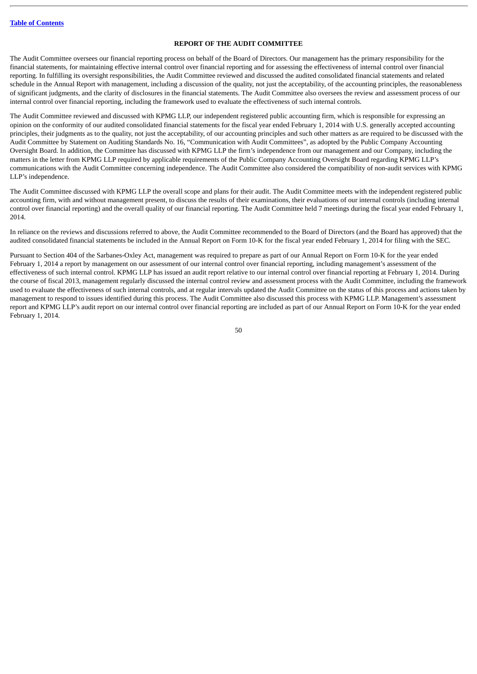# **REPORT OF THE AUDIT COMMITTEE**

<span id="page-52-0"></span>The Audit Committee oversees our financial reporting process on behalf of the Board of Directors. Our management has the primary responsibility for the financial statements, for maintaining effective internal control over financial reporting and for assessing the effectiveness of internal control over financial reporting. In fulfilling its oversight responsibilities, the Audit Committee reviewed and discussed the audited consolidated financial statements and related schedule in the Annual Report with management, including a discussion of the quality, not just the acceptability, of the accounting principles, the reasonableness of significant judgments, and the clarity of disclosures in the financial statements. The Audit Committee also oversees the review and assessment process of our internal control over financial reporting, including the framework used to evaluate the effectiveness of such internal controls.

The Audit Committee reviewed and discussed with KPMG LLP, our independent registered public accounting firm, which is responsible for expressing an opinion on the conformity of our audited consolidated financial statements for the fiscal year ended February 1, 2014 with U.S. generally accepted accounting principles, their judgments as to the quality, not just the acceptability, of our accounting principles and such other matters as are required to be discussed with the Audit Committee by Statement on Auditing Standards No. 16, "Communication with Audit Committees", as adopted by the Public Company Accounting Oversight Board. In addition, the Committee has discussed with KPMG LLP the firm's independence from our management and our Company, including the matters in the letter from KPMG LLP required by applicable requirements of the Public Company Accounting Oversight Board regarding KPMG LLP's communications with the Audit Committee concerning independence. The Audit Committee also considered the compatibility of non-audit services with KPMG LLP's independence.

The Audit Committee discussed with KPMG LLP the overall scope and plans for their audit. The Audit Committee meets with the independent registered public accounting firm, with and without management present, to discuss the results of their examinations, their evaluations of our internal controls (including internal control over financial reporting) and the overall quality of our financial reporting. The Audit Committee held 7 meetings during the fiscal year ended February 1, 2014.

In reliance on the reviews and discussions referred to above, the Audit Committee recommended to the Board of Directors (and the Board has approved) that the audited consolidated financial statements be included in the Annual Report on Form 10-K for the fiscal year ended February 1, 2014 for filing with the SEC.

Pursuant to Section 404 of the Sarbanes-Oxley Act, management was required to prepare as part of our Annual Report on Form 10-K for the year ended February 1, 2014 a report by management on our assessment of our internal control over financial reporting, including management's assessment of the effectiveness of such internal control. KPMG LLP has issued an audit report relative to our internal control over financial reporting at February 1, 2014. During the course of fiscal 2013, management regularly discussed the internal control review and assessment process with the Audit Committee, including the framework used to evaluate the effectiveness of such internal controls, and at regular intervals updated the Audit Committee on the status of this process and actions taken by management to respond to issues identified during this process. The Audit Committee also discussed this process with KPMG LLP. Management's assessment report and KPMG LLP's audit report on our internal control over financial reporting are included as part of our Annual Report on Form 10-K for the year ended February 1, 2014.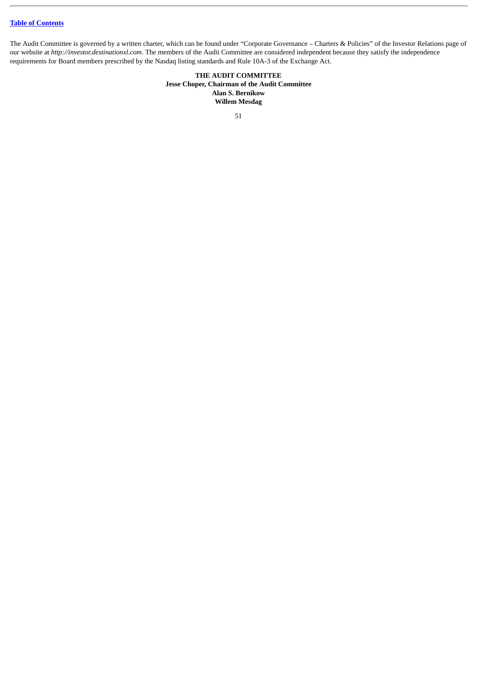The Audit Committee is governed by a written charter, which can be found under "Corporate Governance – Charters & Policies" of the Investor Relations page of our website at *http://investor.destinationxl.com*. The members of the Audit Committee are considered independent because they satisfy the independence requirements for Board members prescribed by the Nasdaq listing standards and Rule 10A-3 of the Exchange Act.

> **THE AUDIT COMMITTEE Jesse Choper, Chairman of the Audit Committee Alan S. Bernikow Willem Mesdag**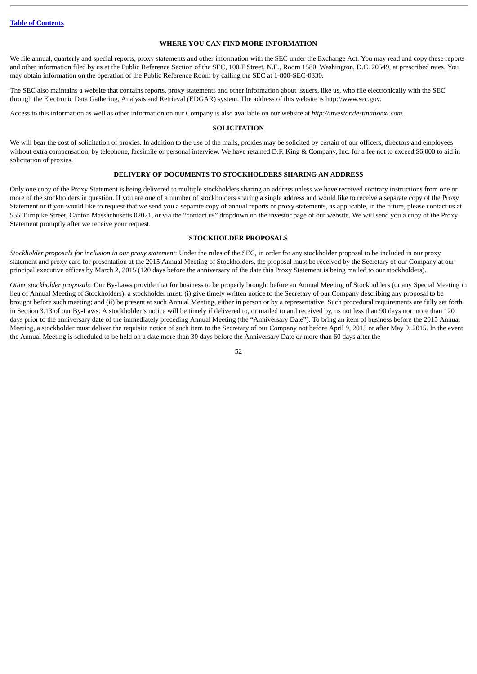# **WHERE YOU CAN FIND MORE INFORMATION**

<span id="page-54-0"></span>We file annual, quarterly and special reports, proxy statements and other information with the SEC under the Exchange Act. You may read and copy these reports and other information filed by us at the Public Reference Section of the SEC, 100 F Street, N.E., Room 1580, Washington, D.C. 20549, at prescribed rates. You may obtain information on the operation of the Public Reference Room by calling the SEC at 1-800-SEC-0330.

The SEC also maintains a website that contains reports, proxy statements and other information about issuers, like us, who file electronically with the SEC through the Electronic Data Gathering, Analysis and Retrieval (EDGAR) system. The address of this website is http://www.sec.gov.

<span id="page-54-1"></span>Access to this information as well as other information on our Company is also available on our website at *http://investor.destinationxl.com.*

#### **SOLICITATION**

We will bear the cost of solicitation of proxies. In addition to the use of the mails, proxies may be solicited by certain of our officers, directors and employees without extra compensation, by telephone, facsimile or personal interview. We have retained D.F. King & Company, Inc. for a fee not to exceed \$6,000 to aid in solicitation of proxies.

#### **DELIVERY OF DOCUMENTS TO STOCKHOLDERS SHARING AN ADDRESS**

<span id="page-54-2"></span>Only one copy of the Proxy Statement is being delivered to multiple stockholders sharing an address unless we have received contrary instructions from one or more of the stockholders in question. If you are one of a number of stockholders sharing a single address and would like to receive a separate copy of the Proxy Statement or if you would like to request that we send you a separate copy of annual reports or proxy statements, as applicable, in the future, please contact us at 555 Turnpike Street, Canton Massachusetts 02021, or via the "contact us" dropdown on the investor page of our website. We will send you a copy of the Proxy Statement promptly after we receive your request.

#### **STOCKHOLDER PROPOSALS**

<span id="page-54-3"></span>*Stockholder proposals for inclusion in our proxy statement*: Under the rules of the SEC, in order for any stockholder proposal to be included in our proxy statement and proxy card for presentation at the 2015 Annual Meeting of Stockholders, the proposal must be received by the Secretary of our Company at our principal executive offices by March 2, 2015 (120 days before the anniversary of the date this Proxy Statement is being mailed to our stockholders).

*Other stockholder proposals*: Our By-Laws provide that for business to be properly brought before an Annual Meeting of Stockholders (or any Special Meeting in lieu of Annual Meeting of Stockholders), a stockholder must: (i) give timely written notice to the Secretary of our Company describing any proposal to be brought before such meeting; and (ii) be present at such Annual Meeting, either in person or by a representative. Such procedural requirements are fully set forth in Section 3.13 of our By-Laws. A stockholder's notice will be timely if delivered to, or mailed to and received by, us not less than 90 days nor more than 120 days prior to the anniversary date of the immediately preceding Annual Meeting (the "Anniversary Date"). To bring an item of business before the 2015 Annual Meeting, a stockholder must deliver the requisite notice of such item to the Secretary of our Company not before April 9, 2015 or after May 9, 2015. In the event the Annual Meeting is scheduled to be held on a date more than 30 days before the Anniversary Date or more than 60 days after the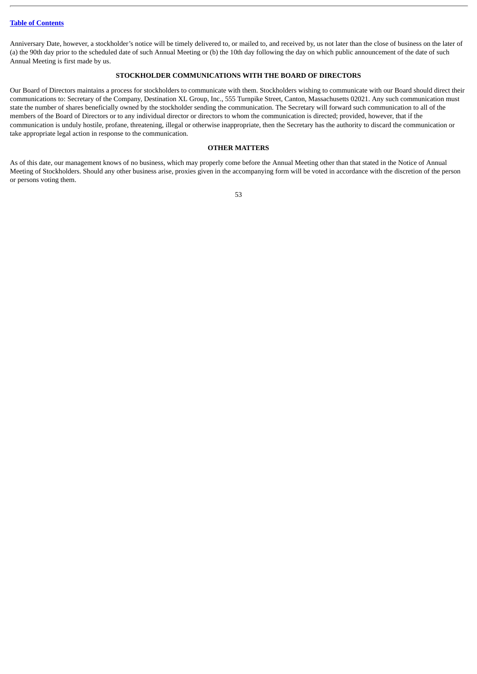Anniversary Date, however, a stockholder's notice will be timely delivered to, or mailed to, and received by, us not later than the close of business on the later of (a) the 90th day prior to the scheduled date of such Annual Meeting or (b) the 10th day following the day on which public announcement of the date of such Annual Meeting is first made by us.

# **STOCKHOLDER COMMUNICATIONS WITH THE BOARD OF DIRECTORS**

<span id="page-55-0"></span>Our Board of Directors maintains a process for stockholders to communicate with them. Stockholders wishing to communicate with our Board should direct their communications to: Secretary of the Company, Destination XL Group, Inc., 555 Turnpike Street, Canton, Massachusetts 02021. Any such communication must state the number of shares beneficially owned by the stockholder sending the communication. The Secretary will forward such communication to all of the members of the Board of Directors or to any individual director or directors to whom the communication is directed; provided, however, that if the communication is unduly hostile, profane, threatening, illegal or otherwise inappropriate, then the Secretary has the authority to discard the communication or take appropriate legal action in response to the communication.

#### **OTHER MATTERS**

<span id="page-55-1"></span>As of this date, our management knows of no business, which may properly come before the Annual Meeting other than that stated in the Notice of Annual Meeting of Stockholders. Should any other business arise, proxies given in the accompanying form will be voted in accordance with the discretion of the person or persons voting them.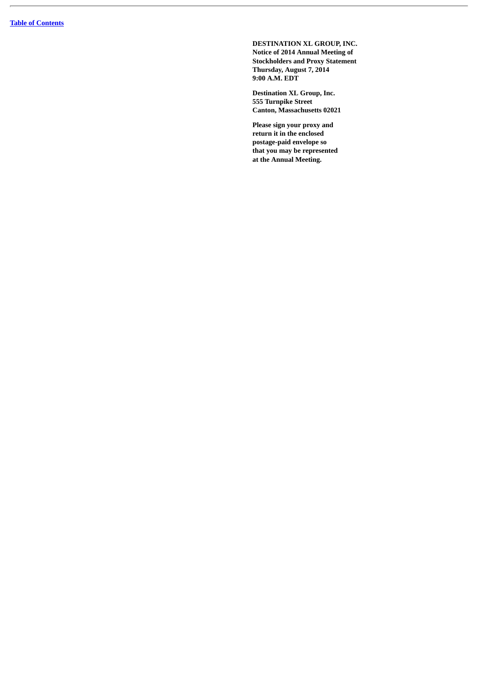**DESTINATION XL GROUP, INC. Notice of 2014 Annual Meeting of Stockholders and Proxy Statement Thursday, August 7, 2014 9:00 A.M. EDT**

**Destination XL Group, Inc. 555 Turnpike Street Canton, Massachusetts 02021**

**Please sign your proxy and return it in the enclosed postage-paid envelope so that you may be represented at the Annual Meeting.**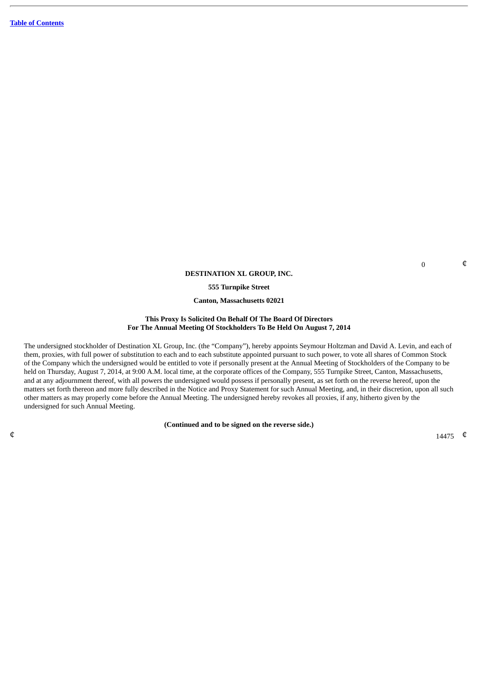#### **DESTINATION XL GROUP, INC.**

**555 Turnpike Street**

**Canton, Massachusetts 02021**

## **This Proxy Is Solicited On Behalf Of The Board Of Directors For The Annual Meeting Of Stockholders To Be Held On August 7, 2014**

The undersigned stockholder of Destination XL Group, Inc. (the "Company"), hereby appoints Seymour Holtzman and David A. Levin, and each of them, proxies, with full power of substitution to each and to each substitute appointed pursuant to such power, to vote all shares of Common Stock of the Company which the undersigned would be entitled to vote if personally present at the Annual Meeting of Stockholders of the Company to be held on Thursday, August 7, 2014, at 9:00 A.M. local time, at the corporate offices of the Company, 555 Turnpike Street, Canton, Massachusetts, and at any adjournment thereof, with all powers the undersigned would possess if personally present, as set forth on the reverse hereof, upon the matters set forth thereon and more fully described in the Notice and Proxy Statement for such Annual Meeting, and, in their discretion, upon all such other matters as may properly come before the Annual Meeting. The undersigned hereby revokes all proxies, if any, hitherto given by the undersigned for such Annual Meeting.

**(Continued and to be signed on the reverse side.)**

 $\mathfrak{q}$  14475  $\mathfrak{q}$